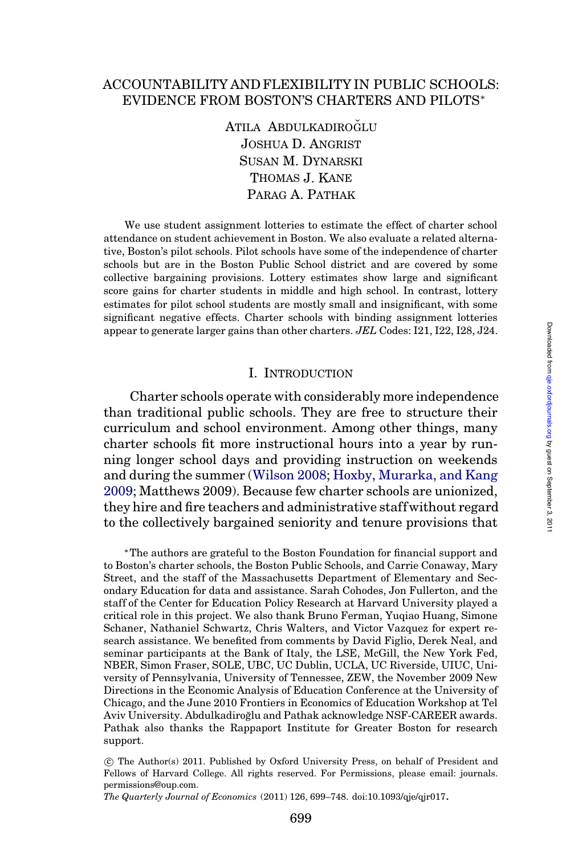# ACCOUNTABILITY AND FLEXIBILITY IN PUBLIC SCHOOLS: EVIDENCE FROM BOSTON'S CHARTERS AND PILOTS∗

ATILA ABDULKADIROĞLU JOSHUA D. ANGRIST SUSAN M. DYNARSKI THOMAS J. KANE PARAG A. PATHAK

We use student assignment lotteries to estimate the effect of charter school attendance on student achievement in Boston. We also evaluate a related alternative, Boston's pilot schools. Pilot schools have some of the independence of charter schools but are in the Boston Public School district and are covered by some collective bargaining provisions. Lottery estimates show large and significant score gains for charter students in middle and high school. In contrast, lottery estimates for pilot school students are mostly small and insignificant, with some significant negative effects. Charter schools with binding assignment lotteries appear to generate larger gains than other charters. *JEL* Codes: I21, I22, I28, J24.

#### I. INTRODUCTION

Charter schools operate with considerably more independence than traditional public schools. They are free to structure their curriculum and school environment. Among other things, many charter schools fit more instructional hours into a year by running longer school days and providing instruction on weekends and during the summer [\(Wilson 2008;](#page-49-0) [Hoxby, Murarka, and Kang](#page-49-0) [2009;](#page-49-0) Matthews 2009). Because few charter schools are unionized, they hire and fire teachers and administrative staffwithout regard to the collectively bargained seniority and tenure provisions that

∗The authors are grateful to the Boston Foundation for financial support and to Boston's charter schools, the Boston Public Schools, and Carrie Conaway, Mary Street, and the staff of the Massachusetts Department of Elementary and Secondary Education for data and assistance. Sarah Cohodes, Jon Fullerton, and the staff of the Center for Education Policy Research at Harvard University played a critical role in this project. We also thank Bruno Ferman, Yuqiao Huang, Simone Schaner, Nathaniel Schwartz, Chris Walters, and Victor Vazquez for expert research assistance. We benefited from comments by David Figlio, Derek Neal, and seminar participants at the Bank of Italy, the LSE, McGill, the New York Fed, NBER, Simon Fraser, SOLE, UBC, UC Dublin, UCLA, UC Riverside, UIUC, University of Pennsylvania, University of Tennessee, ZEW, the November 2009 New Directions in the Economic Analysis of Education Conference at the University of Chicago, and the June 2010 Frontiers in Economics of Education Workshop at Tel Aviv University. Abdulkadiroğlu and Pathak acknowledge NSF-CAREER awards. Pathak also thanks the Rappaport Institute for Greater Boston for research support.

"c The Author(s) 2011. Published by Oxford University Press, on behalf of President and Fellows of Harvard College. All rights reserved. For Permissions, please email: journals. permissions@oup.com.

*The Quarterly Journal of Economics* (2011) 126, 699–748. doi:10.1093/qje/qjr017.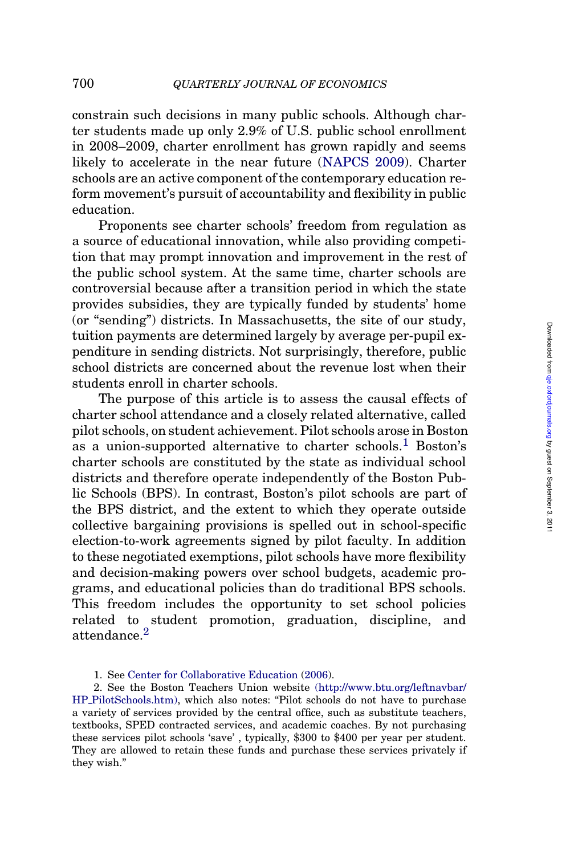constrain such decisions in many public schools. Although charter students made up only 2.9% of U.S. public school enrollment in 2008–2009, charter enrollment has grown rapidly and seems likely to accelerate in the near future [\(NAPCS 2009\)](#page-49-0). Charter schools are an active component of the contemporary education reform movement's pursuit of accountability and flexibility in public education.

Proponents see charter schools' freedom from regulation as a source of educational innovation, while also providing competition that may prompt innovation and improvement in the rest of the public school system. At the same time, charter schools are controversial because after a transition period in which the state provides subsidies, they are typically funded by students' home (or "sending") districts. In Massachusetts, the site of our study, tuition payments are determined largely by average per-pupil expenditure in sending districts. Not surprisingly, therefore, public school districts are concerned about the revenue lost when their students enroll in charter schools.

The purpose of this article is to assess the causal effects of charter school attendance and a closely related alternative, called pilot schools, on student achievement. Pilot schools arose in Boston as a union-supported alternative to charter schools.<sup>[1](#page-1-0)</sup> Boston's charter schools are constituted by the state as individual school districts and therefore operate independently of the Boston Public Schools (BPS). In contrast, Boston's pilot schools are part of the BPS district, and the extent to which they operate outside collective bargaining provisions is spelled out in school-specific election-to-work agreements signed by pilot faculty. In addition to these negotiated exemptions, pilot schools have more flexibility and decision-making powers over school budgets, academic programs, and educational policies than do traditional BPS schools. This freedom includes the opportunity to set school policies related to student promotion, graduation, discipline, and attendance.[2](#page-1-0)

1. See [Center for Collaborative Education](#page-48-0) ([2006\)](#page-48-0).

<span id="page-1-0"></span>2. See the Boston Teachers Union website [\(http://www.btu.org/leftnavbar/](http://file://localhost/Users/joshangrist/Downloads/(http://www.btu.org/leftnavbar/HP_PilotSchools.htm)) HP [PilotSchools.htm\),](http://file://localhost/Users/joshangrist/Downloads/(http://www.btu.org/leftnavbar/HP_PilotSchools.htm)) which also notes: "Pilot schools do not have to purchase a variety of services provided by the central office, such as substitute teachers, textbooks, SPED contracted services, and academic coaches. By not purchasing these services pilot schools 'save' , typically, \$300 to \$400 per year per student. They are allowed to retain these funds and purchase these services privately if they wish."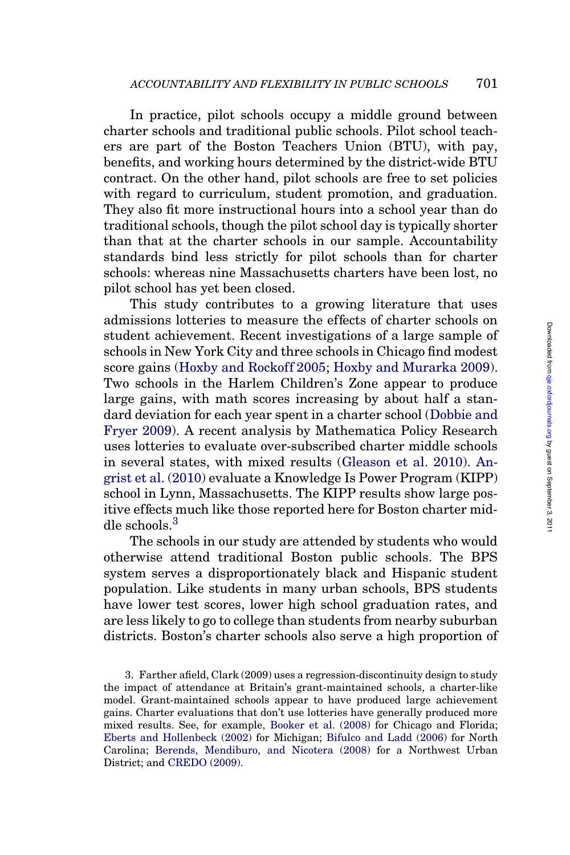In practice, pilot schools occupy a middle ground between charter schools and traditional public schools. Pilot school teachers are part of the Boston Teachers Union (BTU), with pay, benefits, and working hours determined by the district-wide BTU contract. On the other hand, pilot schools are free to set policies with regard to curriculum, student promotion, and graduation. They also fit more instructional hours into a school year than do traditional schools, though the pilot school day is typically shorter than that at the charter schools in our sample. Accountability standards bind less strictly for pilot schools than for charter schools: whereas nine Massachusetts charters have been lost, no pilot school has yet been closed.

This study contributes to a growing literature that uses admissions lotteries to measure the effects of charter schools on student achievement. Recent investigations of a large sample of schools in New York City and three schools in Chicago find modest score gains ([Hoxby and Rockoff 2005](#page-49-0); [Hoxby and Murarka 2009\)](#page-49-0). Two schools in the Harlem Children's Zone appear to produce large gains, with math scores increasing by about half a standard deviation for each year spent in a charter school ([Dobbie and](#page-49-0) [Fryer 2009](#page-49-0)). A recent analysis by Mathematica Policy Research uses lotteries to evaluate over-subscribed charter middle schools in several states, with mixed results ([Gleason et al. 2010\)](#page-49-0). [An](#page-48-0)[grist et al.](#page-48-0) [\(2010\)](#page-48-0) evaluate a Knowledge Is Power Program (KIPP) school in Lynn, Massachusetts. The KIPP results show large positive effects much like those reported here for Boston charter middle schools.[3](#page-2-0)

The schools in our study are attended by students who would otherwise attend traditional Boston public schools. The BPS system serves a disproportionately black and Hispanic student population. Like students in many urban schools, BPS students have lower test scores, lower high school graduation rates, and are less likely to go to college than students from nearby suburban districts. Boston's charter schools also serve a high proportion of

<span id="page-2-0"></span><sup>3.</sup> Farther afield, Clark (2009) uses a regression-discontinuity design to study the impact of attendance at Britain's grant-maintained schools, a charter-like model. Grant-maintained schools appear to have produced large achievement gains. Charter evaluations that don't use lotteries have generally produced more mixed results. See, for example, [Booker et al.](#page-48-0) [\(2008](#page-48-0)) for Chicago and Florida; [Eberts and Hollenbeck](#page-49-0) [\(2002](#page-49-0)) for Michigan; [Bifulco and Ladd](#page-48-0) [\(2006](#page-48-0)) for North Carolina; [Berends, Mendiburo, and Nicotera](#page-48-0) [\(2008](#page-48-0)) for a Northwest Urban District; and [CREDO](#page-49-0) ([2009\)](#page-49-0).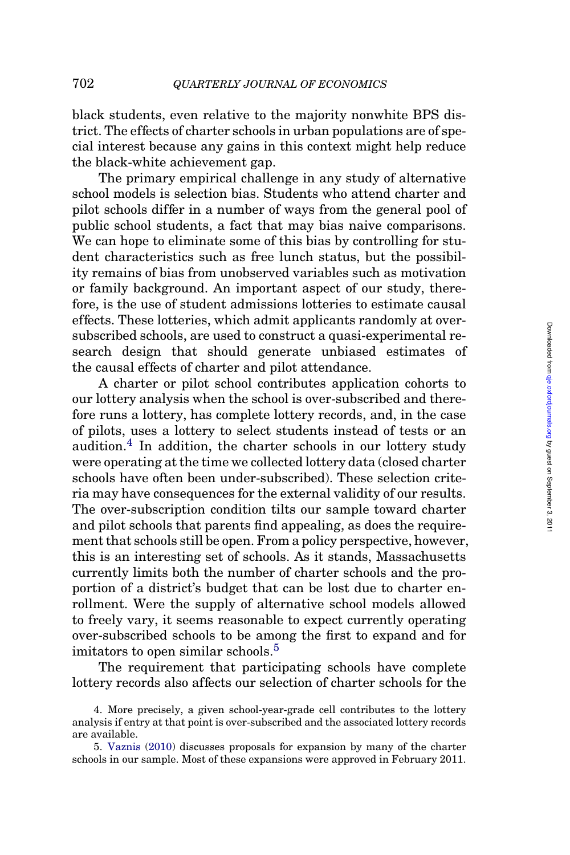black students, even relative to the majority nonwhite BPS district. The effects of charter schools in urban populations are of special interest because any gains in this context might help reduce the black-white achievement gap.

The primary empirical challenge in any study of alternative school models is selection bias. Students who attend charter and pilot schools differ in a number of ways from the general pool of public school students, a fact that may bias naive comparisons. We can hope to eliminate some of this bias by controlling for student characteristics such as free lunch status, but the possibility remains of bias from unobserved variables such as motivation or family background. An important aspect of our study, therefore, is the use of student admissions lotteries to estimate causal effects. These lotteries, which admit applicants randomly at oversubscribed schools, are used to construct a quasi-experimental research design that should generate unbiased estimates of the causal effects of charter and pilot attendance.

A charter or pilot school contributes application cohorts to our lottery analysis when the school is over-subscribed and therefore runs a lottery, has complete lottery records, and, in the case of pilots, uses a lottery to select students instead of tests or an audition.<sup>[4](#page-3-0)</sup> In addition, the charter schools in our lottery study were operating at the time we collected lottery data (closed charter schools have often been under-subscribed). These selection criteria may have consequences for the external validity of our results. The over-subscription condition tilts our sample toward charter and pilot schools that parents find appealing, as does the requirement that schools still be open. From a policy perspective, however, this is an interesting set of schools. As it stands, Massachusetts currently limits both the number of charter schools and the proportion of a district's budget that can be lost due to charter enrollment. Were the supply of alternative school models allowed to freely vary, it seems reasonable to expect currently operating over-subscribed schools to be among the first to expand and for imitators to open similar schools.<sup>[5](#page-3-0)</sup>

The requirement that participating schools have complete lottery records also affects our selection of charter schools for the

<sup>4.</sup> More precisely, a given school-year-grade cell contributes to the lottery analysis if entry at that point is over-subscribed and the associated lottery records are available.

<span id="page-3-0"></span><sup>5.</sup> [Vaznis](#page-49-0) ([2010](#page-49-0)) discusses proposals for expansion by many of the charter schools in our sample. Most of these expansions were approved in February 2011.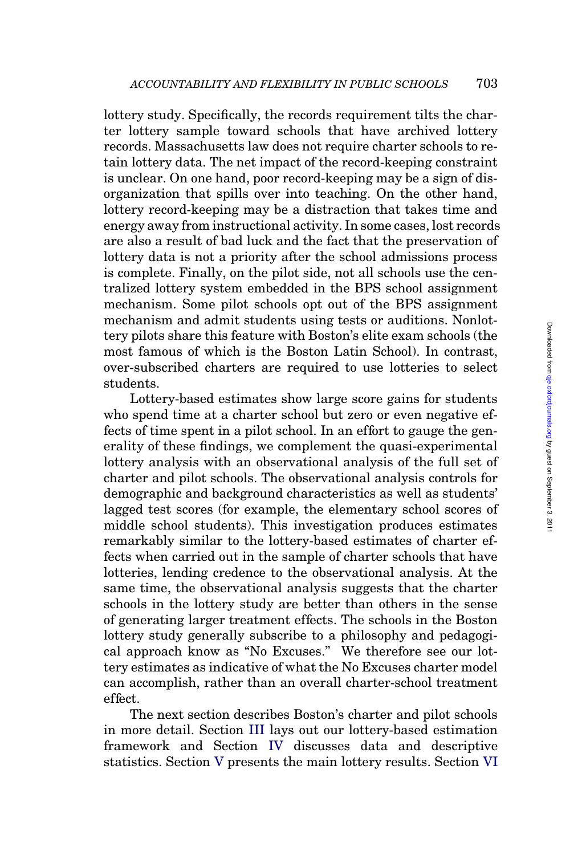lottery study. Specifically, the records requirement tilts the charter lottery sample toward schools that have archived lottery records. Massachusetts law does not require charter schools to retain lottery data. The net impact of the record-keeping constraint is unclear. On one hand, poor record-keeping may be a sign of disorganization that spills over into teaching. On the other hand, lottery record-keeping may be a distraction that takes time and energy away from instructional activity. In some cases, lost records are also a result of bad luck and the fact that the preservation of lottery data is not a priority after the school admissions process is complete. Finally, on the pilot side, not all schools use the centralized lottery system embedded in the BPS school assignment mechanism. Some pilot schools opt out of the BPS assignment mechanism and admit students using tests or auditions. Nonlottery pilots share this feature with Boston's elite exam schools (the most famous of which is the Boston Latin School). In contrast, over-subscribed charters are required to use lotteries to select students.

Lottery-based estimates show large score gains for students who spend time at a charter school but zero or even negative effects of time spent in a pilot school. In an effort to gauge the generality of these findings, we complement the quasi-experimental lottery analysis with an observational analysis of the full set of charter and pilot schools. The observational analysis controls for demographic and background characteristics as well as students' lagged test scores (for example, the elementary school scores of middle school students). This investigation produces estimates remarkably similar to the lottery-based estimates of charter effects when carried out in the sample of charter schools that have lotteries, lending credence to the observational analysis. At the same time, the observational analysis suggests that the charter schools in the lottery study are better than others in the sense of generating larger treatment effects. The schools in the Boston lottery study generally subscribe to a philosophy and pedagogical approach know as "No Excuses." We therefore see our lottery estimates as indicative of what the No Excuses charter model can accomplish, rather than an overall charter-school treatment effect.

The next section describes Boston's charter and pilot schools in more detail. Section [III](#page-10-0) lays out our lottery-based estimation framework and Section [IV](#page-12-0) discusses data and descriptive statistics. Section [V](#page-22-0) presents the main lottery results. Section [VI](#page-35-0)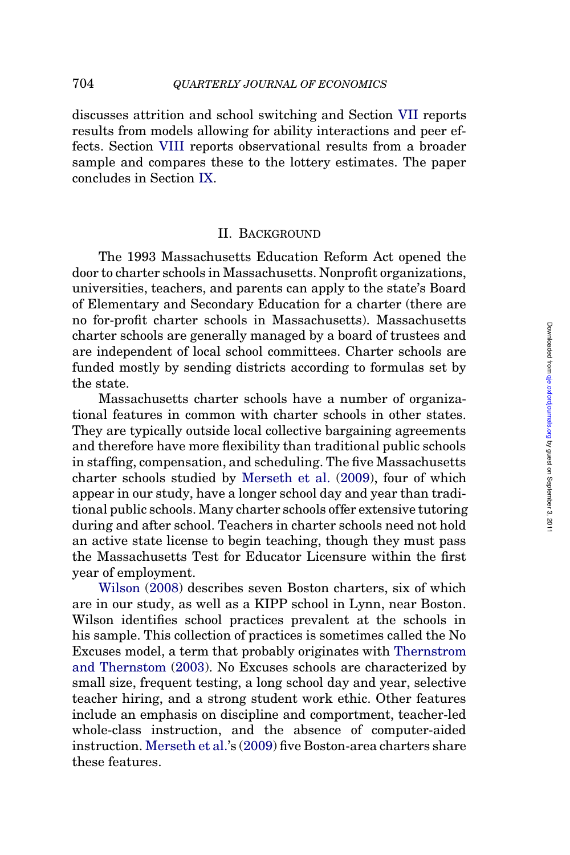discusses attrition and school switching and Section [VII](#page-39-0) reports results from models allowing for ability interactions and peer effects. Section [VIII](#page-43-0) reports observational results from a broader sample and compares these to the lottery estimates. The paper concludes in Section [IX.](#page-46-0)

## II. BACKGROUND

The 1993 Massachusetts Education Reform Act opened the door to charter schools in Massachusetts. Nonprofit organizations, universities, teachers, and parents can apply to the state's Board of Elementary and Secondary Education for a charter (there are no for-profit charter schools in Massachusetts). Massachusetts charter schools are generally managed by a board of trustees and are independent of local school committees. Charter schools are funded mostly by sending districts according to formulas set by the state.

Massachusetts charter schools have a number of organizational features in common with charter schools in other states. They are typically outside local collective bargaining agreements and therefore have more flexibility than traditional public schools in staffing, compensation, and scheduling. The five Massachusetts charter schools studied by [Merseth et al.](#page-49-0) [\(2009](#page-49-0)), four of which appear in our study, have a longer school day and year than traditional public schools. Many charter schools offer extensive tutoring during and after school. Teachers in charter schools need not hold an active state license to begin teaching, though they must pass the Massachusetts Test for Educator Licensure within the first year of employment.

[Wilson](#page-49-0) [\(2008\)](#page-49-0) describes seven Boston charters, six of which are in our study, as well as a KIPP school in Lynn, near Boston. Wilson identifies school practices prevalent at the schools in his sample. This collection of practices is sometimes called the No Excuses model, a term that probably originates with [Thernstrom](#page-49-0) [and Thernstom](#page-49-0) ([2003](#page-49-0)). No Excuses schools are characterized by small size, frequent testing, a long school day and year, selective teacher hiring, and a strong student work ethic. Other features include an emphasis on discipline and comportment, teacher-led whole-class instruction, and the absence of computer-aided instruction. [Merseth et al.'](#page-49-0)s [\(2009\)](#page-49-0) five Boston-area charters share these features.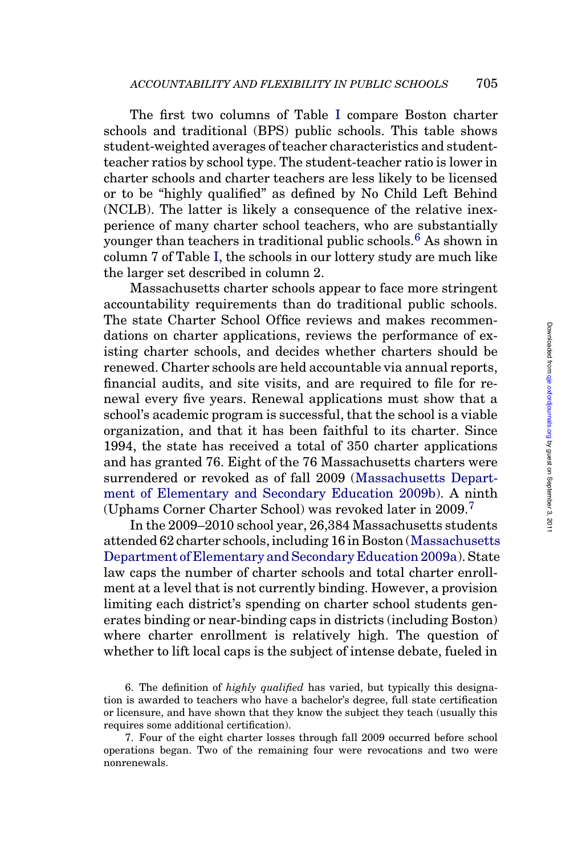The first two columns of Table [I](#page-8-0) compare Boston charter schools and traditional (BPS) public schools. This table shows student-weighted averages of teacher characteristics and studentteacher ratios by school type. The student-teacher ratio is lower in charter schools and charter teachers are less likely to be licensed or to be "highly qualified" as defined by No Child Left Behind (NCLB). The latter is likely a consequence of the relative inexperience of many charter school teachers, who are substantially younger than teachers in traditional public schools.<sup>[6](#page-6-0)</sup> As shown in column 7 of Table [I,](#page-8-0) the schools in our lottery study are much like the larger set described in column 2.

Massachusetts charter schools appear to face more stringent accountability requirements than do traditional public schools. The state Charter School Office reviews and makes recommendations on charter applications, reviews the performance of existing charter schools, and decides whether charters should be renewed. Charter schools are held accountable via annual reports, financial audits, and site visits, and are required to file for renewal every five years. Renewal applications must show that a school's academic program is successful, that the school is a viable organization, and that it has been faithful to its charter. Since 1994, the state has received a total of 350 charter applications and has granted 76. Eight of the 76 Massachusetts charters were surrendered or revoked as of fall 2009 [\(Massachusetts Depart](#page-49-0)[ment of Elementary and Secondary Education 2009b\)](#page-49-0). A ninth (Uphams Corner Charter School) was revoked later in 2009.[7](#page-6-0)

In the 2009–2010 school year, 26,384 Massachusetts students attended 62 charter schools, including 16 in Boston ([Massachusetts](#page-49-0) [Department of Elementary and Secondary Education 2009a\)](#page-49-0). State law caps the number of charter schools and total charter enrollment at a level that is not currently binding. However, a provision limiting each district's spending on charter school students generates binding or near-binding caps in districts (including Boston) where charter enrollment is relatively high. The question of whether to lift local caps is the subject of intense debate, fueled in

6. The definition of *highly qualified* has varied, but typically this designation is awarded to teachers who have a bachelor's degree, full state certification or licensure, and have shown that they know the subject they teach (usually this requires some additional certification).

<span id="page-6-0"></span>7. Four of the eight charter losses through fall 2009 occurred before school operations began. Two of the remaining four were revocations and two were nonrenewals.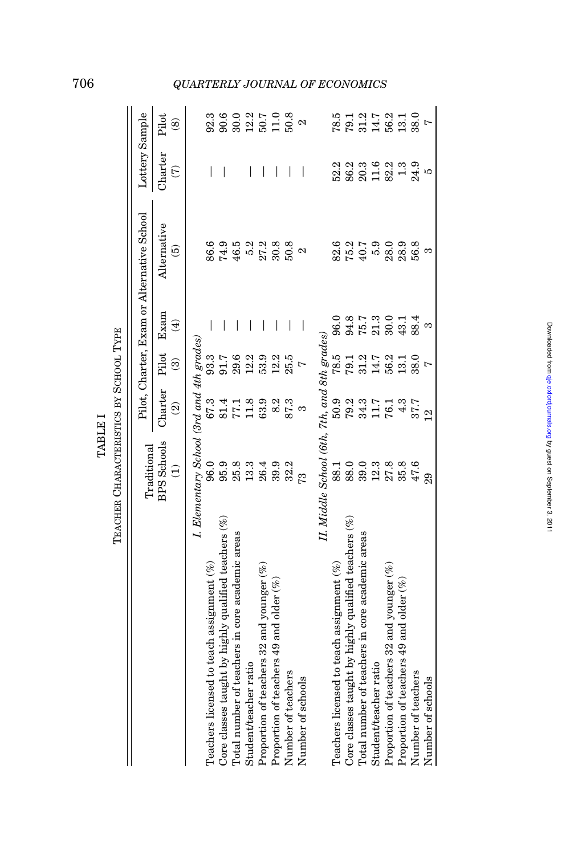|                                                         | TEACHER CHARACTERISTICS BY SCHOOL TYPE       |                          |                        |                          |                                            |                                            |                                                     |
|---------------------------------------------------------|----------------------------------------------|--------------------------|------------------------|--------------------------|--------------------------------------------|--------------------------------------------|-----------------------------------------------------|
|                                                         | Traditional                                  |                          |                        |                          | Pilot, Charter, Exam or Alternative School | Lottery Sample                             |                                                     |
|                                                         | <b>BPS</b> Schools                           | Charter                  | Pilot                  | Exam                     | Alternative                                | Charter                                    | Pilot                                               |
|                                                         | $\ominus$                                    | $\widehat{\mathfrak{D}}$ | $\widehat{\mathbf{e}}$ | $\bigoplus$              | $\widehat{e}$                              | $\widehat{\epsilon}$                       | $\circledS$                                         |
|                                                         | I. Elementary School (3rd and 4th grades)    |                          |                        |                          |                                            |                                            |                                                     |
| Teachers licensed to teach assignment $(\%$             | 96.0                                         | 673                      | 93.3                   |                          | 86.6                                       | I                                          | 92.3                                                |
| Core classes taught by highly qualified teachers $(\%)$ | 95.9                                         | 81.4                     | 91.7                   |                          | 74.9                                       |                                            | 90.6                                                |
| Total number of teachers in core academic areas         | 25.8                                         | 77.1                     | 29.6                   | $\overline{\phantom{a}}$ | 46.5                                       |                                            | $30.0\,$                                            |
| Student/teacher ratio                                   | 13.3                                         | 11.8                     | 12.2                   | I                        | 5.2                                        |                                            |                                                     |
| Proportion of teachers $32$ and younger $(\%)$          | 26.4                                         | 63.9                     | 53.9                   |                          | 27.2                                       |                                            | $\begin{array}{c} 12.2 \\ 50.7 \\ 11.0 \end{array}$ |
| Proportion of teachers 49 and older $(\%)$              | 39.9                                         | 8.2                      | 12.2                   |                          | 30.8                                       |                                            |                                                     |
| Number of teachers                                      | 32.2                                         | 87.3                     | 25.5                   |                          | 50.8                                       |                                            | 50.8                                                |
| Number of schools                                       | 73                                           |                          |                        |                          | $\sim$                                     |                                            | $\infty$                                            |
|                                                         | II. Middle School (6th, 7th, and 8th grades) |                          |                        |                          |                                            |                                            |                                                     |
| Teachers licensed to teach assignment $(\%)$            | 88.1                                         | 50.9                     | 78.5                   | 96.0                     | 82.6                                       | 52.2                                       | 78.5                                                |
| Core classes taught by highly qualified teachers $(\%)$ | 88.0                                         | 79.2                     | 79.1                   | 94.8                     | 75.2                                       | 86.2                                       | 79.1                                                |
| Total number of teachers in core academic areas         | 39.0                                         | 34.3                     | 31.2                   | 75.7                     | 40.7                                       | 20.3                                       | 31.2<br>14.7                                        |
| Student/teacher ratio                                   | 12.3                                         | 11.7                     | 14.7                   | 21.3                     | 5.9                                        | 11.6                                       |                                                     |
| Proportion of teachers $32$ and younger $(\%)$          | 27.8                                         | 76.1                     | 56.2                   | 30.0                     | 28.0                                       | $\begin{array}{c} 82.2 \\ 1.3 \end{array}$ | $\frac{56.2}{13.1}$                                 |
| Proportion of teachers 49 and older $(\%)$              | 35.8                                         | 4.3                      | 13.1                   | 43.1                     | 28.9                                       |                                            |                                                     |
| Number of teachers                                      | 47.6                                         | 37.7                     | 38.0                   | 88.4                     | 56.8                                       | 24.9                                       | 38.0                                                |
| Number of schools                                       | 29                                           | $\overline{c}$           |                        | S                        |                                            | r.                                         | $\overline{ }$                                      |

TABLE I TABLE I

# 706 *QUARTERLY JOURNAL OF ECONOMICS*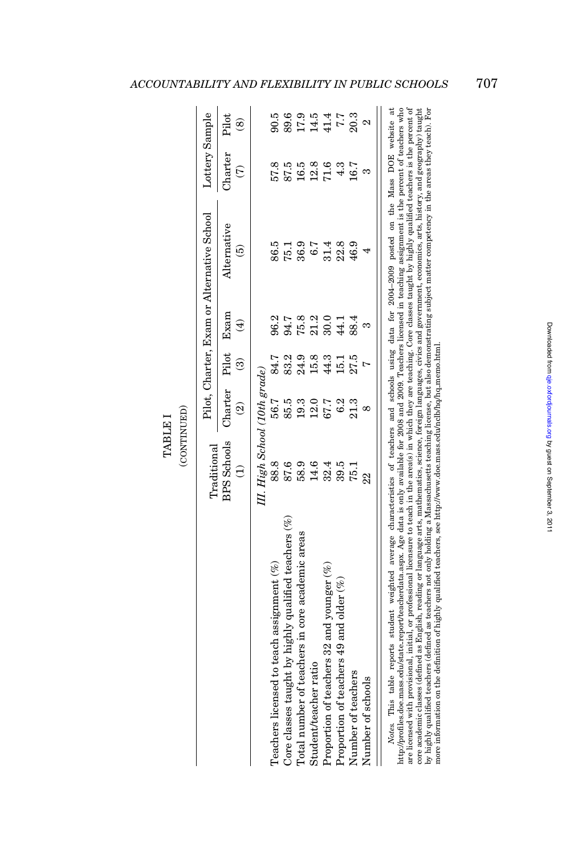<span id="page-8-0"></span>

|                                     |            |                                | Pilot, Charter, Exam or Alternative School | Lottery Sample             |                                 |
|-------------------------------------|------------|--------------------------------|--------------------------------------------|----------------------------|---------------------------------|
| Charter<br>$\widehat{\mathfrak{D}}$ | Pilot<br>ම | Exam<br>$\widehat{\mathbf{t}}$ | Alternative<br>ම                           | Charter<br>$\widehat{\Xi}$ | Pilot<br>$\widehat{\mathbf{e}}$ |
| III. High School (10th grade)       |            |                                |                                            |                            |                                 |
| 56.7                                | 84.7       | 96.2                           | 86.5                                       | 57.8                       | 90.5                            |
| 85.5                                | 83.2       | 94.7                           | 75.1                                       | 87.5                       | 89.6                            |
| 193                                 | 24.9       | 75.8                           | 36.9                                       | 16.5                       | 17.9                            |
| 12.0                                | 15.8       | 21.2                           |                                            | 12.8                       | 14.5                            |
| 57.7                                | 44.3       | 30.0                           | 31.4                                       | 71.6                       | 41.4                            |
| 6.2                                 | 15.1       | 44.1                           | 22.8                                       | 4.3                        | $7.7\,$                         |
| 21.3                                | 27.5       | $\frac{4}{8}$                  | 46.9                                       | 16.7                       | 20.3                            |
| ∞                                   |            |                                |                                            | S                          | $\mathbf{\Omega}$               |
|                                     |            |                                |                                            | $6.7\,$                    |                                 |

oore academic classes (defined as English, reading or language arts, mathematics, science, foreign languages, civics and government, economics, arts, history, and geography) taught<br>by highly qualified teachers (defined as core academic classes (defined as English, reading or language arts, mathematics, science, foreign languages, civics and government, economics, arts, history, and geography) taught by highly qualified teachers (defined as teachers not only holding a Massachusetts teaching license, but also demonstrating subject matter competency in the areas they teach). For more information on the definition of highly qualified teachers, see http://www.doe.mass.edu/nclb/hq/hq memo.html.

### *ACCOUNTABILITY AND FLEXIBILITY IN PUBLIC SCHOOLS* 707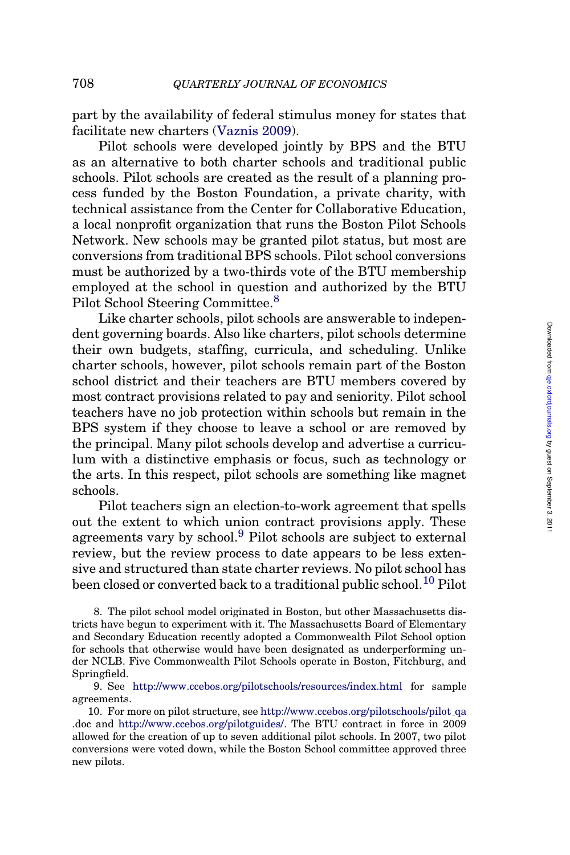part by the availability of federal stimulus money for states that facilitate new charters [\(Vaznis 2009\)](#page-49-0).

Pilot schools were developed jointly by BPS and the BTU as an alternative to both charter schools and traditional public schools. Pilot schools are created as the result of a planning process funded by the Boston Foundation, a private charity, with technical assistance from the Center for Collaborative Education, a local nonprofit organization that runs the Boston Pilot Schools Network. New schools may be granted pilot status, but most are conversions from traditional BPS schools. Pilot school conversions must be authorized by a two-thirds vote of the BTU membership employed at the school in question and authorized by the BTU Pilot School Steering Committee.<sup>[8](#page-9-0)</sup>

Like charter schools, pilot schools are answerable to independent governing boards. Also like charters, pilot schools determine their own budgets, staffing, curricula, and scheduling. Unlike charter schools, however, pilot schools remain part of the Boston school district and their teachers are BTU members covered by most contract provisions related to pay and seniority. Pilot school teachers have no job protection within schools but remain in the BPS system if they choose to leave a school or are removed by the principal. Many pilot schools develop and advertise a curriculum with a distinctive emphasis or focus, such as technology or the arts. In this respect, pilot schools are something like magnet schools.

Pilot teachers sign an election-to-work agreement that spells out the extent to which union contract provisions apply. These agreements vary by school.[9](#page-9-0) Pilot schools are subject to external review, but the review process to date appears to be less extensive and structured than state charter reviews. No pilot school has been closed or converted back to a traditional public school.[10](#page-9-0) Pilot

8. The pilot school model originated in Boston, but other Massachusetts districts have begun to experiment with it. The Massachusetts Board of Elementary and Secondary Education recently adopted a Commonwealth Pilot School option for schools that otherwise would have been designated as underperforming under NCLB. Five Commonwealth Pilot Schools operate in Boston, Fitchburg, and Springfield.

9. See <http://www.ccebos.org/pilotschools/resources/index.html> for sample agreements.

<span id="page-9-0"></span>10. For more on pilot structure, see [http://www.ccebos.org/pilotschools/pilot](http://www.ccebos.org/pilotschools/pilot_qa) qa .doc and <http://www.ccebos.org/pilotguides/>. The BTU contract in force in 2009 allowed for the creation of up to seven additional pilot schools. In 2007, two pilot conversions were voted down, while the Boston School committee approved three new pilots.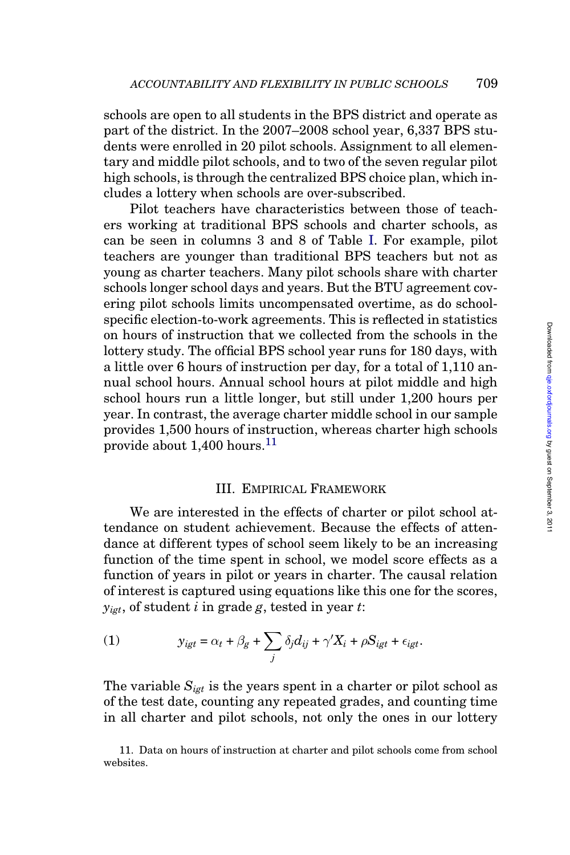schools are open to all students in the BPS district and operate as part of the district. In the 2007–2008 school year, 6,337 BPS students were enrolled in 20 pilot schools. Assignment to all elementary and middle pilot schools, and to two of the seven regular pilot high schools, is through the centralized BPS choice plan, which includes a lottery when schools are over-subscribed.

Pilot teachers have characteristics between those of teachers working at traditional BPS schools and charter schools, as can be seen in columns 3 and 8 of Table [I.](#page-8-0) For example, pilot teachers are younger than traditional BPS teachers but not as young as charter teachers. Many pilot schools share with charter schools longer school days and years. But the BTU agreement covering pilot schools limits uncompensated overtime, as do schoolspecific election-to-work agreements. This is reflected in statistics on hours of instruction that we collected from the schools in the lottery study. The official BPS school year runs for 180 days, with a little over 6 hours of instruction per day, for a total of 1,110 annual school hours. Annual school hours at pilot middle and high school hours run a little longer, but still under 1,200 hours per year. In contrast, the average charter middle school in our sample provides 1,500 hours of instruction, whereas charter high schools provide about  $1,400$  hours.<sup>[11](#page-10-0)</sup>

#### III. EMPIRICAL FRAMEWORK

We are interested in the effects of charter or pilot school attendance on student achievement. Because the effects of attendance at different types of school seem likely to be an increasing function of the time spent in school, we model score effects as a function of years in pilot or years in charter. The causal relation of interest is captured using equations like this one for the scores, *yigt*, of student *i* in grade *g*, tested in year *t*:

(1) 
$$
y_{igt} = \alpha_t + \beta_g + \sum_j \delta_j d_{ij} + \gamma' X_i + \rho S_{igt} + \epsilon_{igt}.
$$

The variable *Sigt* is the years spent in a charter or pilot school as of the test date, counting any repeated grades, and counting time in all charter and pilot schools, not only the ones in our lottery

<span id="page-10-0"></span>11. Data on hours of instruction at charter and pilot schools come from school websites.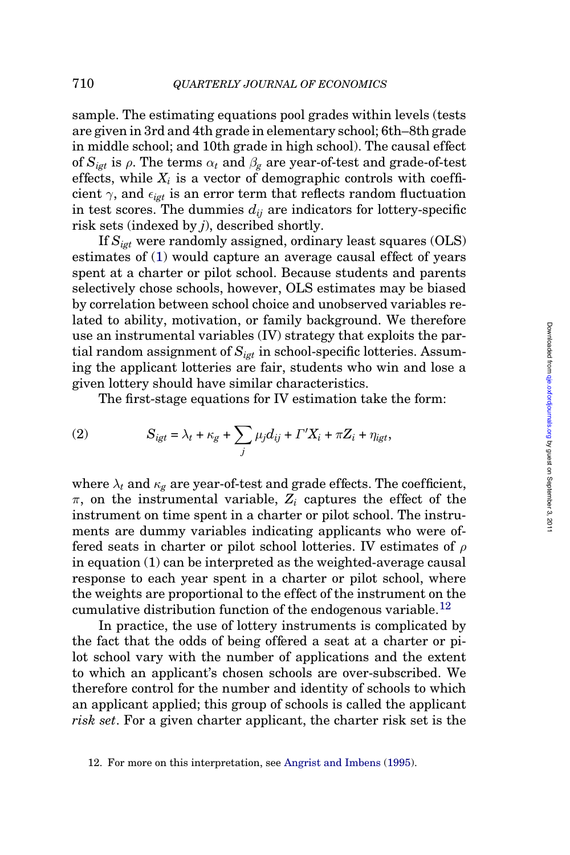sample. The estimating equations pool grades within levels (tests are given in 3rd and 4th grade in elementary school; 6th–8th grade in middle school; and 10th grade in high school). The causal effect of  $S_{igt}$  is  $\rho$ . The terms  $\alpha_t$  and  $\beta_g$  are year-of-test and grade-of-test effects, while  $X_i$  is a vector of demographic controls with coefficient  $\gamma$ , and  $\epsilon_{igt}$  is an error term that reflects random fluctuation in test scores. The dummies  $d_{ij}$  are indicators for lottery-specific risk sets (indexed by *j*), described shortly.

If *Sigt* were randomly assigned, ordinary least squares (OLS) estimates of ([1\)](#page-10-0) would capture an average causal effect of years spent at a charter or pilot school. Because students and parents selectively chose schools, however, OLS estimates may be biased by correlation between school choice and unobserved variables related to ability, motivation, or family background. We therefore use an instrumental variables (IV) strategy that exploits the partial random assignment of  $S_{iqt}$  in school-specific lotteries. Assuming the applicant lotteries are fair, students who win and lose a given lottery should have similar characteristics.

The first-stage equations for IV estimation take the form:

(2) 
$$
S_{igt} = \lambda_t + \kappa_g + \sum_j \mu_j d_{ij} + \Gamma' X_i + \pi Z_i + \eta_{igt},
$$

where  $\lambda_t$  and  $\kappa_g$  are year-of-test and grade effects. The coefficient,  $\pi$ , on the instrumental variable,  $Z_i$  captures the effect of the instrument on time spent in a charter or pilot school. The instruments are dummy variables indicating applicants who were offered seats in charter or pilot school lotteries. IV estimates of  $\rho$ in equation (1) can be interpreted as the weighted-average causal response to each year spent in a charter or pilot school, where the weights are proportional to the effect of the instrument on the cumulative distribution function of the endogenous variable.<sup>[12](#page-11-0)</sup>

In practice, the use of lottery instruments is complicated by the fact that the odds of being offered a seat at a charter or pilot school vary with the number of applications and the extent to which an applicant's chosen schools are over-subscribed. We therefore control for the number and identity of schools to which an applicant applied; this group of schools is called the applicant *risk set*. For a given charter applicant, the charter risk set is the

<span id="page-11-0"></span><sup>12.</sup> For more on this interpretation, see [Angrist and Imbens](#page-48-0) ([1995](#page-48-0)).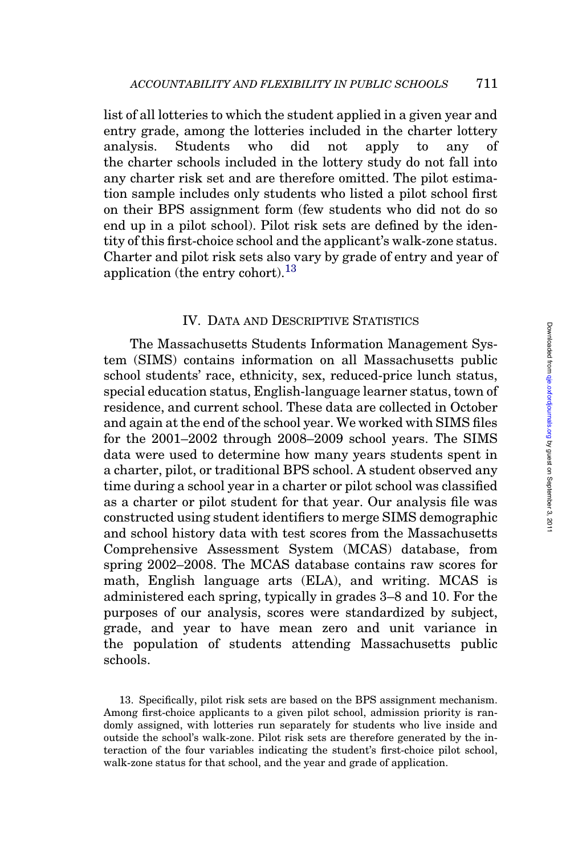list of all lotteries to which the student applied in a given year and entry grade, among the lotteries included in the charter lottery analysis. Students who did not apply to any of the charter schools included in the lottery study do not fall into any charter risk set and are therefore omitted. The pilot estimation sample includes only students who listed a pilot school first on their BPS assignment form (few students who did not do so end up in a pilot school). Pilot risk sets are defined by the identity of this first-choice school and the applicant's walk-zone status. Charter and pilot risk sets also vary by grade of entry and year of application (the entry cohort).<sup>[13](#page-12-0)</sup>

## IV. DATA AND DESCRIPTIVE STATISTICS

The Massachusetts Students Information Management System (SIMS) contains information on all Massachusetts public school students' race, ethnicity, sex, reduced-price lunch status, special education status, English-language learner status, town of residence, and current school. These data are collected in October and again at the end of the school year. We worked with SIMS files for the 2001–2002 through 2008–2009 school years. The SIMS data were used to determine how many years students spent in a charter, pilot, or traditional BPS school. A student observed any time during a school year in a charter or pilot school was classified as a charter or pilot student for that year. Our analysis file was constructed using student identifiers to merge SIMS demographic and school history data with test scores from the Massachusetts Comprehensive Assessment System (MCAS) database, from spring 2002–2008. The MCAS database contains raw scores for math, English language arts (ELA), and writing. MCAS is administered each spring, typically in grades 3–8 and 10. For the purposes of our analysis, scores were standardized by subject, grade, and year to have mean zero and unit variance in the population of students attending Massachusetts public schools.

<span id="page-12-0"></span>13. Specifically, pilot risk sets are based on the BPS assignment mechanism. Among first-choice applicants to a given pilot school, admission priority is randomly assigned, with lotteries run separately for students who live inside and outside the school's walk-zone. Pilot risk sets are therefore generated by the interaction of the four variables indicating the student's first-choice pilot school, walk-zone status for that school, and the year and grade of application.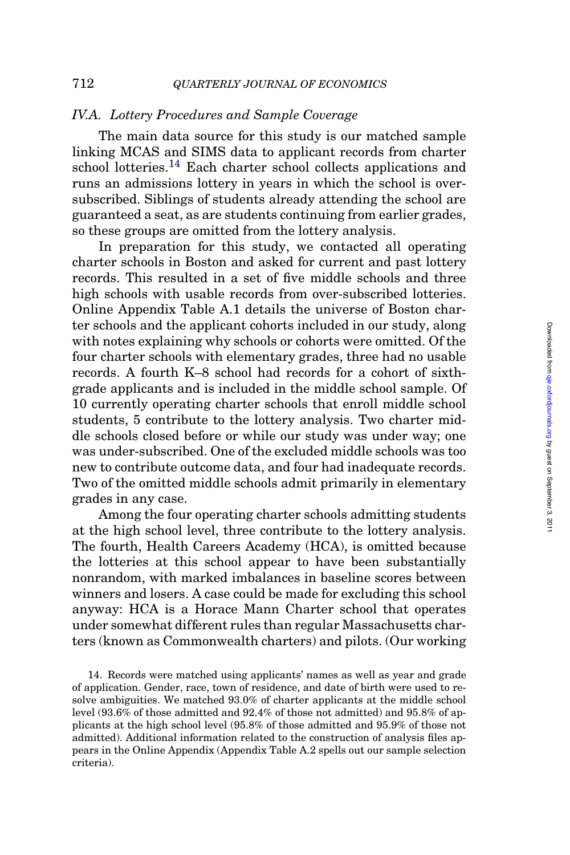#### *IV.A. Lottery Procedures and Sample Coverage*

The main data source for this study is our matched sample linking MCAS and SIMS data to applicant records from charter school lotteries.<sup>[14](#page-13-0)</sup> Each charter school collects applications and runs an admissions lottery in years in which the school is oversubscribed. Siblings of students already attending the school are guaranteed a seat, as are students continuing from earlier grades, so these groups are omitted from the lottery analysis.

In preparation for this study, we contacted all operating charter schools in Boston and asked for current and past lottery records. This resulted in a set of five middle schools and three high schools with usable records from over-subscribed lotteries. Online Appendix Table A.1 details the universe of Boston charter schools and the applicant cohorts included in our study, along with notes explaining why schools or cohorts were omitted. Of the four charter schools with elementary grades, three had no usable records. A fourth K–8 school had records for a cohort of sixthgrade applicants and is included in the middle school sample. Of 10 currently operating charter schools that enroll middle school students, 5 contribute to the lottery analysis. Two charter middle schools closed before or while our study was under way; one was under-subscribed. One of the excluded middle schools was too new to contribute outcome data, and four had inadequate records. Two of the omitted middle schools admit primarily in elementary grades in any case.

Among the four operating charter schools admitting students at the high school level, three contribute to the lottery analysis. The fourth, Health Careers Academy (HCA), is omitted because the lotteries at this school appear to have been substantially nonrandom, with marked imbalances in baseline scores between winners and losers. A case could be made for excluding this school anyway: HCA is a Horace Mann Charter school that operates under somewhat different rules than regular Massachusetts charters (known as Commonwealth charters) and pilots. (Our working

<span id="page-13-0"></span>14. Records were matched using applicants' names as well as year and grade of application. Gender, race, town of residence, and date of birth were used to resolve ambiguities. We matched 93.0% of charter applicants at the middle school level (93.6% of those admitted and 92.4% of those not admitted) and 95.8% of applicants at the high school level (95.8% of those admitted and 95.9% of those not admitted). Additional information related to the construction of analysis files appears in the Online Appendix (Appendix Table A.2 spells out our sample selection criteria).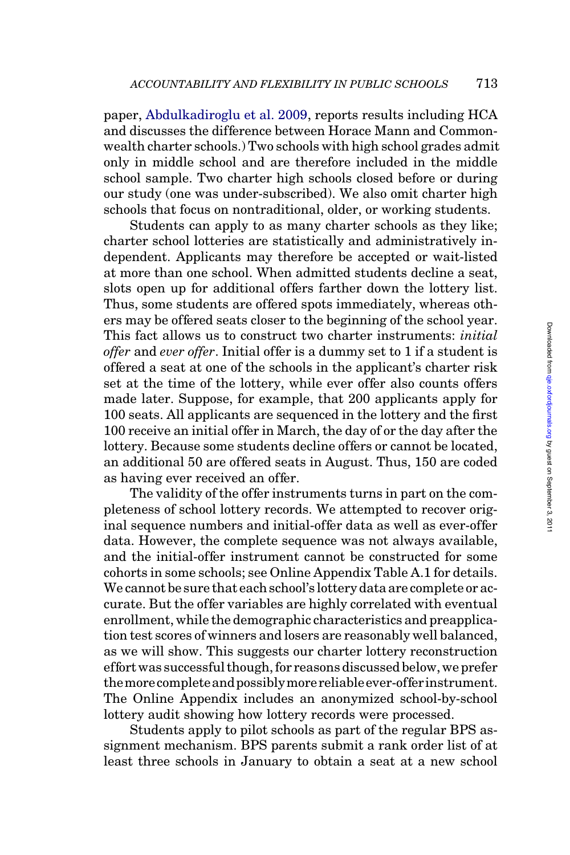paper, [Abdulkadiroglu et al. 2009](#page-48-0), reports results including HCA and discusses the difference between Horace Mann and Commonwealth charter schools.) Two schools with high school grades admit only in middle school and are therefore included in the middle school sample. Two charter high schools closed before or during our study (one was under-subscribed). We also omit charter high schools that focus on nontraditional, older, or working students.

Students can apply to as many charter schools as they like; charter school lotteries are statistically and administratively independent. Applicants may therefore be accepted or wait-listed at more than one school. When admitted students decline a seat, slots open up for additional offers farther down the lottery list. Thus, some students are offered spots immediately, whereas others may be offered seats closer to the beginning of the school year. This fact allows us to construct two charter instruments: *initial offer* and *ever offer*. Initial offer is a dummy set to 1 if a student is offered a seat at one of the schools in the applicant's charter risk set at the time of the lottery, while ever offer also counts offers made later. Suppose, for example, that 200 applicants apply for 100 seats. All applicants are sequenced in the lottery and the first 100 receive an initial offer in March, the day of or the day after the lottery. Because some students decline offers or cannot be located, an additional 50 are offered seats in August. Thus, 150 are coded as having ever received an offer.

The validity of the offer instruments turns in part on the completeness of school lottery records. We attempted to recover original sequence numbers and initial-offer data as well as ever-offer data. However, the complete sequence was not always available, and the initial-offer instrument cannot be constructed for some cohorts in some schools; see Online Appendix Table A.1 for details. We cannot be sure that each school's lottery data are complete or accurate. But the offer variables are highly correlated with eventual enrollment, while the demographic characteristics and preapplication test scores of winners and losers are reasonably well balanced, as we will show. This suggests our charter lottery reconstruction effort was successful though, for reasons discussed below, we prefer themorecompleteandpossiblymorereliable ever-offer instrument. The Online Appendix includes an anonymized school-by-school lottery audit showing how lottery records were processed.

Students apply to pilot schools as part of the regular BPS assignment mechanism. BPS parents submit a rank order list of at least three schools in January to obtain a seat at a new school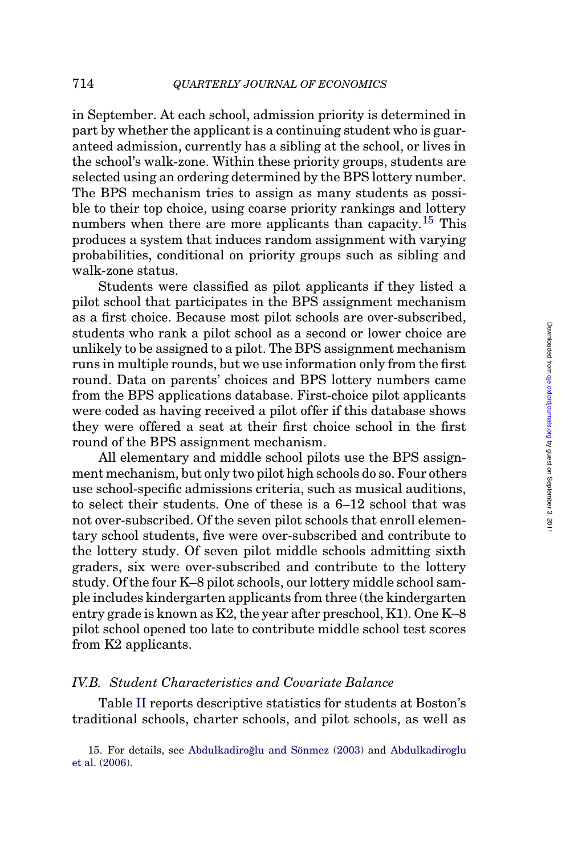in September. At each school, admission priority is determined in part by whether the applicant is a continuing student who is guaranteed admission, currently has a sibling at the school, or lives in the school's walk-zone. Within these priority groups, students are selected using an ordering determined by the BPS lottery number. The BPS mechanism tries to assign as many students as possible to their top choice, using coarse priority rankings and lottery numbers when there are more applicants than capacity.<sup>[15](#page-15-0)</sup> This produces a system that induces random assignment with varying probabilities, conditional on priority groups such as sibling and walk-zone status.

Students were classified as pilot applicants if they listed a pilot school that participates in the BPS assignment mechanism as a first choice. Because most pilot schools are over-subscribed, students who rank a pilot school as a second or lower choice are unlikely to be assigned to a pilot. The BPS assignment mechanism runs in multiple rounds, but we use information only from the first round. Data on parents' choices and BPS lottery numbers came from the BPS applications database. First-choice pilot applicants were coded as having received a pilot offer if this database shows they were offered a seat at their first choice school in the first round of the BPS assignment mechanism.

All elementary and middle school pilots use the BPS assignment mechanism, but only two pilot high schools do so. Four others use school-specific admissions criteria, such as musical auditions, to select their students. One of these is a 6–12 school that was not over-subscribed. Of the seven pilot schools that enroll elementary school students, five were over-subscribed and contribute to the lottery study. Of seven pilot middle schools admitting sixth graders, six were over-subscribed and contribute to the lottery study. Of the four K–8 pilot schools, our lottery middle school sample includes kindergarten applicants from three (the kindergarten entry grade is known as K2, the year after preschool, K1). One K–8 pilot school opened too late to contribute middle school test scores from K2 applicants.

### *IV.B. Student Characteristics and Covariate Balance*

Table [II](#page-17-0) reports descriptive statistics for students at Boston's traditional schools, charter schools, and pilot schools, as well as

<span id="page-15-0"></span>15. For details, see Abdulkadiroğlu and Sönmez [\(2003](#page-48-0)) and [Abdulkadiroglu](#page-48-0) [et al.](#page-48-0) [\(2006\)](#page-48-0).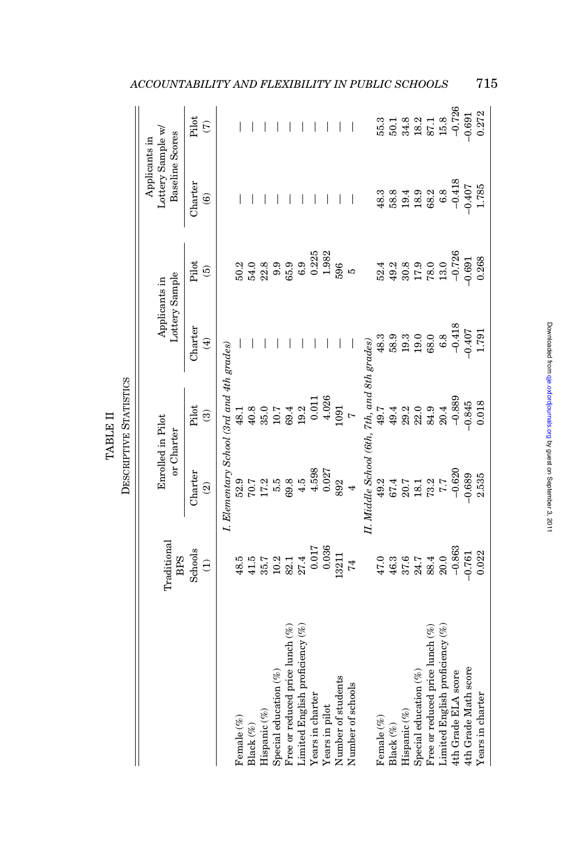|                                    |                                                        |                                              | DESCRIPTIVE STATISTICS            |                                                                                                |                        |                                                              |                        |
|------------------------------------|--------------------------------------------------------|----------------------------------------------|-----------------------------------|------------------------------------------------------------------------------------------------|------------------------|--------------------------------------------------------------|------------------------|
|                                    | Traditional<br><b>BLS</b>                              | <b>Enrolled</b> in Pilot<br>or Charter       |                                   | Lottery Sample<br>Applicants in                                                                |                        | Lottery Sample w/<br><b>Baseline Scores</b><br>Applicants in |                        |
|                                    | Schools<br>$\widehat{E}$                               | Charter<br>$\widehat{\mathfrak{D}}$          | Pilot<br>$\widehat{\mathfrak{B}}$ | Charter<br>$\widehat{E}$                                                                       | Pilot<br>$\widehat{5}$ | Charter<br>$\widehat{\mathbf{e}}$                            | Pilot<br>$\widehat{C}$ |
|                                    |                                                        |                                              |                                   |                                                                                                |                        |                                                              |                        |
|                                    |                                                        | I. Elementary School (3rd and 4th grades)    |                                   |                                                                                                |                        |                                                              |                        |
| Female $(\%)$                      | 48.5                                                   |                                              |                                   |                                                                                                |                        |                                                              |                        |
| Black $(\%)$                       |                                                        | $52.7$<br>$70.7$<br>$15.5$<br>$0.8$<br>$0.8$ | 4<br>4 4 5 5 7 4 7<br>4 5 5 6 7   |                                                                                                |                        |                                                              |                        |
| Hispanic (%)                       |                                                        |                                              |                                   |                                                                                                |                        |                                                              |                        |
| Special education $(\%)$           |                                                        |                                              |                                   |                                                                                                |                        |                                                              |                        |
| Free or reduced price lunch $(\%$  | $41.5$<br>$35.7$<br>$30.1$<br>$32.1$<br>$27.4$         |                                              |                                   |                                                                                                |                        |                                                              |                        |
| Limited English proficiency $(\%)$ |                                                        | 4.5                                          |                                   |                                                                                                |                        |                                                              |                        |
| Years in charter                   |                                                        | 4.598                                        | 0.011                             |                                                                                                |                        |                                                              |                        |
| Years in pilot                     | $\begin{array}{c} 0.017 \\ 0.036 \\ 13211 \end{array}$ | 0.027                                        | 4.026                             |                                                                                                |                        |                                                              |                        |
| Number of students                 |                                                        | 892                                          | 1091                              |                                                                                                |                        |                                                              |                        |
| Number of schools                  | 74                                                     | $\overline{a}$                               | $\overline{r}$                    |                                                                                                | ro                     |                                                              |                        |
|                                    |                                                        | II. Middle School (6th, 7th, and 8th grades) |                                   |                                                                                                |                        |                                                              |                        |
| Female $(\%)$                      |                                                        |                                              |                                   | 48.3                                                                                           |                        |                                                              |                        |
| Black $(\%)$                       | 0 3 3 9 7 4 0<br>5 4 5 7 4 8 9<br>6 7 8 9 8 9          | 4<br>67771277<br>46226                       |                                   |                                                                                                |                        |                                                              | 50320118<br>50320118   |
| Hispanic (%)                       |                                                        |                                              |                                   |                                                                                                |                        |                                                              |                        |
| Special education $(\%)$           |                                                        |                                              |                                   |                                                                                                |                        |                                                              |                        |
| Free or reduced price lunch $(\%)$ |                                                        |                                              |                                   |                                                                                                |                        |                                                              |                        |
| Limited English proficiency $(\%)$ |                                                        |                                              |                                   | $\begin{array}{l} 53.9\\ 53.3\\ 19.0\\ 68.0\\ 68.4\\ 64.0\\ 791\\ 1.791\\ 1.791\\ \end{array}$ |                        |                                                              |                        |
| 4th Grade ELA score                |                                                        | $-0.620$                                     |                                   |                                                                                                |                        |                                                              | $-0.726$               |
| 4th Grade Math score               | $\frac{-0.863}{-0.761}$<br>0.022                       | $-0.689$                                     |                                   |                                                                                                |                        |                                                              | $-0.691$               |
| Years in charter                   |                                                        | 2.535                                        | 0.018                             |                                                                                                | 0.268                  | $-0.418$<br>$-0.407$<br>$1.785$                              | 0.272                  |

 $\operatorname{TABLE}$ II TABLE II

*ACCOUNTABILITY AND FLEXIBILITY IN PUBLIC SCHOOLS* 715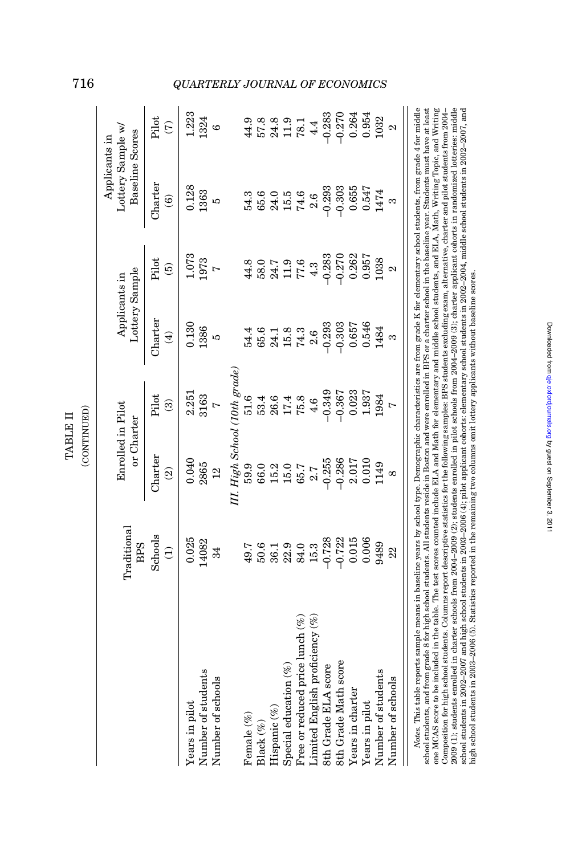|                                    | Traditional<br><b>BLS</b> | Enrolled in Pilot<br>or Charter     |                                 | Lottery Sample<br>Applicants in |                                             | Lottery Sample w/<br><b>Baseline Scores</b><br>Applicants in |                        |
|------------------------------------|---------------------------|-------------------------------------|---------------------------------|---------------------------------|---------------------------------------------|--------------------------------------------------------------|------------------------|
|                                    | Schools<br>$\ominus$      | Charter<br>$\widehat{\mathfrak{D}}$ | Pilot<br>$\widehat{\mathbf{e}}$ | Charter<br>$\widehat{E}$        | Pilot<br>$\widehat{5}$                      | Charter<br>$\widehat{\mathbf{e}}$                            | Pilot<br>$\widehat{C}$ |
| Years in pilot                     | 0.025                     | 0.040                               | 2.251                           | 0.130                           | 1.073                                       | 0.128                                                        | 1.223                  |
| Number of students                 | 14082                     | 2865                                | 3163                            | 1386                            | 1973                                        | 1363                                                         | 1324                   |
| Number of schools                  | $\overline{34}$           | $\overline{2}$                      | $\overline{a}$                  | Ю                               | $\overline{a}$                              | LО                                                           | G                      |
|                                    |                           |                                     | High School (10th grade)        |                                 |                                             |                                                              |                        |
| Female $(\%)$                      | 49.7                      | 59.9                                | 51.6                            | 54.4                            | 44.8                                        | 54.3                                                         | 44.9                   |
| $Black (\%)$                       | 50.6                      | 66.0                                | 53.4                            | 65.6                            | 58.0                                        | 65.6                                                         | 57.8                   |
| Hispanic (%)                       | 36.1                      | 15.2                                | 26.6                            | 24.1                            | 24.7                                        | 24.0                                                         |                        |
| Special education $(\%)$           | 22.9                      | 15.0                                | 17.4                            | 15.8                            |                                             | $15.5$<br>74.6                                               | 24.8<br>11.9<br>78.1   |
| Free or reduced price lunch $(\%$  | 84.0                      | 65.7                                | 75.8                            | 74.3                            | $\begin{array}{c} 11.9 \\ 77.6 \end{array}$ |                                                              |                        |
| Limited English proficiency $(\%)$ | 15.3                      | 2.7                                 | 4.6                             | 2.6                             | 4.3                                         | 2.6                                                          | 4.4                    |
| 8th Grade ELA score                | $-0.728$                  | $-0.255$                            | $-0.349$                        | $-0.293$                        | $-0.283$                                    | $-0.293$                                                     | $-0.283$               |
| 8th Grade Math score               | $-0.722$                  | $-0.286$                            | $-0.367$                        | $-0.303$                        | $-0.270$                                    | $-0.303$                                                     | $-0.270$               |
| Years in charter                   | 0.015                     | 2.017                               | 0.023                           | 0.657                           | 0.262                                       | 0.655                                                        | 0.264                  |
| Years in pilot                     | 0.006                     | 0.010                               | 1.937                           | 0.546                           | 0.957                                       | 0.547                                                        | 0.954                  |
| Number of students                 | 9489                      | 1149                                | 1984                            | 1484                            | 1038                                        | 1474                                                         | 1032                   |
| Number of schools                  | $\overline{2}$            | $\infty$                            |                                 | S                               | $\mathbf{\hat{z}}$                          |                                                              |                        |

one MCAS score to be included in the table. The test scores counted include ELA and Math for elementary and middle school students, and ELA, Math, Writing Topic, and Writing<br>Composition for high school students. Columns re school students in 2002–2007 and high school students in 2003–2006 (4); pilot applicant cohorts: elementary school students in 2002–2004, middle school students in 2002–2007, and<br>high school students in 2003–2006 (5). Stat school students, and from grade 8 for high school students. All students reside in Boston and were enrolled in BPS or a charter school in the baseline year. Students must have at least school students, and from grade 8 for high school students. All students reside in Boston and were enrolled in BPS or a charter school in the baseline year. Students must have at least one MCAS score to be included in the table. The test scores counted include ELA and Math for elementary and middle school students, and ELA, Math, Writing Topic, and Writing Composition for high school students. Columns report descriptive statistics for the following samples: BPS students excluding exam, alternative, charter and pilot students from 2004– 2009 (1); students enrolled in charter schools from 2004–2009 (2); students enrolled in pilot schools from 2004–2009 (3); charter applicant cohorts in randomized lotteries: middle school students in 2002–2007 and high school students in 2003–2006 (4); pilot applicant cohorts: elementary school students in 2002–2004, middle school students in 2002–2007, and high school students in 2003–2006 (5). Statistics reported in the remaining two columns omit lottery applicants without baseline scores.

<span id="page-17-0"></span>TABLE II

TABLE II

# 716 *QUARTERLY JOURNAL OF ECONOMICS*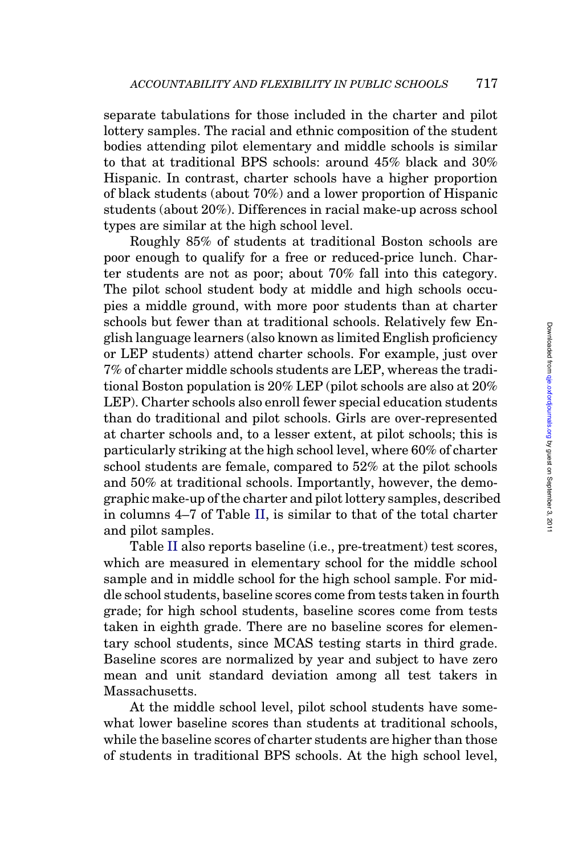separate tabulations for those included in the charter and pilot lottery samples. The racial and ethnic composition of the student bodies attending pilot elementary and middle schools is similar to that at traditional BPS schools: around 45% black and 30% Hispanic. In contrast, charter schools have a higher proportion of black students (about 70%) and a lower proportion of Hispanic students (about 20%). Differences in racial make-up across school types are similar at the high school level.

Roughly 85% of students at traditional Boston schools are poor enough to qualify for a free or reduced-price lunch. Charter students are not as poor; about 70% fall into this category. The pilot school student body at middle and high schools occupies a middle ground, with more poor students than at charter schools but fewer than at traditional schools. Relatively few English language learners (also known as limited English proficiency or LEP students) attend charter schools. For example, just over 7% of charter middle schools students are LEP, whereas the traditional Boston population is 20% LEP (pilot schools are also at 20% LEP). Charter schools also enroll fewer special education students than do traditional and pilot schools. Girls are over-represented at charter schools and, to a lesser extent, at pilot schools; this is particularly striking at the high school level, where 60% of charter school students are female, compared to 52% at the pilot schools and 50% at traditional schools. Importantly, however, the demographic make-up of the charter and pilot lottery samples, described in columns 4–7 of Table [II,](#page-17-0) is similar to that of the total charter and pilot samples.

Table [II](#page-17-0) also reports baseline (i.e., pre-treatment) test scores, which are measured in elementary school for the middle school sample and in middle school for the high school sample. For middle school students, baseline scores come from tests taken in fourth grade; for high school students, baseline scores come from tests taken in eighth grade. There are no baseline scores for elementary school students, since MCAS testing starts in third grade. Baseline scores are normalized by year and subject to have zero mean and unit standard deviation among all test takers in Massachusetts.

At the middle school level, pilot school students have somewhat lower baseline scores than students at traditional schools, while the baseline scores of charter students are higher than those of students in traditional BPS schools. At the high school level,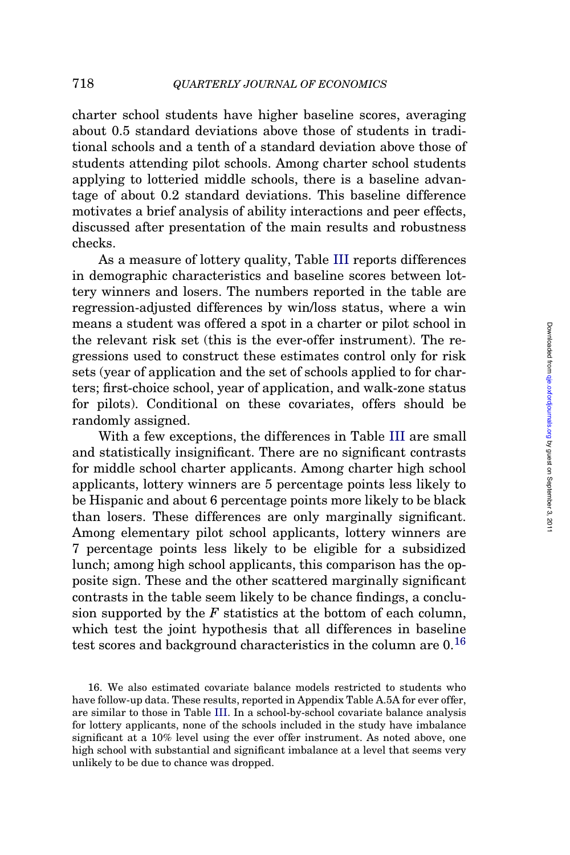charter school students have higher baseline scores, averaging about 0.5 standard deviations above those of students in traditional schools and a tenth of a standard deviation above those of students attending pilot schools. Among charter school students applying to lotteried middle schools, there is a baseline advantage of about 0.2 standard deviations. This baseline difference motivates a brief analysis of ability interactions and peer effects, discussed after presentation of the main results and robustness checks.

As a measure of lottery quality, Table [III](#page-21-0) reports differences in demographic characteristics and baseline scores between lottery winners and losers. The numbers reported in the table are regression-adjusted differences by win/loss status, where a win means a student was offered a spot in a charter or pilot school in the relevant risk set (this is the ever-offer instrument). The regressions used to construct these estimates control only for risk sets (year of application and the set of schools applied to for charters; first-choice school, year of application, and walk-zone status for pilots). Conditional on these covariates, offers should be randomly assigned.

With a few exceptions, the differences in Table [III](#page-21-0) are small and statistically insignificant. There are no significant contrasts for middle school charter applicants. Among charter high school applicants, lottery winners are 5 percentage points less likely to be Hispanic and about 6 percentage points more likely to be black than losers. These differences are only marginally significant. Among elementary pilot school applicants, lottery winners are 7 percentage points less likely to be eligible for a subsidized lunch; among high school applicants, this comparison has the opposite sign. These and the other scattered marginally significant contrasts in the table seem likely to be chance findings, a conclusion supported by the *F* statistics at the bottom of each column, which test the joint hypothesis that all differences in baseline test scores and background characteristics in the column are  $0<sup>16</sup>$  $0<sup>16</sup>$  $0<sup>16</sup>$ 

<span id="page-19-0"></span><sup>16.</sup> We also estimated covariate balance models restricted to students who have follow-up data. These results, reported in Appendix Table A.5A for ever offer, are similar to those in Table [III.](#page-21-0) In a school-by-school covariate balance analysis for lottery applicants, none of the schools included in the study have imbalance significant at a 10% level using the ever offer instrument. As noted above, one high school with substantial and significant imbalance at a level that seems very unlikely to be due to chance was dropped.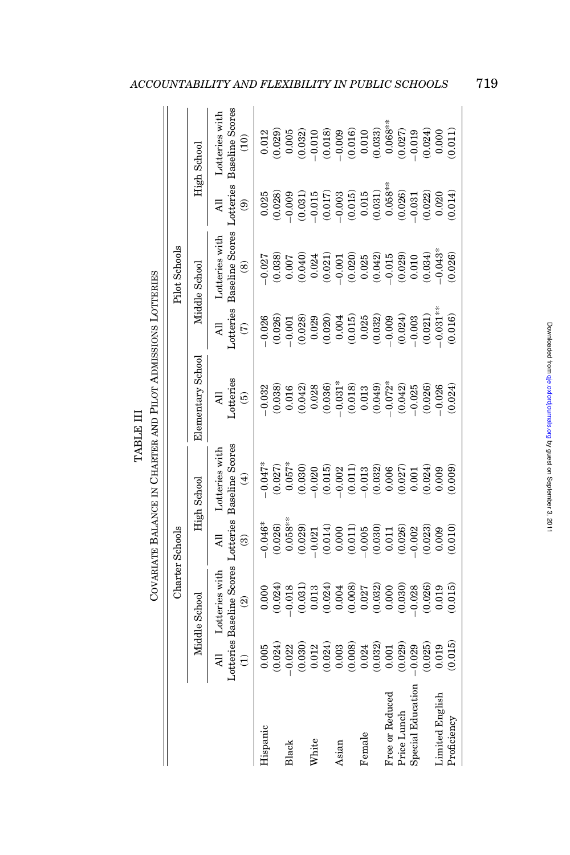|           | <b>PMISSIONS</b> |
|-----------|------------------|
|           | AND PILOT A      |
| <b>TL</b> |                  |
| TABLE     | É<br>I CHART     |
|           |                  |
|           | NGE IN U<br>i    |

|                   |                                                                                      |                                                                                                                                                        |                                                                                                                                      |                                                                       | COVARIATE BALANCE IN CHARTER AND PILOT ADMISSIONS LOTTERIES                                                                                                     |                                             |                                                                                                      |                                                                                                                                                                 |                                                                                                                                                                                                                                                                                              |
|-------------------|--------------------------------------------------------------------------------------|--------------------------------------------------------------------------------------------------------------------------------------------------------|--------------------------------------------------------------------------------------------------------------------------------------|-----------------------------------------------------------------------|-----------------------------------------------------------------------------------------------------------------------------------------------------------------|---------------------------------------------|------------------------------------------------------------------------------------------------------|-----------------------------------------------------------------------------------------------------------------------------------------------------------------|----------------------------------------------------------------------------------------------------------------------------------------------------------------------------------------------------------------------------------------------------------------------------------------------|
|                   |                                                                                      |                                                                                                                                                        | Charter Schools                                                                                                                      |                                                                       |                                                                                                                                                                 |                                             | <b>Pilot Schools</b>                                                                                 |                                                                                                                                                                 |                                                                                                                                                                                                                                                                                              |
|                   |                                                                                      | Middle School                                                                                                                                          |                                                                                                                                      | High School                                                           | Elementary School                                                                                                                                               |                                             | Middle School                                                                                        |                                                                                                                                                                 | High School                                                                                                                                                                                                                                                                                  |
|                   | $\Xi$<br>$\widehat{\Xi}$                                                             | otteries Baseline Scores<br>Lotteries with<br>$\widehat{\mathfrak{D}}$                                                                                 | $\widehat{\mathbf{e}}$<br>티                                                                                                          | Lotteries Baseline Scores<br>Lotteries with<br>$\bigoplus$            | otteries<br>$\overline{AB}$<br>$\widehat{e}$                                                                                                                    | otteries<br>$\overline{A}$<br>$\widehat{c}$ | Baseline Scores<br>Lotteries with<br>$\circledS$                                                     | Lotteries<br>$\widehat{\mathbf{e}}$<br>E                                                                                                                        | Baseline Scores<br>Lotteries with<br>$\widehat{\Xi}$                                                                                                                                                                                                                                         |
| Hispanic          | 0.005                                                                                | 0.000                                                                                                                                                  | $0.046*$                                                                                                                             | $0.047*$                                                              | 0.032                                                                                                                                                           | $-0.026$                                    | 0.027                                                                                                | 0.025                                                                                                                                                           | 0.012                                                                                                                                                                                                                                                                                        |
|                   |                                                                                      | (0.024)                                                                                                                                                |                                                                                                                                      | (0.027)                                                               | (0.038)                                                                                                                                                         |                                             |                                                                                                      |                                                                                                                                                                 |                                                                                                                                                                                                                                                                                              |
| Black             | $(0.024)$<br>$-0.022$                                                                |                                                                                                                                                        | $(0.026)$<br>$0.058**$                                                                                                               | $0.057*$<br>(0.030)                                                   |                                                                                                                                                                 |                                             |                                                                                                      |                                                                                                                                                                 |                                                                                                                                                                                                                                                                                              |
|                   | (0.030)                                                                              |                                                                                                                                                        |                                                                                                                                      |                                                                       |                                                                                                                                                                 |                                             |                                                                                                      |                                                                                                                                                                 |                                                                                                                                                                                                                                                                                              |
| White             |                                                                                      |                                                                                                                                                        |                                                                                                                                      | $-0.020$                                                              |                                                                                                                                                                 |                                             | $\begin{array}{c} 0.038 \\ 0.007 \\ 0.040) \\ 0.024 \end{array}$                                     |                                                                                                                                                                 |                                                                                                                                                                                                                                                                                              |
|                   |                                                                                      |                                                                                                                                                        |                                                                                                                                      |                                                                       |                                                                                                                                                                 |                                             |                                                                                                      |                                                                                                                                                                 |                                                                                                                                                                                                                                                                                              |
| Asian             |                                                                                      |                                                                                                                                                        |                                                                                                                                      |                                                                       |                                                                                                                                                                 |                                             |                                                                                                      |                                                                                                                                                                 |                                                                                                                                                                                                                                                                                              |
|                   | $\begin{array}{c} 0.012 \\ 0.024) \\ 0.003 \\ 0.008) \\ 0.0024 \\ 0.032 \end{array}$ | $\begin{array}{c} -0.018 \\ -0.031) \\ 0.013 \\ -0.013 \\ -0.024) \\ 0.006 \\ -0.008 \\ -0.0030 \\ -0.000 \\ 0.000 \\ -0.030) \\ 0.030 \\ \end{array}$ | $\begin{array}{c} (0.029) \\ -0.021 \\ -0.014) \\ (0.010) \\ 0.011) \\ (0.011) \\ -0.005 \\ (0.030) \\ 0.011 \\ (0.026) \end{array}$ | $\begin{array}{c} (0.015) \\ -0.002 \\ (0.011) \\ -0.013 \end{array}$ | $\begin{array}{l} 0.016\\ 0.042)\\ 0.028\\ 0.036)\\ 0.037^{*}_{1} \\ -0.031^{*}_{2} \\ 0.013)\\ 0.013\\ 0.049)\\ 0.042)\\ 0.042)\\ 0.042)\\ 0.042) \end{array}$ |                                             | $\begin{array}{l} (0.021) \\ -0.001 \\ (0.020) \\ 0.025 \\ (0.042) \\ -0.015 \\ (0.029) \end{array}$ | $\begin{array}{l} (0.028) \\ -0.009 \\ -0.031) \\ (0.031) \\ -0.015 \\ -0.017 \\ -0.003 \\ (0.015) \\ (0.015) \\ (0.031) \\ (0.031) \\ 0.058^{***} \end{array}$ | $\begin{array}{l} (0.029)\\ (0.050)\\ (0.050)\\ (0.051)\\ (0.051)\\ (0.051)\\ (0.051)\\ (0.051)\\ (0.051)\\ (0.051)\\ (0.051)\\ (0.051)\\ (0.051)\\ (0.051)\\ (0.051)\\ (0.051)\\ (0.051)\\ (0.051)\\ (0.051)\\ (0.051)\\ (0.051)\\ (0.051)\\ (0.051)\\ (0.051)\\ (0.051)\\ (0.051)\\ (0.05$ |
| Female            |                                                                                      |                                                                                                                                                        |                                                                                                                                      |                                                                       |                                                                                                                                                                 |                                             |                                                                                                      |                                                                                                                                                                 |                                                                                                                                                                                                                                                                                              |
|                   |                                                                                      |                                                                                                                                                        |                                                                                                                                      |                                                                       |                                                                                                                                                                 |                                             |                                                                                                      |                                                                                                                                                                 |                                                                                                                                                                                                                                                                                              |
| Free or Reduced   | 0.001                                                                                |                                                                                                                                                        |                                                                                                                                      |                                                                       |                                                                                                                                                                 |                                             |                                                                                                      |                                                                                                                                                                 |                                                                                                                                                                                                                                                                                              |
| Price Lunch       | (0.029)                                                                              |                                                                                                                                                        |                                                                                                                                      | $\begin{array}{c} (0.032) \\ 0.006 \\ (0.027) \end{array}$            |                                                                                                                                                                 |                                             |                                                                                                      |                                                                                                                                                                 |                                                                                                                                                                                                                                                                                              |
| Special Education | $-0.029$                                                                             | $-0.028$                                                                                                                                               | $-0.002$                                                                                                                             |                                                                       | $-0.025$                                                                                                                                                        |                                             | 0.010                                                                                                |                                                                                                                                                                 |                                                                                                                                                                                                                                                                                              |
|                   | (0.025)                                                                              | (0.026)                                                                                                                                                | (0.023)                                                                                                                              | $(0.001$<br>$(0.024)$                                                 | (0.026)                                                                                                                                                         |                                             |                                                                                                      | $\begin{array}{c} (0.026) \\ -0.031 \\ (0.022) \\ 0.029 \end{array}$                                                                                            |                                                                                                                                                                                                                                                                                              |
| imited English    | 0.019                                                                                | 0.019                                                                                                                                                  | 0.009                                                                                                                                | $0.009$<br>$0.009$                                                    |                                                                                                                                                                 |                                             | $(0.034)$<br>$-0.043*$                                                                               |                                                                                                                                                                 |                                                                                                                                                                                                                                                                                              |
| Proficiency       | (0.015)                                                                              | (0.015)                                                                                                                                                | (0.010)                                                                                                                              |                                                                       | (0.024)                                                                                                                                                         | (0.016)                                     | (0.026)                                                                                              | 0.014)                                                                                                                                                          | 0.011)                                                                                                                                                                                                                                                                                       |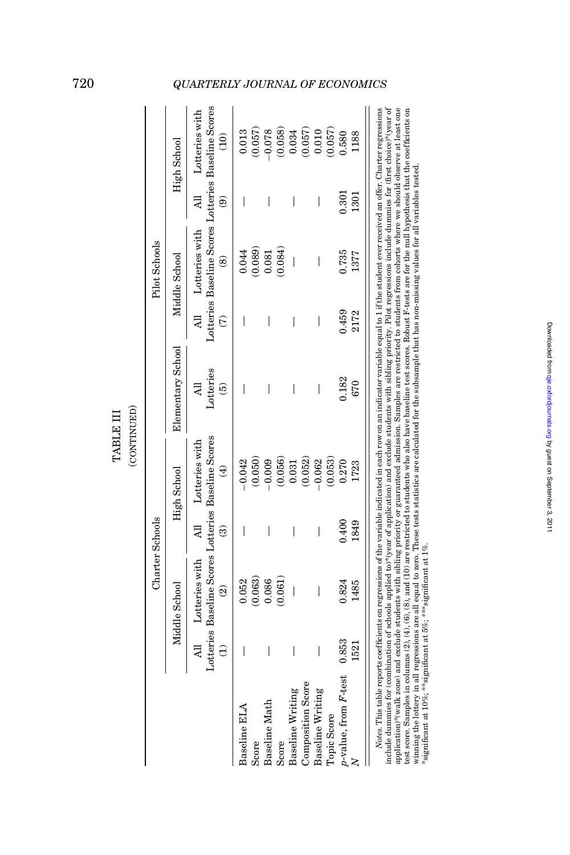|                         |                | Charter Schools                                                                                   |                          |                                   |                                              |                          | <b>Pilot Schools</b>                                                                       |                          |                                       |
|-------------------------|----------------|---------------------------------------------------------------------------------------------------|--------------------------|-----------------------------------|----------------------------------------------|--------------------------|--------------------------------------------------------------------------------------------|--------------------------|---------------------------------------|
|                         |                | Middle School                                                                                     |                          | High School                       | Elementary School                            |                          | Middle School                                                                              |                          | High School                           |
|                         | $\overline{A}$ | Lotteries Baseline Scores Lotteries Baseline Scores<br>Lotteries with<br>$\widehat{\mathfrak{D}}$ | ම                        | All Lotteries with<br>$\bigoplus$ | Lotteries<br>$\widehat{6}$<br>$\overline{z}$ | $\widehat{\epsilon}$     | Lotteries Baseline Scores Lotteries Baseline Scores<br>All Lotteries with<br>$\circledast$ | $\widehat{\mathbf{e}}$   | All Lotteries with<br>$\widehat{\Xi}$ |
| Baseline ELA            | I              | 0.052                                                                                             | $\overline{\phantom{a}}$ | $-0.042$                          | $\overline{\phantom{a}}$                     | I                        | 0.044                                                                                      | $\overline{\phantom{a}}$ | 0.013                                 |
| Score                   |                | (0.063)                                                                                           |                          | (0.050)                           |                                              |                          | (0.089)                                                                                    |                          | (0.057)                               |
| <b>Baseline</b> Math    | I              | 0.086                                                                                             | I                        | $-0.009$                          | I                                            | I                        | 0.081                                                                                      | I                        | $-0.078$                              |
| Score                   |                | (0.061)                                                                                           |                          | (0.056)                           |                                              |                          | (0.084)                                                                                    |                          |                                       |
| <b>Baseline Writing</b> | I              | $\overline{\phantom{a}}$                                                                          | I                        | 0.031                             | I                                            | I                        | $\overline{\phantom{a}}$                                                                   | I                        | $(0.058)$<br>$0.034$                  |
| Composition Score       |                |                                                                                                   |                          | (0.052)                           |                                              |                          |                                                                                            |                          | (0.057)                               |
| <b>Baseline Writing</b> | I              | I                                                                                                 | I                        | $-0.062$                          | I                                            | $\overline{\phantom{a}}$ |                                                                                            | I                        | 0.010                                 |
| Topic Score             |                |                                                                                                   |                          | (0.053)                           |                                              |                          |                                                                                            |                          | 0.057)                                |
| p-value, from F-test    | 0.853          | 0.824                                                                                             | 0.400                    | 0.270                             | 0.182                                        | 0.459                    | 0.735                                                                                      | 0.301                    | 0.580                                 |
|                         | 1521           | 1485                                                                                              | 1849                     | 1723                              | 670                                          | 2172                     | 1377                                                                                       | 1301                     | 1188                                  |

<span id="page-21-0"></span>TABLE III

application)\*(walk zone) and exclude students with sibling priority or guaranteed admission. Samples are restricted to students from cohorts where we should observe at least one test score. Samples in columns (2), (4), (6), (8), and (10) are restricted to students who also have baseline test scores. Robust F-tests are for the null hypothesis that the coefficients on winning the lottery in all regressions are all equal to zero. These tests statistics are calculated for the subsample that has non-missing values for all variables tested. \*significant at 10%; \*\*significant at 5%; \*\*\*significant at 1%.

# 720 *QUARTERLY JOURNAL OF ECONOMICS*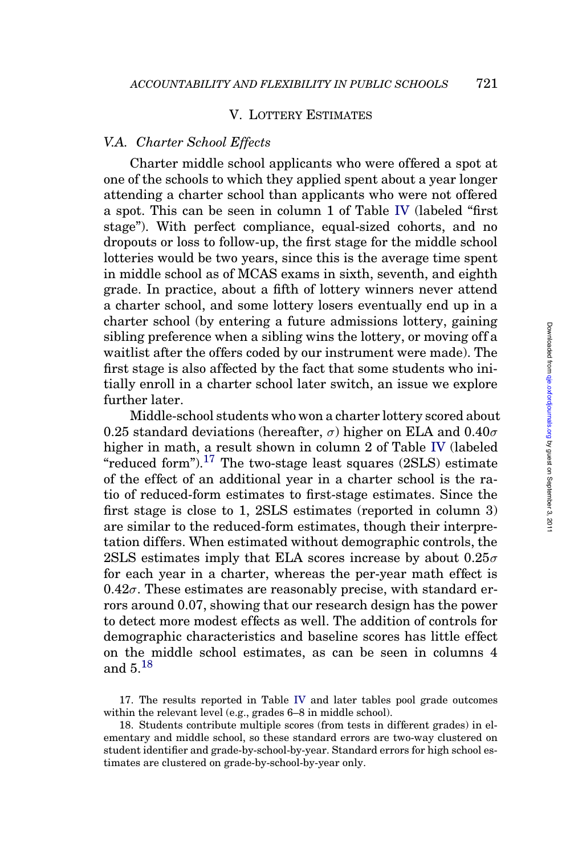#### V. LOTTERY ESTIMATES

#### *V.A. Charter School Effects*

Charter middle school applicants who were offered a spot at one of the schools to which they applied spent about a year longer attending a charter school than applicants who were not offered a spot. This can be seen in column 1 of Table [IV](#page-24-0) (labeled "first stage"). With perfect compliance, equal-sized cohorts, and no dropouts or loss to follow-up, the first stage for the middle school lotteries would be two years, since this is the average time spent in middle school as of MCAS exams in sixth, seventh, and eighth grade. In practice, about a fifth of lottery winners never attend a charter school, and some lottery losers eventually end up in a charter school (by entering a future admissions lottery, gaining sibling preference when a sibling wins the lottery, or moving off a waitlist after the offers coded by our instrument were made). The first stage is also affected by the fact that some students who initially enroll in a charter school later switch, an issue we explore further later.

Middle-school students who won a charter lottery scored about 0.25 standard deviations (hereafter,  $\sigma$ ) higher on ELA and 0.40 $\sigma$ higher in math, a result shown in column 2 of Table [IV](#page-24-0) (labeled "reduced form").[17](#page-22-0) The two-stage least squares (2SLS) estimate of the effect of an additional year in a charter school is the ratio of reduced-form estimates to first-stage estimates. Since the first stage is close to 1, 2SLS estimates (reported in column 3) are similar to the reduced-form estimates, though their interpretation differs. When estimated without demographic controls, the 2SLS estimates imply that ELA scores increase by about  $0.25\sigma$ for each year in a charter, whereas the per-year math effect is  $0.42\sigma$ . These estimates are reasonably precise, with standard errors around 0.07, showing that our research design has the power to detect more modest effects as well. The addition of controls for demographic characteristics and baseline scores has little effect on the middle school estimates, as can be seen in columns 4 and  $5^{18}$  $5^{18}$  $5^{18}$ 

17. The results reported in Table [IV](#page-24-0) and later tables pool grade outcomes within the relevant level (e.g., grades 6–8 in middle school).

<span id="page-22-0"></span><sup>18.</sup> Students contribute multiple scores (from tests in different grades) in elementary and middle school, so these standard errors are two-way clustered on student identifier and grade-by-school-by-year. Standard errors for high school estimates are clustered on grade-by-school-by-year only.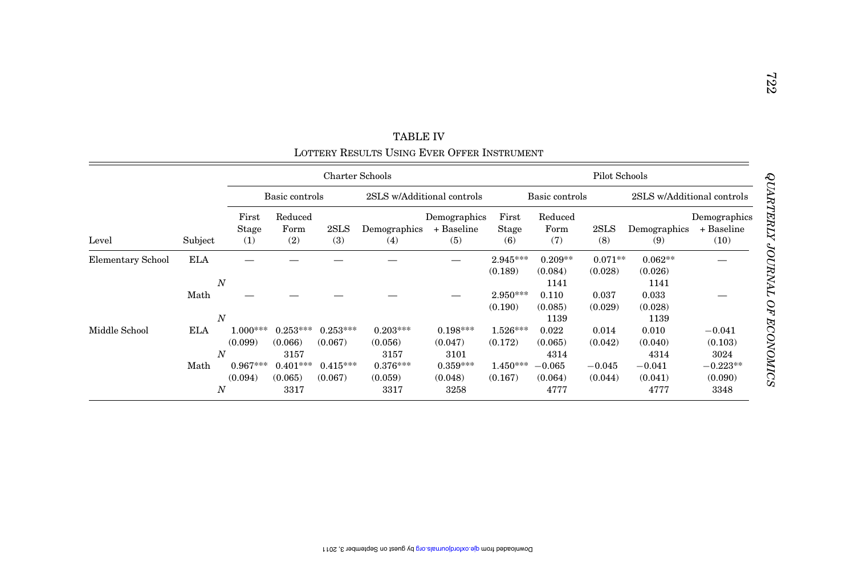|                   |            |                                                               |                                       | <b>Charter Schools</b> |                                       |                                       |                       |                                     | Pilot Schools        |                                     |                                       |
|-------------------|------------|---------------------------------------------------------------|---------------------------------------|------------------------|---------------------------------------|---------------------------------------|-----------------------|-------------------------------------|----------------------|-------------------------------------|---------------------------------------|
|                   |            |                                                               | Basic controls                        |                        |                                       | 2SLS w/Additional controls            |                       | Basic controls                      |                      |                                     | 2SLS w/Additional controls            |
| Level             | Subject    | First<br>Stage<br>(1)                                         | Reduced<br>Form<br>(2)                | 2SLS<br>(3)            | Demographics<br>(4)                   | Demographics<br>+ Baseline<br>(5)     | First<br>Stage<br>(6) | Reduced<br>Form<br>(7)              | 2SLS<br>(8)          | Demographics<br>(9)                 | Demographics<br>+ Baseline<br>(10)    |
| Elementary School | <b>ELA</b> |                                                               |                                       |                        |                                       |                                       | 2.945***<br>(0.189)   | $0.209**$<br>(0.084)                | $0.071**$<br>(0.028) | $0.062**$<br>(0.026)                |                                       |
|                   | Math       | $\boldsymbol{N}$<br>$\boldsymbol{N}$                          |                                       |                        |                                       |                                       | $2.950***$<br>(0.190) | 1141<br>0.110<br>(0.085)<br>1139    | 0.037<br>(0.029)     | 1141<br>0.033<br>(0.028)<br>1139    |                                       |
| Middle School     | ELA        | $1.000***$<br>(0.099)                                         | $0.253***$<br>(0.066)                 | $0.253***$<br>(0.067)  | $0.203***$<br>(0.056)                 | $0.198***$<br>(0.047)                 | $1.526***$<br>(0.172) | 0.022<br>(0.065)                    | 0.014<br>(0.042)     | 0.010<br>(0.040)                    | $-0.041$<br>(0.103)                   |
|                   | Math       | $\boldsymbol{N}$<br>$0.967***$<br>(0.094)<br>$\boldsymbol{N}$ | 3157<br>$0.401***$<br>(0.065)<br>3317 | $0.415***$<br>(0.067)  | 3157<br>$0.376***$<br>(0.059)<br>3317 | 3101<br>$0.359***$<br>(0.048)<br>3258 | $1.450***$<br>(0.167) | 4314<br>$-0.065$<br>(0.064)<br>4777 | $-0.045$<br>(0.044)  | 4314<br>$-0.041$<br>(0.041)<br>4777 | 3024<br>$-0.223**$<br>(0.090)<br>3348 |

## TABLE IV LOTTERY RESULTS USING EVER OFFER INSTRUMENT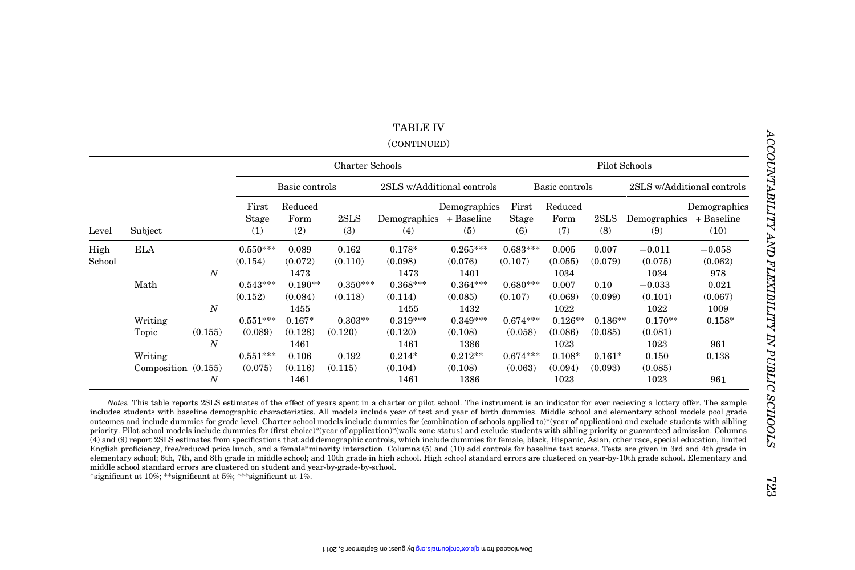| TABLE IV    |
|-------------|
| (CONTINHED) |

|                |                       |                  |                       |                        | Charter Schools  |                            |                                   |                       |                        |                                          | Pilot Schools       |                                    |
|----------------|-----------------------|------------------|-----------------------|------------------------|------------------|----------------------------|-----------------------------------|-----------------------|------------------------|------------------------------------------|---------------------|------------------------------------|
|                |                       |                  |                       | Basic controls         |                  | 2SLS w/Additional controls |                                   |                       | Basic controls         |                                          |                     | 2SLS w/Additional controls         |
| Level          | Subject               |                  | First<br>Stage<br>(1) | Reduced<br>Form<br>(2) | 2SLS<br>(3)      | Demographics<br>(4)        | Demographics<br>+ Baseline<br>(5) | First<br>Stage<br>(6) | Reduced<br>Form<br>(7) | $2\mathrm{S}\mathrm{L}\mathrm{S}$<br>(8) | Demographics<br>(9) | Demographics<br>+ Baseline<br>(10) |
| High<br>School | ELA                   |                  | $0.550***$<br>(0.154) | 0.089<br>(0.072)       | 0.162<br>(0.110) | $0.178*$<br>(0.098)        | $0.265***$<br>(0.076)             | $0.683***$<br>(0.107) | 0.005<br>(0.055)       | 0.007<br>(0.079)                         | $-0.011$<br>(0.075) | $-0.058$<br>(0.062)                |
|                |                       | $\boldsymbol{N}$ |                       | 1473                   |                  | 1473                       | 1401                              |                       | 1034                   |                                          | 1034                | 978                                |
|                | Math                  |                  | $0.543***$            | $0.190**$              | $0.350***$       | $0.368***$                 | $0.364***$                        | $0.680***$            | 0.007                  | 0.10                                     | $-0.033$            | 0.021                              |
|                |                       |                  | (0.152)               | (0.084)                | (0.118)          | (0.114)                    | (0.085)                           | (0.107)               | (0.069)                | (0.099)                                  | (0.101)             | (0.067)                            |
|                |                       | $\boldsymbol{N}$ |                       | 1455                   |                  | 1455                       | 1432                              |                       | 1022                   |                                          | 1022                | 1009                               |
|                | Writing               |                  | $0.551***$            | $0.167*$               | $0.303**$        | $0.319***$                 | $0.349***$                        | $0.674***$            | $0.126**$              | $0.186**$                                | $0.170**$           | $0.158*$                           |
|                | Topic                 | (0.155)          | (0.089)               | (0.128)                | (0.120)          | (0.120)                    | (0.108)                           | (0.058)               | (0.086)                | (0.085)                                  | (0.081)             |                                    |
|                |                       | Ν                |                       | 1461                   |                  | 1461                       | 1386                              |                       | 1023                   |                                          | 1023                | 961                                |
|                | Writing               |                  | $0.551***$            | 0.106                  | 0.192            | $0.214*$                   | $0.212**$                         | $0.674***$            | $0.108*$               | $0.161*$                                 | 0.150               | 0.138                              |
|                | Composition $(0.155)$ |                  | (0.075)               | (0.116)                | (0.115)          | (0.104)                    | (0.108)                           | (0.063)               | (0.094)                | (0.093)                                  | (0.085)             |                                    |

<span id="page-24-0"></span>*Notes.* This table reports 2SLS estimates of the effect of years spent in a charter or pilot school. The instrument is an indicator for ever recieving a lottery offer. The sample includes students with baseline demographic characteristics. All models include year of test and year of birth dummies. Middle school and elementary school models pool grade outcomes and include dummies for grade level. Charter school models include dummies for (combination of schools applied to)\*(year of application) and exclude students with sibling priority. Pilot school models include dummies for (first choice)\*(year of application)\*(walk zone status) and exclude students with sibling priority or guaranteed admission. Columns (4) and (9) report 2SLS estimates from specifications that add demographic controls, which include dummies for female, black, Hispanic, Asian, other race, special education, limited English proficiency, free/reduced price lunch, and a female\*minority interaction. Columns (5) and (10) add controls for baseline test scores. Tests are given in 3rd and 4th grade in elementary school; 6th, 7th, and 8th grade in middle school; and 10th grade in high school. High school standard errors are clustered on year-by-10th grade school. Elementary and middle school standard errors are clustered on student and year-by-grade-by-school. \*significant at 10%; \*\*significant at 5%; \*\*\*significant at 1%.

*N* 1461 1461 1386 1023 1023 961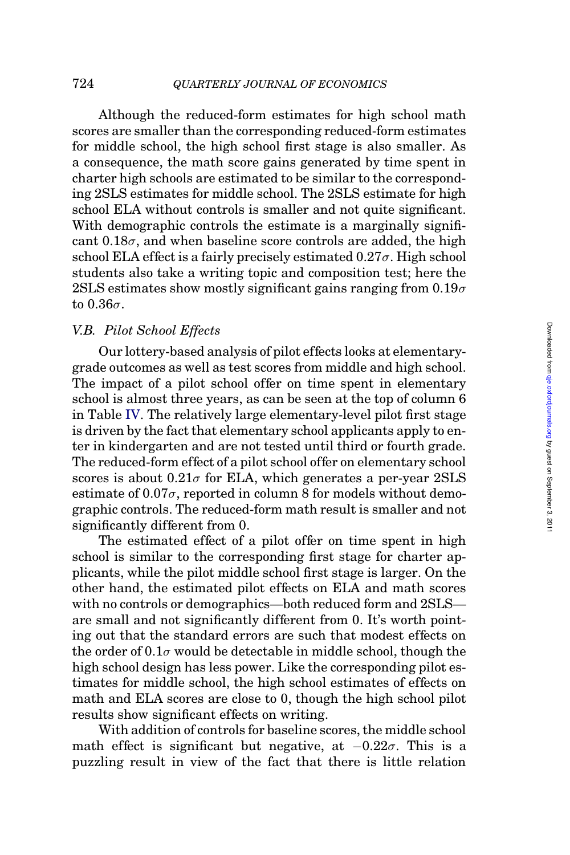Although the reduced-form estimates for high school math scores are smaller than the corresponding reduced-form estimates for middle school, the high school first stage is also smaller. As a consequence, the math score gains generated by time spent in charter high schools are estimated to be similar to the corresponding 2SLS estimates for middle school. The 2SLS estimate for high school ELA without controls is smaller and not quite significant. With demographic controls the estimate is a marginally significant  $0.18\sigma$ , and when baseline score controls are added, the high school ELA effect is a fairly precisely estimated  $0.27\sigma$ . High school students also take a writing topic and composition test; here the 2SLS estimates show mostly significant gains ranging from  $0.19\sigma$ to  $0.36\sigma$ .

#### *V.B. Pilot School Effects*

Our lottery-based analysis of pilot effects looks at elementarygrade outcomes as well as test scores from middle and high school. The impact of a pilot school offer on time spent in elementary school is almost three years, as can be seen at the top of column 6 in Table [IV.](#page-24-0) The relatively large elementary-level pilot first stage is driven by the fact that elementary school applicants apply to enter in kindergarten and are not tested until third or fourth grade. The reduced-form effect of a pilot school offer on elementary school scores is about  $0.21\sigma$  for ELA, which generates a per-year 2SLS estimate of  $0.07\sigma$ , reported in column 8 for models without demographic controls. The reduced-form math result is smaller and not significantly different from 0.

The estimated effect of a pilot offer on time spent in high school is similar to the corresponding first stage for charter applicants, while the pilot middle school first stage is larger. On the other hand, the estimated pilot effects on ELA and math scores with no controls or demographics—both reduced form and 2SLS are small and not significantly different from 0. It's worth pointing out that the standard errors are such that modest effects on the order of  $0.1\sigma$  would be detectable in middle school, though the high school design has less power. Like the corresponding pilot estimates for middle school, the high school estimates of effects on math and ELA scores are close to 0, though the high school pilot results show significant effects on writing.

With addition of controls for baseline scores, the middle school math effect is significant but negative, at  $-0.22\sigma$ . This is a puzzling result in view of the fact that there is little relation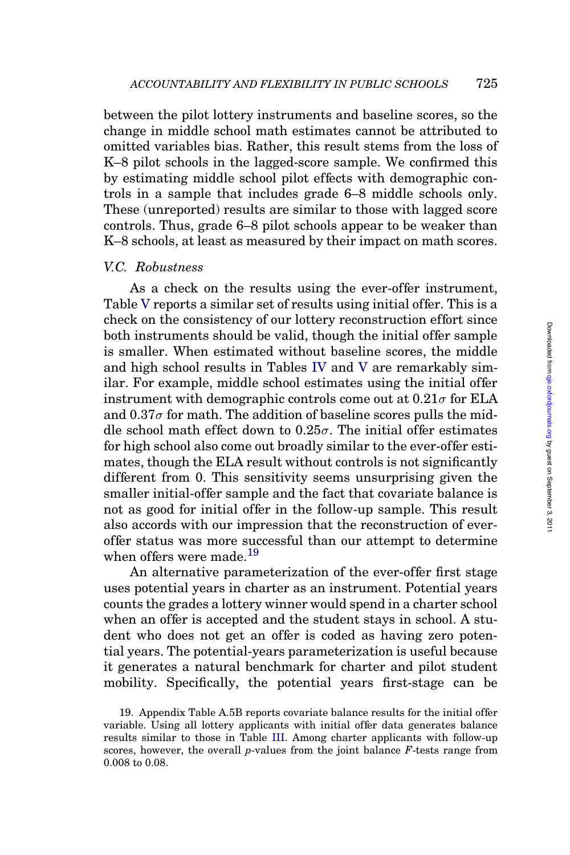between the pilot lottery instruments and baseline scores, so the change in middle school math estimates cannot be attributed to omitted variables bias. Rather, this result stems from the loss of K–8 pilot schools in the lagged-score sample. We confirmed this by estimating middle school pilot effects with demographic controls in a sample that includes grade 6–8 middle schools only. These (unreported) results are similar to those with lagged score controls. Thus, grade 6–8 pilot schools appear to be weaker than K–8 schools, at least as measured by their impact on math scores.

#### *V.C. Robustness*

As a check on the results using the ever-offer instrument, Table [V](#page-27-0) reports a similar set of results using initial offer. This is a check on the consistency of our lottery reconstruction effort since both instruments should be valid, though the initial offer sample is smaller. When estimated without baseline scores, the middle and high school results in Tables [IV](#page-24-0) and [V](#page-27-0) are remarkably similar. For example, middle school estimates using the initial offer instrument with demographic controls come out at  $0.21\sigma$  for ELA and  $0.37\sigma$  for math. The addition of baseline scores pulls the middle school math effect down to  $0.25\sigma$ . The initial offer estimates for high school also come out broadly similar to the ever-offer estimates, though the ELA result without controls is not significantly different from 0. This sensitivity seems unsurprising given the smaller initial-offer sample and the fact that covariate balance is not as good for initial offer in the follow-up sample. This result also accords with our impression that the reconstruction of everoffer status was more successful than our attempt to determine when offers were made.<sup>[19](#page-26-0)</sup>

An alternative parameterization of the ever-offer first stage uses potential years in charter as an instrument. Potential years counts the grades a lottery winner would spend in a charter school when an offer is accepted and the student stays in school. A student who does not get an offer is coded as having zero potential years. The potential-years parameterization is useful because it generates a natural benchmark for charter and pilot student mobility. Specifically, the potential years first-stage can be

<span id="page-26-0"></span><sup>19.</sup> Appendix Table A.5B reports covariate balance results for the initial offer variable. Using all lottery applicants with initial offer data generates balance results similar to those in Table [III.](#page-21-0) Among charter applicants with follow-up scores, however, the overall *p*-values from the joint balance *F*-tests range from 0.008 to 0.08.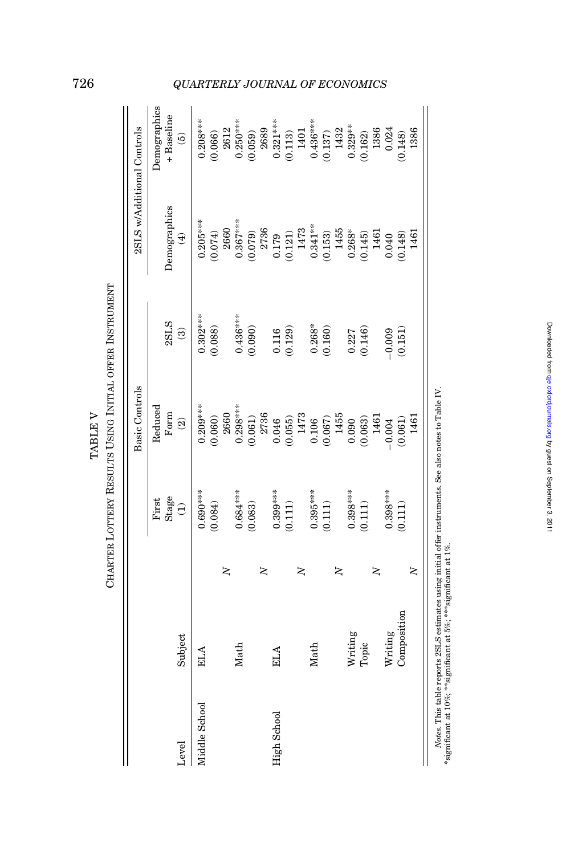|               |                                 |              |              |                                                                                                   | CHARTER LOTTERY RESULTS USING INITIAL OFFER INSTRUMENT |                                                                                                                                |                               |
|---------------|---------------------------------|--------------|--------------|---------------------------------------------------------------------------------------------------|--------------------------------------------------------|--------------------------------------------------------------------------------------------------------------------------------|-------------------------------|
|               |                                 |              |              | Basic Controls                                                                                    |                                                        | 2SLS w/Additional Controls                                                                                                     |                               |
|               |                                 |              | First        | Reduced                                                                                           |                                                        |                                                                                                                                | Demographics                  |
|               |                                 |              | Stage<br>(1) | $_{\rm Form}$                                                                                     | 2SLS                                                   | Demographics                                                                                                                   | + Baseline                    |
| Level         | Subject                         |              |              | $\widehat{\mathfrak{D}}$                                                                          | $\widehat{\mathcal{C}}$                                | $\bigoplus$                                                                                                                    | $\widehat{e}$                 |
| Middle School | ELA                             |              | $0.690***$   | $0.209***$                                                                                        | $0.302***$                                             | $0.205***$                                                                                                                     | $0.208***$                    |
|               |                                 |              | (0.084)      | (0.060)                                                                                           | (0.088)                                                | (0.074)                                                                                                                        | (0.066)                       |
|               |                                 | $\geq$       |              |                                                                                                   |                                                        | 2660                                                                                                                           |                               |
|               | Math                            |              | $0.684***$   | $\frac{2660}{0.298***}$                                                                           | $0.436***$                                             | $0.367***$                                                                                                                     | $\frac{2612}{0.250***}$       |
|               |                                 |              | (0.083)      | (0.061)                                                                                           | (0.090)                                                |                                                                                                                                | (0.059)                       |
|               |                                 | 2            |              |                                                                                                   |                                                        |                                                                                                                                |                               |
| High School   | ELA                             |              | $0.399***$   | $\begin{array}{c} 2736 \\ 0.046 \\ (0.055) \\ 1473 \\ 0.106 \\ (0.067) \\ (0.067) \\ \end{array}$ | $\frac{0.116}{(0.129)}$                                | $\begin{array}{c} (0.079) \\ 2736 \\ 0.179 \\ (0.121) \\ 1473 \\ 1473 \\ (0.121) \\ 1473 \\ (0.153) \\ (0.153) \\ \end{array}$ | $2689$<br>$0.321***$          |
|               |                                 |              | (0.111)      |                                                                                                   |                                                        |                                                                                                                                |                               |
|               |                                 | $\mathsf{z}$ |              |                                                                                                   |                                                        |                                                                                                                                | $\frac{(0.113)}{1401}$        |
|               | Math                            |              | $0.395***$   |                                                                                                   | $0.268*$                                               |                                                                                                                                | $0.436***$<br>(0.137)<br>1432 |
|               |                                 |              | (0.111)      |                                                                                                   | (0.160)                                                |                                                                                                                                |                               |
|               |                                 | Z            |              |                                                                                                   |                                                        |                                                                                                                                |                               |
|               | $N$ riting                      |              | $0.398***$   | 0.090                                                                                             | 0.227                                                  | $0.268*$                                                                                                                       | $0.329**$                     |
|               | $\operatorname{\mathsf{Topic}}$ |              | (0.111)      | (0.063)                                                                                           | (0.146)                                                | (0.145)                                                                                                                        | 0.162)                        |
|               |                                 | 2            |              | 1461                                                                                              |                                                        | 1461                                                                                                                           | 1386                          |
|               | Writing                         |              | $0.398***$   | 0.004                                                                                             | $-0.009$                                               | 0.040                                                                                                                          | 0.024                         |
|               | Composition                     |              | (0.111)      | (0.061)                                                                                           | (0.151)                                                | 0.148                                                                                                                          | (0.148)                       |
|               |                                 | 2            |              | 1461                                                                                              |                                                        | 1461                                                                                                                           | 1386                          |

<span id="page-27-0"></span>CHARTER LOPPERY RESULTS USING INTELAT OFFER INSTRUMENT **TABLE V** TABLE V

Notes. This table reports 2SLS estimates using initial offer instruments. See also notes to Table IV. \* significant at 5%, \* \* \* significant at 10%. *Notes.* This table reports 2SLS estimates using initial offer instruments. See also notes to Table IV. \*significant at 10%; \*\*significant at 5%; \*\*\*significant at 1%.

# 726 *QUARTERLY JOURNAL OF ECONOMICS*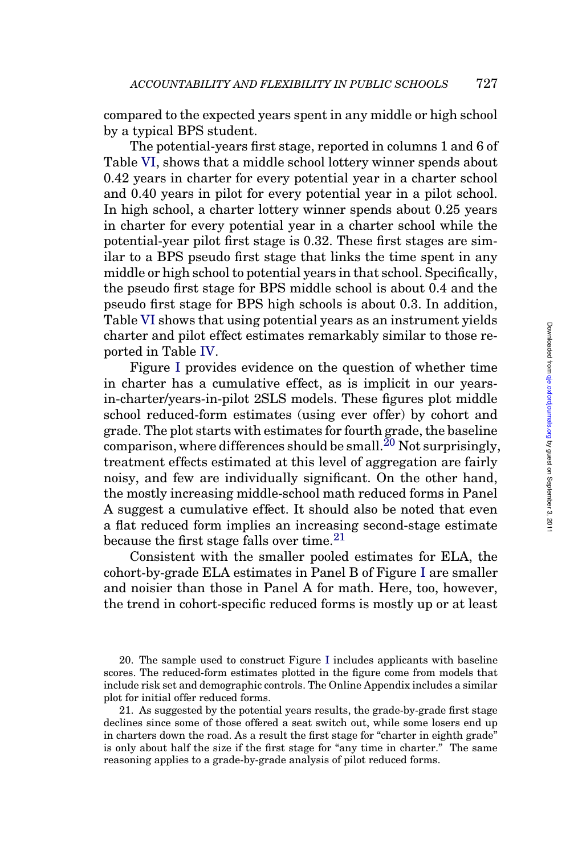compared to the expected years spent in any middle or high school by a typical BPS student.

The potential-years first stage, reported in columns 1 and 6 of Table [VI,](#page-30-0) shows that a middle school lottery winner spends about 0.42 years in charter for every potential year in a charter school and 0.40 years in pilot for every potential year in a pilot school. In high school, a charter lottery winner spends about 0.25 years in charter for every potential year in a charter school while the potential-year pilot first stage is 0.32. These first stages are similar to a BPS pseudo first stage that links the time spent in any middle or high school to potential years in that school. Specifically, the pseudo first stage for BPS middle school is about 0.4 and the pseudo first stage for BPS high schools is about 0.3. In addition, Table [VI](#page-30-0) shows that using potential years as an instrument yields charter and pilot effect estimates remarkably similar to those reported in Table [IV.](#page-24-0)

Figure [I](#page-31-0) provides evidence on the question of whether time in charter has a cumulative effect, as is implicit in our yearsin-charter/years-in-pilot 2SLS models. These figures plot middle school reduced-form estimates (using ever offer) by cohort and grade. The plot starts with estimates for fourth grade, the baseline comparison, where differences should be small.<sup>[20](#page-28-0)</sup> Not surprisingly, treatment effects estimated at this level of aggregation are fairly noisy, and few are individually significant. On the other hand, the mostly increasing middle-school math reduced forms in Panel A suggest a cumulative effect. It should also be noted that even a flat reduced form implies an increasing second-stage estimate because the first stage falls over time. $21$ 

Consistent with the smaller pooled estimates for ELA, the cohort-by-grade ELA estimates in Panel B of Figure [I](#page-31-0) are smaller and noisier than those in Panel A for math. Here, too, however, the trend in cohort-specific reduced forms is mostly up or at least

20. The sample used to construct Figure [I](#page-31-0) includes applicants with baseline scores. The reduced-form estimates plotted in the figure come from models that include risk set and demographic controls. The Online Appendix includes a similar plot for initial offer reduced forms.

<span id="page-28-0"></span>21. As suggested by the potential years results, the grade-by-grade first stage declines since some of those offered a seat switch out, while some losers end up in charters down the road. As a result the first stage for "charter in eighth grade" is only about half the size if the first stage for "any time in charter." The same reasoning applies to a grade-by-grade analysis of pilot reduced forms.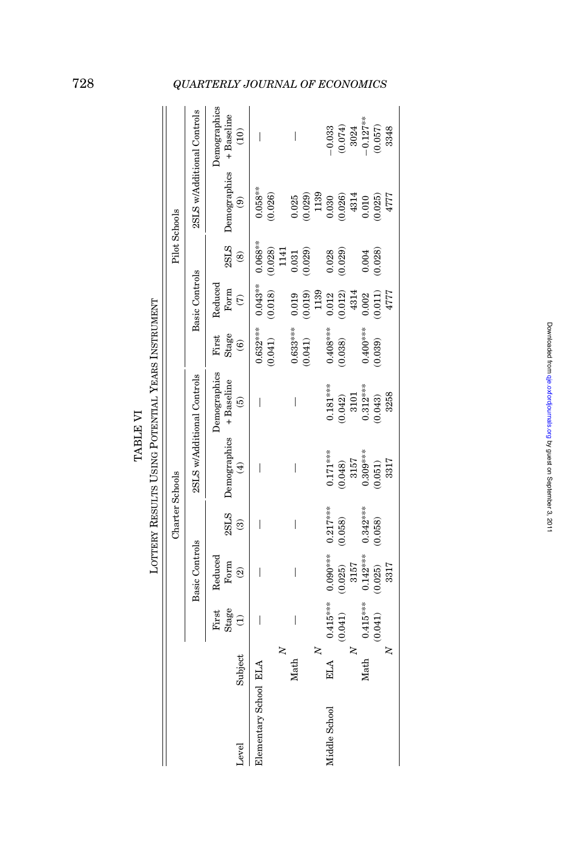| דור הם אח | i |
|-----------|---|

|                       |         |                          |                                             |                                 | COTTERY RESULTS USING POTENTIAL YEARS INSTRUMENT |                               |                                          |                                  |                       |                            |                                               |
|-----------------------|---------|--------------------------|---------------------------------------------|---------------------------------|--------------------------------------------------|-------------------------------|------------------------------------------|----------------------------------|-----------------------|----------------------------|-----------------------------------------------|
|                       |         |                          |                                             | Charter Schools                 |                                                  |                               |                                          |                                  |                       | <b>Pilot Schools</b>       |                                               |
|                       |         |                          | Basic Controls                              |                                 |                                                  | 2SLS w/Additional Controls    |                                          | Basic Controls                   |                       | 2SLS w/Additional Controls |                                               |
| Level                 | Subject | Stage<br>First<br>Ê      | Reduced<br>Form<br>$\widehat{\mathfrak{A}}$ | 2SLS<br>$\widehat{\mathcal{C}}$ | Demographics + Baseline<br>$\widehat{\Theta}$    | Demographics<br>$\widehat{5}$ | Stage<br>First<br>$\widehat{\mathbf{e}}$ | Reduced<br>Form<br>$\widehat{c}$ | $\circledast$         | 2SLS Demographics<br>ම     | Demographics<br>$+$ Baseline<br>$\widehat{E}$ |
| Elementary School ELA |         | $\overline{\phantom{a}}$ | I                                           | I                               | I                                                | I                             | $0.632***$<br>0.041)                     | $0.043***$<br>(0.018)            | $0.068***$<br>(0.028) | $0.058***$<br>(0.026)      | $\overline{\phantom{a}}$                      |
|                       |         |                          |                                             |                                 |                                                  |                               |                                          |                                  | 1141                  |                            |                                               |
|                       | Math    | I                        | $\overline{\phantom{a}}$                    | $\overline{\phantom{a}}$        | $\overline{\phantom{a}}$                         | $\bigg $                      | $0.633***$                               | 0.019                            | 0.031                 | 0.025                      | $\bigg $                                      |
|                       |         |                          |                                             |                                 |                                                  |                               | 0.041)                                   | (0.019)                          | (0.029)               | 0.029)                     |                                               |
|                       |         |                          |                                             |                                 |                                                  |                               |                                          | 1139                             |                       | 1139                       |                                               |
| Middle School         | ELA     | $0.415***$               | $0.090***$                                  | $0.217***$                      | $0.171***$                                       | $0.181***$                    | $0.408***$                               | 0.012                            | 0.028                 | 0.030                      | $-0.033$                                      |
|                       |         | (0.041)                  | (0.025)                                     | (0.058)                         | (0.048)                                          | (0.042)                       | 0.038)                                   | (0.012)                          | (0.029)               | (0.026)                    | (0.074)                                       |
|                       |         |                          | 3157                                        |                                 | 3157                                             | 3101                          |                                          | 4314                             |                       | 4314                       | 3024                                          |
|                       | Math    | $0.415***$               | $0.142***$                                  | $0.342***$                      | $0.309***$                                       | $0.312***$                    | $0.400***$                               | 0.002                            | 0.004                 | 0.010                      | $-0.127***$                                   |
|                       |         | (0.041)                  | (0.025)                                     | (0.058)                         | (0.051)                                          | (0.043)                       | 0.039)                                   | (0.011)                          | (0.028)               | (0.025)                    | (0.057)                                       |
|                       |         |                          | 3317                                        |                                 | 3317                                             | 3258                          |                                          | 4777                             |                       | 4777                       | 3348                                          |

Downloaded from [qje.oxfordjournals.org](http://qje.oxfordjournals.org/) by guest on September 3, 2011

Downloaded from qje.oxfordjournals.org by guest on September 3, 2011

# 728 *QUARTERLY JOURNAL OF ECONOMICS*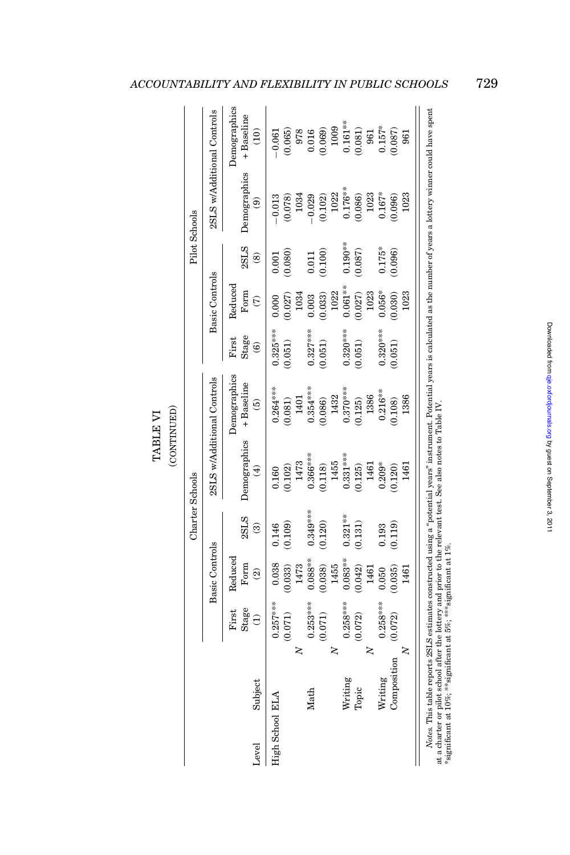|                  |              |                                   |                                             |                                | (CONTINUED)                        |                                             |                                          |                                         |                       |                               |                                              |
|------------------|--------------|-----------------------------------|---------------------------------------------|--------------------------------|------------------------------------|---------------------------------------------|------------------------------------------|-----------------------------------------|-----------------------|-------------------------------|----------------------------------------------|
|                  |              |                                   |                                             | Charter Schools                |                                    |                                             |                                          |                                         |                       | <b>Pilot Schools</b>          |                                              |
|                  |              |                                   | Basic Controls                              |                                | 2SLS w/Additional Controls         |                                             |                                          | Basic Controls                          |                       | 2SLS w/Additional Controls    |                                              |
| Subject<br>Level |              | Stage<br>First<br>$\widehat{\Xi}$ | Reduced<br>Form<br>$\widehat{\mathfrak{g}}$ | 2SLS<br>$\widehat{\mathbf{e}}$ | Demographics<br>$\widehat{\Theta}$ | Demographics<br>+ Baseline<br>$\widehat{e}$ | Stage<br>First<br>$\widehat{\mathbf{e}}$ | Reduced<br>Form<br>$\widehat{\epsilon}$ | 2SLS<br>$\circledast$ | Demographics<br>$\widehat{e}$ | Demographics<br>+Baseline<br>$\widehat{\Xi}$ |
| High School ELA  |              | $0.257***$                        | 0.038                                       | 0.146                          | 0.160                              | $0.264***$                                  | $0.325***$                               | 0.000                                   | 0.001                 | $-0.013$                      | 0.061                                        |
|                  | ζ            | (0.071)                           | 1473<br>(0.033)                             | (0.109)                        | 1473<br>(0.102)                    | 1401<br>(0.081)                             | (0.051)                                  | 1034<br>(0.027)                         | (0.080)               | 1034<br>(0.078)               | 978<br>0.065)                                |
| Math             |              | $0.253***$                        | $0.088***$                                  | $0.349***$                     | $0.366***$                         | 0.354 ***                                   | $0.327***$                               | 0.003                                   | 0.011                 | $-0.029$                      | 0.016                                        |
|                  |              | (0.071)                           | (0.038)                                     | (0.120)                        | (0.118)                            | (0.086)                                     | 0.051)                                   | (0.033)                                 | (0.100)               | (0.102)                       | 0.069                                        |
|                  | $\mathsf{z}$ |                                   | 1455                                        |                                | 1455                               | 1432                                        |                                          | 1022                                    |                       | 1022                          | 1009                                         |
| Writing          |              | $0.258***$                        | $0.083***$                                  | $0.321***$                     | $0.331***$                         | $0.370***$                                  | $0.320***$                               | $0.061***$                              | $0.190***$            | $0.176***$                    | $0.161***$                                   |
| Topic            |              | (0.072)                           | (0.042)                                     | (0.131)                        | (0.125)                            | (0.125)                                     | 0.051)                                   | (0.027)                                 | (0.087)               | 0.086                         | 0.081)                                       |
|                  | 2            |                                   | 1461                                        |                                | 1461                               | 1386                                        |                                          | 1023                                    |                       | 1023                          | 961                                          |
| Writing          |              | $0.258***$                        | 0.050                                       | 0.193                          | $0.209*$                           | $0.216***$                                  | $0.320***$                               | $0.056*$                                | $0.175*$              | $0.167*$                      | $0.157*$                                     |
| Composition      |              | (0.072)                           | (0.035)                                     | (0.119)                        | (0.120)                            | (0.108)                                     | 0.051)                                   | (0.030)                                 | (0.096)               | 0.096                         | 0.087)                                       |
|                  | ζ            |                                   | 1461                                        |                                | 1461                               | 1386                                        |                                          | 1023                                    |                       | 1023                          | 961                                          |
|                  |              |                                   |                                             |                                |                                    |                                             |                                          |                                         |                       | 医心包 医心包 医心包 医心包 医心包 医心包 医心包的  | $\ddot{\phantom{0}}$                         |

<span id="page-30-0"></span>TABLE VI

TABLE VI

*Notes*. This table reports 2SLS estimates constructed using a "potential years" instrument. Potential years is calculated as the number of years a lottery winner could have spent<br>at a charter or pilot school after the lot *Notes.* This table reports 2SLS estimates constructed using a "potential years" instrument. Potential years is calculated as the number of years a lottery winner could have spent at a charter or pilot school after the lottery and prior to the relevant test. See also notes to Table IV. \*significant at 10%; \*\*significant at 5%; \*\*\*significant at 1%.

## *ACCOUNTABILITY AND FLEXIBILITY IN PUBLIC SCHOOLS* 729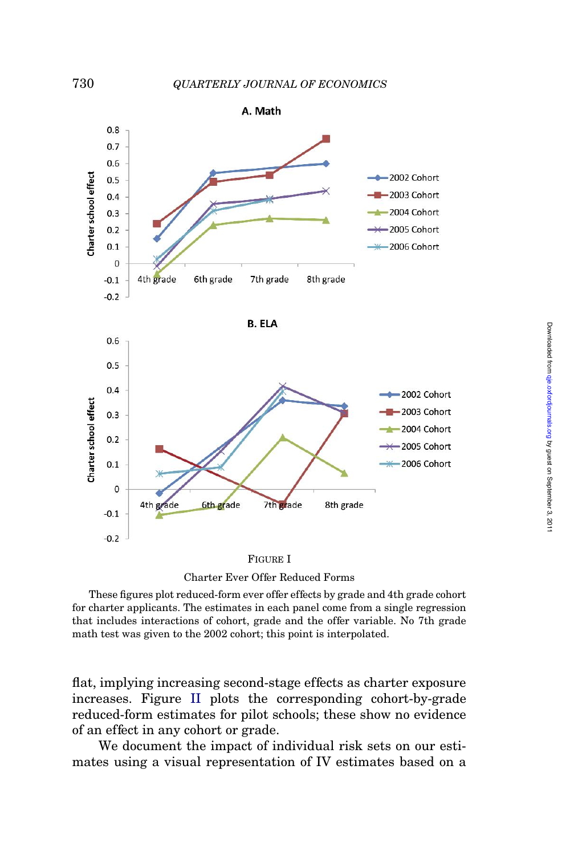



These figures plot reduced-form ever offer effects by grade and 4th grade cohort for charter applicants. The estimates in each panel come from a single regression that includes interactions of cohort, grade and the offer variable. No 7th grade math test was given to the 2002 cohort; this point is interpolated.

flat, implying increasing second-stage effects as charter exposure increases. Figure [II](#page-32-0) plots the corresponding cohort-by-grade reduced-form estimates for pilot schools; these show no evidence of an effect in any cohort or grade.

<span id="page-31-0"></span>We document the impact of individual risk sets on our estimates using a visual representation of IV estimates based on a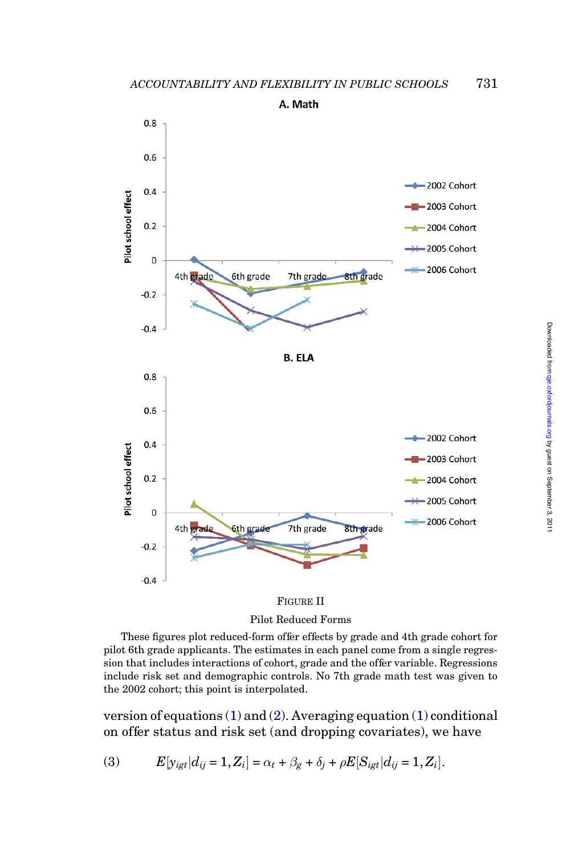$0.8$ 

 $0.6$ 

 $0.4$ 

 $0.2$ 

 $\mathbf 0$ 

 $-0.2$ 

 $-0.4$ 

 $0.8$ 

 $0.6$ 

 $0.4$ 

 $0.2$ 

 $\mathbf 0$ 

 $-0.2$ 

 $-0.4$ 

Pilot school effect

Pilot school effect







These figures plot reduced-form offer effects by grade and 4th grade cohort for pilot 6th grade applicants. The estimates in each panel come from a single regression that includes interactions of cohort, grade and the offer variable. Regressions include risk set and demographic controls. No 7th grade math test was given to the 2002 cohort; this point is interpolated.

version of equations [\(1\)](#page-10-0) and [\(2\)](#page-11-0). Averaging equation ([1](#page-10-0)) conditional on offer status and risk set (and dropping covariates), we have

<span id="page-32-0"></span>(3) 
$$
E[y_{igt}|d_{ij}=1,Z_i]=\alpha_t+\beta_g+\delta_j+\rho E[S_{igt}|d_{ij}=1,Z_i].
$$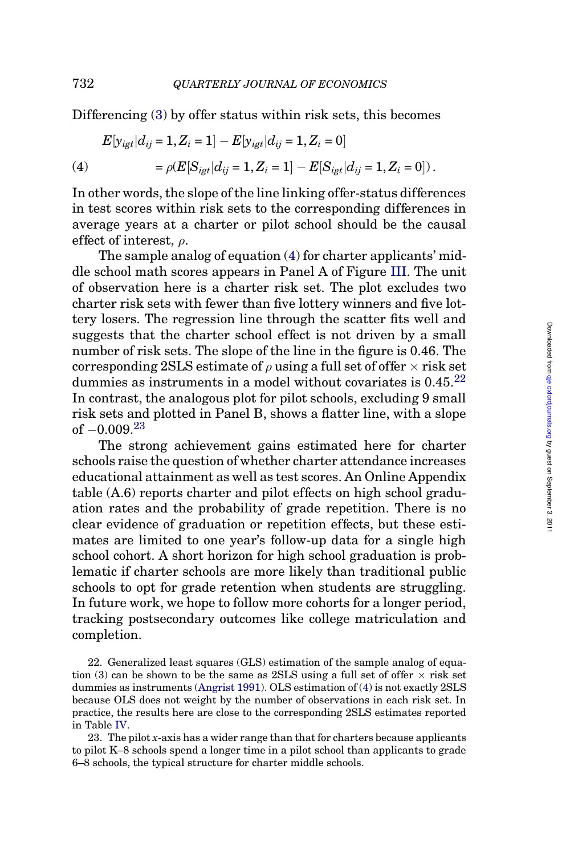Differencing ([3](#page-32-0)) by offer status within risk sets, this becomes

$$
E[y_{igt}|d_{ij} = 1, Z_i = 1] - E[y_{igt}|d_{ij} = 1, Z_i = 0]
$$
  
(4) 
$$
= \rho(E[S_{igt}|d_{ij} = 1, Z_i = 1] - E[S_{igt}|d_{ij} = 1, Z_i = 0]).
$$

In other words, the slope of the line linking offer-status differences in test scores within risk sets to the corresponding differences in average years at a charter or pilot school should be the causal effect of interest, ρ.

The sample analog of equation ([4](#page-33-0)) for charter applicants' middle school math scores appears in Panel A of Figure [III.](#page-34-0) The unit of observation here is a charter risk set. The plot excludes two charter risk sets with fewer than five lottery winners and five lottery losers. The regression line through the scatter fits well and suggests that the charter school effect is not driven by a small number of risk sets. The slope of the line in the figure is 0.46. The corresponding 2SLS estimate of  $\rho$  using a full set of offer  $\times$  risk set dummies as instruments in a model without covariates is  $0.45.^{22}$  $0.45.^{22}$  $0.45.^{22}$ In contrast, the analogous plot for pilot schools, excluding 9 small risk sets and plotted in Panel B, shows a flatter line, with a slope of  $-0.009.23$  $-0.009.23$ 

The strong achievement gains estimated here for charter schools raise the question of whether charter attendance increases educational attainment as well as test scores. An Online Appendix table (A.6) reports charter and pilot effects on high school graduation rates and the probability of grade repetition. There is no clear evidence of graduation or repetition effects, but these estimates are limited to one year's follow-up data for a single high school cohort. A short horizon for high school graduation is problematic if charter schools are more likely than traditional public schools to opt for grade retention when students are struggling. In future work, we hope to follow more cohorts for a longer period, tracking postsecondary outcomes like college matriculation and completion.

22. Generalized least squares (GLS) estimation of the sample analog of equation (3) can be shown to be the same as 2SLS using a full set of offer  $\times$  risk set dummies as instruments [\(Angrist 1991\)](#page-48-0). OLS estimation of ([4\)](#page-33-0) is not exactly 2SLS because OLS does not weight by the number of observations in each risk set. In practice, the results here are close to the corresponding 2SLS estimates reported in Table [IV](#page-24-0).

<span id="page-33-0"></span>23. The pilot *x*-axis has a wider range than that for charters because applicants to pilot K–8 schools spend a longer time in a pilot school than applicants to grade 6–8 schools, the typical structure for charter middle schools.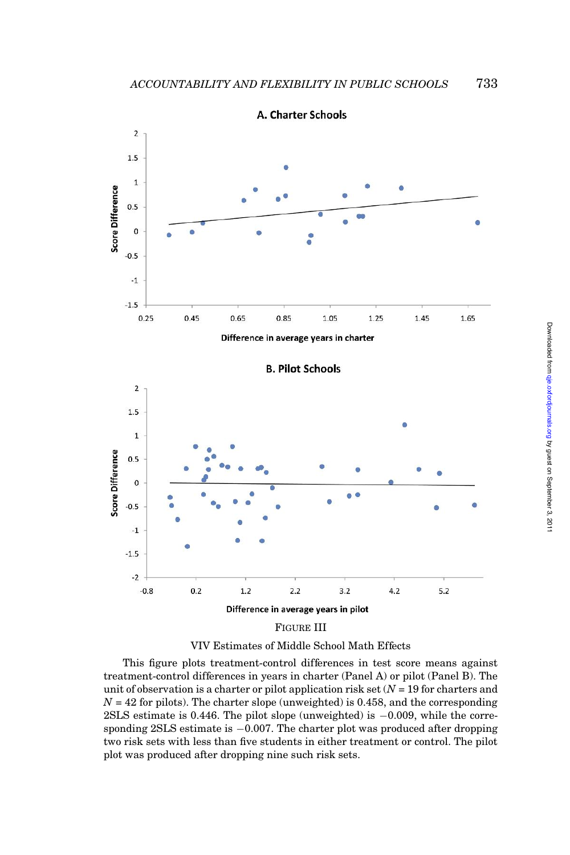

VIV Estimates of Middle School Math Effects

<span id="page-34-0"></span>This figure plots treatment-control differences in test score means against treatment-control differences in years in charter (Panel A) or pilot (Panel B). The unit of observation is a charter or pilot application risk set  $(N = 19$  for charters and  $N = 42$  for pilots). The charter slope (unweighted) is 0.458, and the corresponding 2SLS estimate is 0.446. The pilot slope (unweighted) is −0.009, while the corresponding 2SLS estimate is  $-0.007$ . The charter plot was produced after dropping two risk sets with less than five students in either treatment or control. The pilot plot was produced after dropping nine such risk sets.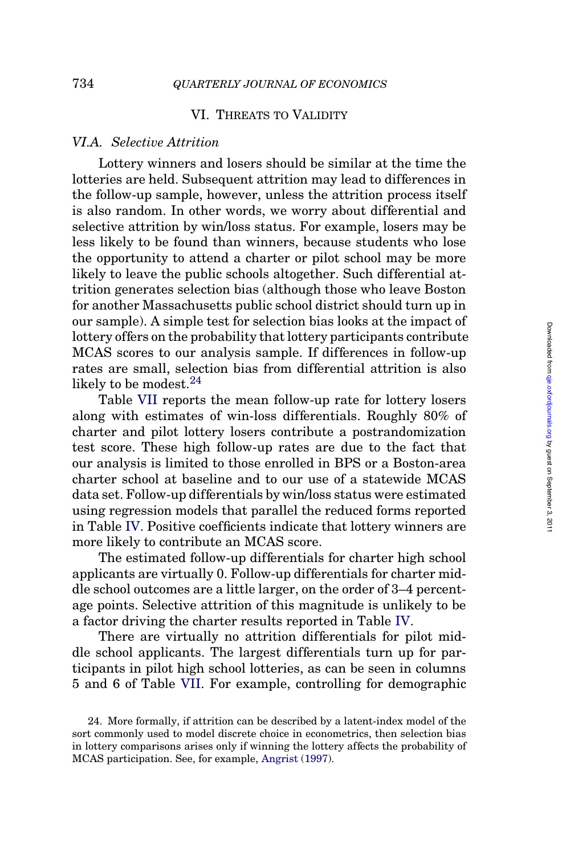#### VI. THREATS TO VALIDITY

#### *VI.A. Selective Attrition*

Lottery winners and losers should be similar at the time the lotteries are held. Subsequent attrition may lead to differences in the follow-up sample, however, unless the attrition process itself is also random. In other words, we worry about differential and selective attrition by win/loss status. For example, losers may be less likely to be found than winners, because students who lose the opportunity to attend a charter or pilot school may be more likely to leave the public schools altogether. Such differential attrition generates selection bias (although those who leave Boston for another Massachusetts public school district should turn up in our sample). A simple test for selection bias looks at the impact of lottery offers on the probability that lottery participants contribute MCAS scores to our analysis sample. If differences in follow-up rates are small, selection bias from differential attrition is also likely to be modest.  $24$ 

Table [VII](#page-37-0) reports the mean follow-up rate for lottery losers along with estimates of win-loss differentials. Roughly 80% of charter and pilot lottery losers contribute a postrandomization test score. These high follow-up rates are due to the fact that our analysis is limited to those enrolled in BPS or a Boston-area charter school at baseline and to our use of a statewide MCAS data set. Follow-up differentials by win/loss status were estimated using regression models that parallel the reduced forms reported in Table [IV.](#page-24-0) Positive coefficients indicate that lottery winners are more likely to contribute an MCAS score.

The estimated follow-up differentials for charter high school applicants are virtually 0. Follow-up differentials for charter middle school outcomes are a little larger, on the order of 3–4 percentage points. Selective attrition of this magnitude is unlikely to be a factor driving the charter results reported in Table [IV.](#page-24-0)

There are virtually no attrition differentials for pilot middle school applicants. The largest differentials turn up for participants in pilot high school lotteries, as can be seen in columns 5 and 6 of Table [VII.](#page-37-0) For example, controlling for demographic

<span id="page-35-0"></span><sup>24.</sup> More formally, if attrition can be described by a latent-index model of the sort commonly used to model discrete choice in econometrics, then selection bias in lottery comparisons arises only if winning the lottery affects the probability of MCAS participation. See, for example, [Angrist](#page-48-0) ([1997\)](#page-48-0).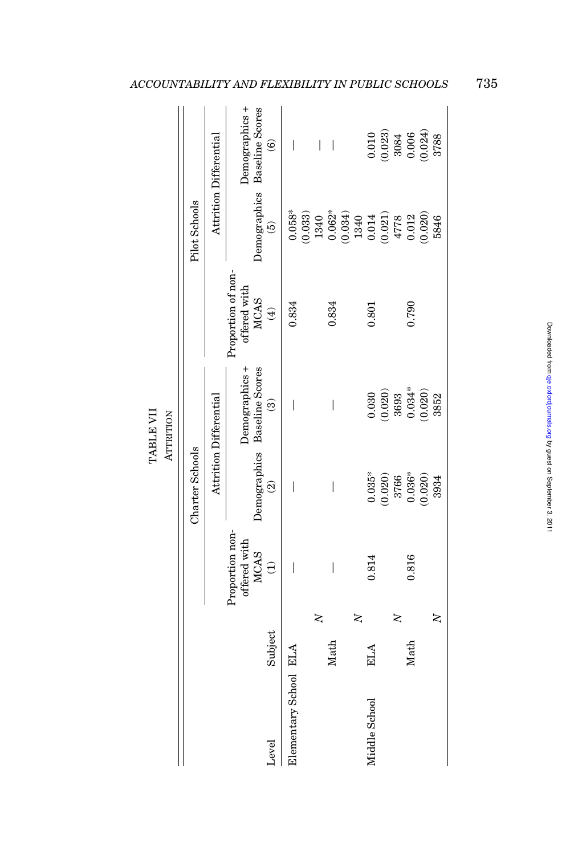|                       |         |                                                             |                                                                                             | TABLE VII                                                                                             |                                                                  |                                                                                                                                                          |                                                                                            |
|-----------------------|---------|-------------------------------------------------------------|---------------------------------------------------------------------------------------------|-------------------------------------------------------------------------------------------------------|------------------------------------------------------------------|----------------------------------------------------------------------------------------------------------------------------------------------------------|--------------------------------------------------------------------------------------------|
|                       |         |                                                             |                                                                                             | <b>ATTRITION</b>                                                                                      |                                                                  |                                                                                                                                                          |                                                                                            |
|                       |         |                                                             | Charter Schools                                                                             |                                                                                                       |                                                                  | Pilot Schools                                                                                                                                            |                                                                                            |
|                       |         |                                                             |                                                                                             | Attrition Differential                                                                                |                                                                  |                                                                                                                                                          | Attrition Differential                                                                     |
| Level                 | Subject | Proportion non-<br>offered with<br><b>MCAS</b><br>$\ominus$ | $\widehat{\mathfrak{D}}$                                                                    | Demographics +<br>Demographics Baseline Scores<br>$\widehat{\mathcal{E}}$                             | Proportion of non-<br>offered with<br><b>MCAS</b><br>$\bigoplus$ | $\widehat{\mathbf{e}}$                                                                                                                                   | Demographics +<br>Demographics Baseline Scores<br>$\widehat{\mathbf{e}}$                   |
| Elementary School ELA |         | I                                                           | I                                                                                           | I                                                                                                     | 0.834                                                            | $0.058*$                                                                                                                                                 |                                                                                            |
|                       |         | $\geq$                                                      |                                                                                             |                                                                                                       |                                                                  |                                                                                                                                                          | I                                                                                          |
|                       | Math    | I                                                           | $\Big $                                                                                     | $\overline{\phantom{a}}$                                                                              | 0.834                                                            |                                                                                                                                                          | $\overline{\phantom{a}}$                                                                   |
|                       |         | ζ                                                           |                                                                                             |                                                                                                       |                                                                  | $\begin{array}{l} (0.033) \\ 1340 \\ 0.062^* \\ (0.034) \\ 1340 \\ 1340 \\ 1340 \\ 0.014 \\ (0.0121) \\ 4778 \\ 60020 \\ (0.020) \\ 5846 \\ \end{array}$ |                                                                                            |
| Middle School         | ELA     | 0.814                                                       |                                                                                             |                                                                                                       | 0.801                                                            |                                                                                                                                                          |                                                                                            |
|                       |         |                                                             | $\begin{array}{c} 0.035^* \ 0.020) \ 0.0200 \ 3766 \ 0.036^* \ 0.0300 \ 0.0200 \end{array}$ | $\begin{array}{l} 0.030 \\ 0.020 \\ 0.033 \\ 3693 \\ 0.034 \\ 0.020 \\ 0.032 \\ 0.033 \\ \end{array}$ |                                                                  |                                                                                                                                                          | $\begin{array}{c} 0.010 \\ 0.023 \\ 3084 \\ 0.006 \\ 0.004 \\ 0.024) \\ 0.034 \end{array}$ |
|                       |         | Z                                                           |                                                                                             |                                                                                                       |                                                                  |                                                                                                                                                          |                                                                                            |
|                       | Math    | 0.816                                                       |                                                                                             |                                                                                                       | 0.790                                                            |                                                                                                                                                          |                                                                                            |
|                       |         |                                                             |                                                                                             |                                                                                                       |                                                                  |                                                                                                                                                          |                                                                                            |
|                       |         | ζ                                                           |                                                                                             |                                                                                                       |                                                                  |                                                                                                                                                          |                                                                                            |

*ACCOUNTABILITY AND FLEXIBILITY IN PUBLIC SCHOOLS* 735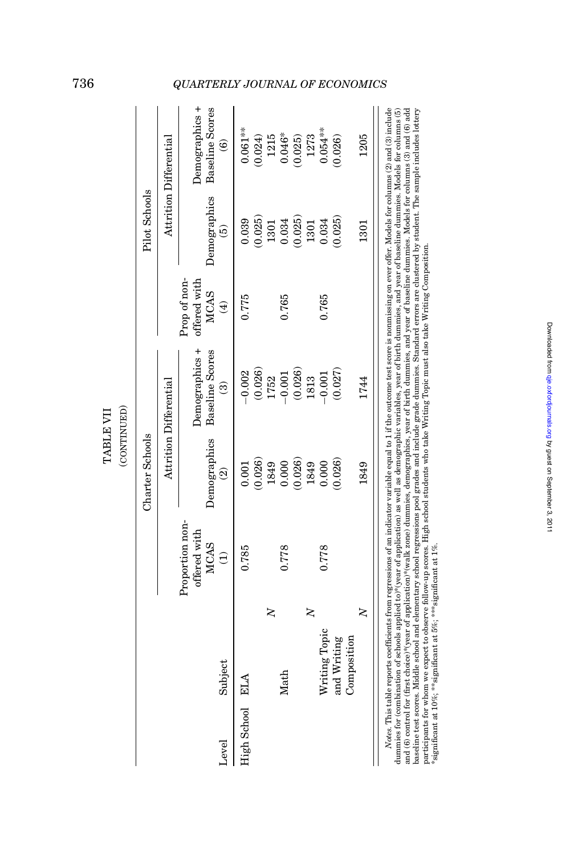<span id="page-37-0"></span>

|             |               |              |                                                | Charter Schools          |                                          |                                             | Pilot Schools |                                          |
|-------------|---------------|--------------|------------------------------------------------|--------------------------|------------------------------------------|---------------------------------------------|---------------|------------------------------------------|
|             |               |              |                                                |                          | Attrition Differential                   |                                             |               | Attrition Differential                   |
|             |               |              | Proportion non-<br>offered with<br><b>MCAS</b> | Demographics             | Demographics +<br><b>Baseline Scores</b> | Prop of non-<br>offered with<br><b>MCAS</b> | Demographics  | Demographics +<br><b>Baseline Scores</b> |
| Level       | Subject       |              | $\widehat{\Xi}$                                | $\widehat{\mathfrak{D}}$ | $\widehat{\mathbf{e}}$                   | $\widehat{\mathcal{F}}$                     | $\widehat{5}$ | $\widehat{\mathbf{e}}$                   |
| High School | ELA           |              | 0.785                                          | 0.001                    | $-0.002$                                 | 0.775                                       | 0.039         | $0.061***$                               |
|             |               |              |                                                | (0.026)                  | (0.026)                                  |                                             | 0.025         | (0.024)                                  |
|             |               | ζ            |                                                | 1849                     | 1752                                     |                                             | 1301          | 1215                                     |
|             | Math          |              | 0.778                                          | 0.000                    | $-0.001$                                 | 0.765                                       | 0.034         | $0.046*$                                 |
|             |               |              |                                                | (0.026)                  | (0.026)                                  |                                             | 0.025)        | $\frac{(0.025)}{1273}$                   |
|             |               | z            |                                                | 1849                     | 1813                                     |                                             | 1301          |                                          |
|             | Writing Topic |              | 0.778                                          | 0.000                    | $-0.001$                                 | 0.765                                       | 0.034         | $0.054***$                               |
|             | and Writing   |              |                                                | 0.026                    | (0.027)                                  |                                             | (0.025)       | 0.026)                                   |
|             | Composition   |              |                                                |                          |                                          |                                             |               |                                          |
|             |               | $\mathsf{X}$ |                                                | 1849                     | 1744                                     |                                             | 1301          | 1205                                     |

and (6) control tor (thrst chooce)"(year of application)"(walk zone) dummies, demographics, year of burth dummies, and year of baseline dummies. Models for columns (3) and (6) add<br>baseline text was . Make school and elemen and (6) control for (first choice)\*(year of application)\*(walk zone) dummies, demographics, year of birth dummies, and year of baseline dummies. Models for columns (3) and (6) add baseline test scores. Middle school and elementary school regressions pool grades and include grade dummies. Standard errors are clustered by student. The sample includes lottery participants for whom we expect to observe follow-up scores. High school students who take Writing Topic must also take Writing Composition. \*significant at 10%; \*\*significant at 5%; \*\*\*significant at 1%.

# 736 *QUARTERLY JOURNAL OF ECONOMICS*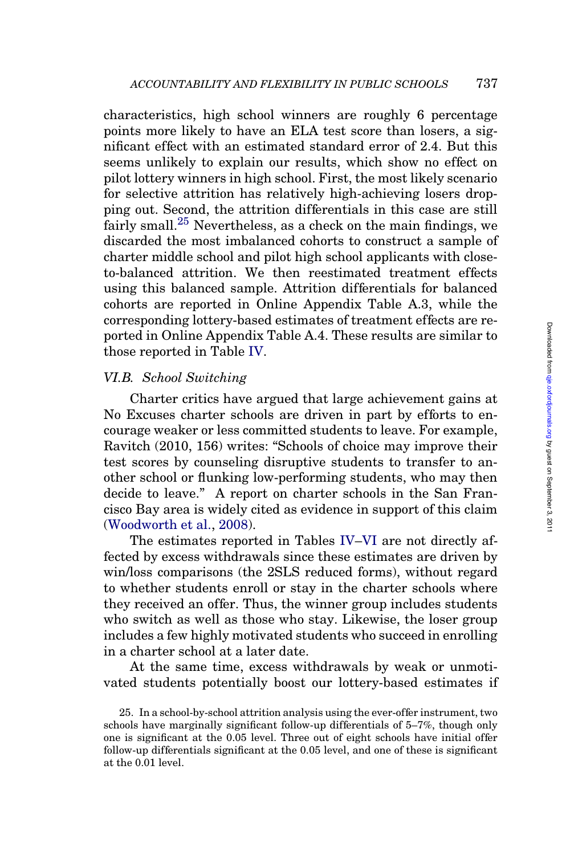characteristics, high school winners are roughly 6 percentage points more likely to have an ELA test score than losers, a significant effect with an estimated standard error of 2.4. But this seems unlikely to explain our results, which show no effect on pilot lottery winners in high school. First, the most likely scenario for selective attrition has relatively high-achieving losers dropping out. Second, the attrition differentials in this case are still fairly small.<sup>[25](#page-38-0)</sup> Nevertheless, as a check on the main findings, we discarded the most imbalanced cohorts to construct a sample of charter middle school and pilot high school applicants with closeto-balanced attrition. We then reestimated treatment effects using this balanced sample. Attrition differentials for balanced cohorts are reported in Online Appendix Table A.3, while the corresponding lottery-based estimates of treatment effects are reported in Online Appendix Table A.4. These results are similar to those reported in Table [IV.](#page-24-0)

# *VI.B. School Switching*

Charter critics have argued that large achievement gains at No Excuses charter schools are driven in part by efforts to encourage weaker or less committed students to leave. For example, Ravitch (2010, 156) writes: "Schools of choice may improve their test scores by counseling disruptive students to transfer to another school or flunking low-performing students, who may then decide to leave." A report on charter schools in the San Francisco Bay area is widely cited as evidence in support of this claim ([Woodworth et al.](#page-49-0), [2008\)](#page-49-0).

The estimates reported in Tables [IV](#page-24-0)[–VI](#page-30-0) are not directly affected by excess withdrawals since these estimates are driven by win/loss comparisons (the 2SLS reduced forms), without regard to whether students enroll or stay in the charter schools where they received an offer. Thus, the winner group includes students who switch as well as those who stay. Likewise, the loser group includes a few highly motivated students who succeed in enrolling in a charter school at a later date.

At the same time, excess withdrawals by weak or unmotivated students potentially boost our lottery-based estimates if

<span id="page-38-0"></span><sup>25.</sup> In a school-by-school attrition analysis using the ever-offer instrument, two schools have marginally significant follow-up differentials of 5–7%, though only one is significant at the 0.05 level. Three out of eight schools have initial offer follow-up differentials significant at the 0.05 level, and one of these is significant at the 0.01 level.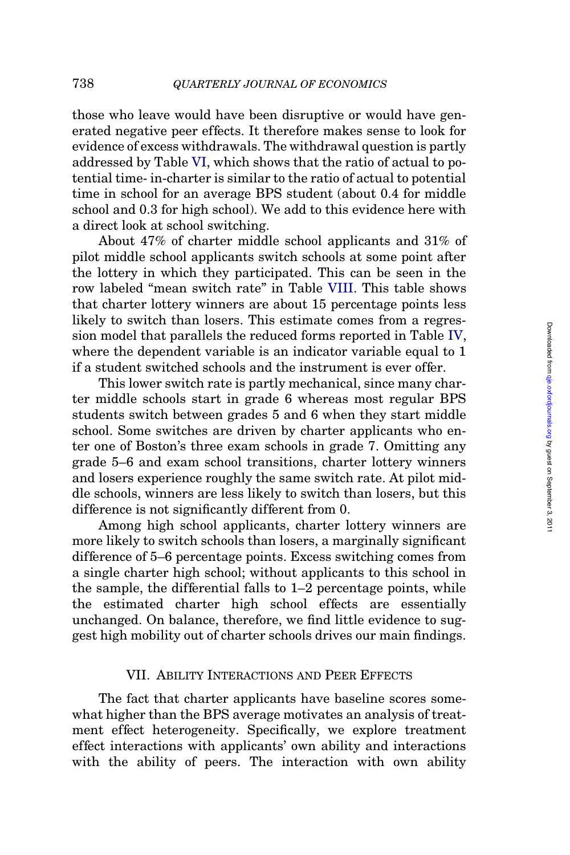those who leave would have been disruptive or would have generated negative peer effects. It therefore makes sense to look for evidence of excess withdrawals. The withdrawal question is partly addressed by Table [VI,](#page-30-0) which shows that the ratio of actual to potential time- in-charter is similar to the ratio of actual to potential time in school for an average BPS student (about 0.4 for middle school and 0.3 for high school). We add to this evidence here with a direct look at school switching.

About 47% of charter middle school applicants and 31% of pilot middle school applicants switch schools at some point after the lottery in which they participated. This can be seen in the row labeled "mean switch rate" in Table [VIII.](#page-40-0) This table shows that charter lottery winners are about 15 percentage points less likely to switch than losers. This estimate comes from a regression model that parallels the reduced forms reported in Table [IV,](#page-24-0) where the dependent variable is an indicator variable equal to 1 if a student switched schools and the instrument is ever offer.

This lower switch rate is partly mechanical, since many charter middle schools start in grade 6 whereas most regular BPS students switch between grades 5 and 6 when they start middle school. Some switches are driven by charter applicants who enter one of Boston's three exam schools in grade 7. Omitting any grade 5–6 and exam school transitions, charter lottery winners and losers experience roughly the same switch rate. At pilot middle schools, winners are less likely to switch than losers, but this difference is not significantly different from 0.

Among high school applicants, charter lottery winners are more likely to switch schools than losers, a marginally significant difference of 5–6 percentage points. Excess switching comes from a single charter high school; without applicants to this school in the sample, the differential falls to 1–2 percentage points, while the estimated charter high school effects are essentially unchanged. On balance, therefore, we find little evidence to suggest high mobility out of charter schools drives our main findings.

## VII. ABILITY INTERACTIONS AND PEER EFFECTS

<span id="page-39-0"></span>The fact that charter applicants have baseline scores somewhat higher than the BPS average motivates an analysis of treatment effect heterogeneity. Specifically, we explore treatment effect interactions with applicants' own ability and interactions with the ability of peers. The interaction with own ability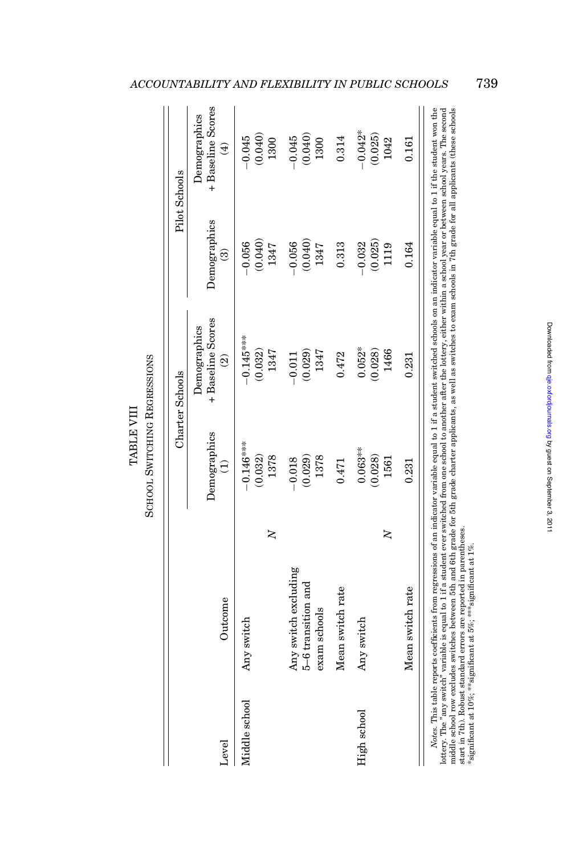**SCHOOL SWITCHING REGRESSIONS** REGRESSIONS TABLE VIII TABLE VIII SCHOOL SWITCHING

|               |            |             | Charter Schools                                               |                                               | Pilot Schools                            |
|---------------|------------|-------------|---------------------------------------------------------------|-----------------------------------------------|------------------------------------------|
| Level         | Outcome    | emographics | Demographics<br>- Baseline Scores<br>$\widehat{\mathfrak{D}}$ | <b>Jemographics</b><br>$\widehat{\mathbf{e}}$ | Demographics<br>+ Baseline Scores<br>(4) |
| Middle school | Any switch | $-0.146***$ | $-0.145***$                                                   |                                               |                                          |
|               |            | (0.032)     | $(0.032)$<br>1347                                             | $\frac{-0.056}{(0.040)}$<br>1347              | $\frac{-0.045}{(0.040)}$<br>(1300        |
|               |            | 1378        |                                                               |                                               |                                          |
|               |            |             |                                                               |                                               |                                          |

|             | Mean switch rate                                                                                                                                                                                                                                                                                                                                                                                                                                                                                                                                                       | 0.471              | 0.472             | 0.313            | 0.314               |
|-------------|------------------------------------------------------------------------------------------------------------------------------------------------------------------------------------------------------------------------------------------------------------------------------------------------------------------------------------------------------------------------------------------------------------------------------------------------------------------------------------------------------------------------------------------------------------------------|--------------------|-------------------|------------------|---------------------|
| High school | Any switch                                                                                                                                                                                                                                                                                                                                                                                                                                                                                                                                                             | $0.063**$<br>0.028 | $0.052*$<br>0.028 | (0.025)<br>0.032 | $-0.042*$<br>0.025) |
|             |                                                                                                                                                                                                                                                                                                                                                                                                                                                                                                                                                                        | 1561               | 1466              | 1119             | 1042                |
|             | Mean switch rate                                                                                                                                                                                                                                                                                                                                                                                                                                                                                                                                                       | 0.231              | 0.231             | 0.164            | 0.161               |
|             | <i>Notes</i> . This table reports coefficients from regressions of an indicator variable equal to 1 if a student switched schools on an indicator variable equal to 1 if the student won the<br>middle school row excludes switches between 5th and 6th orade for 5th orade that they are well as switches to exam schools in 7th orade for all applicants (these schools<br>lottery. The "any switch" variable is equal to 1 if a student ever switched from one school to another after the lottery, either within a school year or between school years. The second |                    |                   |                  |                     |

middle school row excludes switches between 5th and 6th grade for 5th grade charter applicants, as well as switches to exam schools in 7th grade for all applicants (these schools J, 룊 50 È 56 nuuttiin Stah). Ityve skautues swatense perweren aan avan gradue nuuttiin Stah). Ityve skautus swatense swaten aan avan significant at  $10\%$ ; \*\*significant at  $5\%$ ; \*\*\*significant at  $1\%$ . start in 7th). Robust standard errors are reported in parentheses. \*significant at 10%; \*\*significant at 5%; \*\*\*significant at 1%. <u>ਤ</u>ੋਂ ਬੱ

### *ACCOUNTABILITY AND FLEXIBILITY IN PUBLIC SCHOOLS* 739

Any switch excluding

Any switch excluding  $5\hbox{--}6$  transition and

<span id="page-40-0"></span>exam schools

 $-0.018$ <br> $(0.029)$ <br> $1378$ 

 $\frac{-0.011}{(0.029)}$ <br>1347

5–6 transition and (0.029) (0.029) (0.040) (0.040) exam schools 1378 1347 1347 1300

 $-0.056$ <br>(0.040)<br>1347

 $-0.045$ <br>(0.040)<br>1300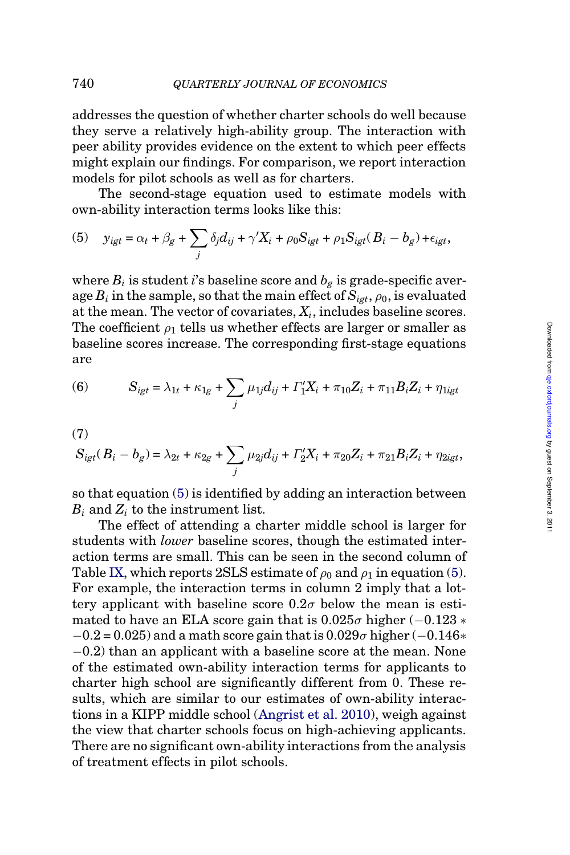addresses the question of whether charter schools do well because they serve a relatively high-ability group. The interaction with peer ability provides evidence on the extent to which peer effects might explain our findings. For comparison, we report interaction models for pilot schools as well as for charters.

The second-stage equation used to estimate models with own-ability interaction terms looks like this:

(5) 
$$
y_{igt} = \alpha_t + \beta_g + \sum_j \delta_j d_{ij} + \gamma' X_i + \rho_0 S_{igt} + \rho_1 S_{igt} (B_i - b_g) + \epsilon_{igt},
$$

where  $B_i$  is student *i*'s baseline score and  $b_g$  is grade-specific average  $B_i$  in the sample, so that the main effect of  $S_{igt}$ ,  $\rho_0$ , is evaluated at the mean. The vector of covariates,  $X_i$ , includes baseline scores. The coefficient  $\rho_1$  tells us whether effects are larger or smaller as baseline scores increase. The corresponding first-stage equations are

(6) 
$$
S_{igt} = \lambda_{1t} + \kappa_{1g} + \sum_{j} \mu_{1j} d_{ij} + \Gamma'_1 X_i + \pi_{10} Z_i + \pi_{11} B_i Z_i + \eta_{1igt}
$$

(7)

$$
S_{igt}(B_i-b_g)=\lambda_{2t}+\kappa_{2g}+\sum_j\mu_{2j}d_{ij}+\Gamma_2'X_i+\pi_{20}Z_i+\pi_{21}B_iZ_i+\eta_{2igt},
$$

so that equation [\(5\)](#page-41-0) is identified by adding an interaction between  $B_i$  and  $Z_i$  to the instrument list.

<span id="page-41-0"></span>The effect of attending a charter middle school is larger for students with *lower* baseline scores, though the estimated interaction terms are small. This can be seen in the second column of Table [IX,](#page-42-0) which reports 2SLS estimate of  $\rho_0$  and  $\rho_1$  in equation ([5\)](#page-41-0). For example, the interaction terms in column 2 imply that a lottery applicant with baseline score  $0.2\sigma$  below the mean is estimated to have an ELA score gain that is  $0.025\sigma$  higher (-0.123  $*$  $-0.2 = 0.025$ ) and a math score gain that is  $0.029\sigma$  higher ( $-0.146*$  $-0.2$ ) than an applicant with a baseline score at the mean. None of the estimated own-ability interaction terms for applicants to charter high school are significantly different from 0. These results, which are similar to our estimates of own-ability interactions in a KIPP middle school ([Angrist et al. 2010\)](#page-48-0), weigh against the view that charter schools focus on high-achieving applicants. There are no significant own-ability interactions from the analysis of treatment effects in pilot schools.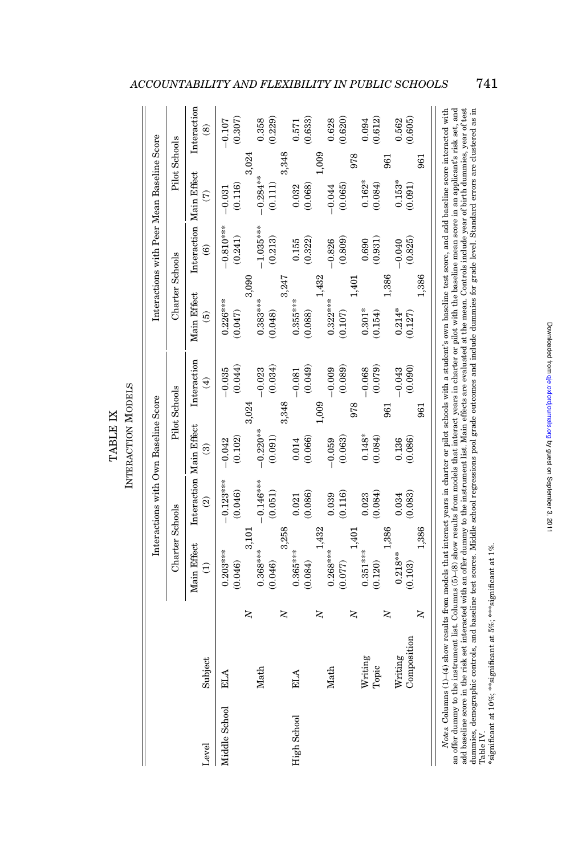<span id="page-42-0"></span>

| Р | Ξ<br>≂<br>≒ |
|---|-------------|
| ∶ | ı.<br>متح   |

|               |             |   |                              |                                                     | Interactions with Own Baseline Score |                              |                              |                                                   | Interactions with Peer Mean Baseline Score |                              |
|---------------|-------------|---|------------------------------|-----------------------------------------------------|--------------------------------------|------------------------------|------------------------------|---------------------------------------------------|--------------------------------------------|------------------------------|
|               |             |   | Charter Schools              |                                                     |                                      | Pilot Schools                | Charter Schools              |                                                   | Pilot Schools                              |                              |
| Level         | Subject     |   | Main Effect<br>$\widehat{E}$ | Interaction Main Effect<br>$\widehat{\mathfrak{D}}$ | $\widehat{\mathbf{e}}$               | Interaction<br>$\widehat{f}$ | Main Effect<br>$\widehat{e}$ | Interaction Main Effect<br>$\widehat{\mathbf{e}}$ | $\widehat{E}$                              | Interaction<br>$\circledast$ |
| Middle School | ELA         |   | $0.203***$<br>(0.046)        | $-0.123***$<br>(0.046)                              | (0.102)<br>$-0.042$                  | (0.044)<br>$-0.035$          | $0.226***$<br>(0.047)        | $-0.810***$<br>(0.241)                            | (0.116)<br>$-0.03$                         | (0.307)<br>$-0.107$          |
|               |             | Z | 3,101                        |                                                     |                                      | 3,024                        | 3,090                        |                                                   | 3,024                                      |                              |
|               | Math        |   | $0.368***$                   | $-0.146***$                                         | $-0.220***$                          | $-0.023$                     | $0.383***$                   | $-1.035***$                                       | $-0.284***$                                | 0.358                        |
|               |             |   | (0.046)                      | (0.051)                                             | (0.091)                              | (0.034)                      | (0.048)                      | (0.213)                                           | (0.111)                                    | (0.229)                      |
|               |             | Z | 3,258                        |                                                     |                                      | 3,348                        | 3,247                        |                                                   | 3,348                                      |                              |
| High School   | ЕLA         |   | $0.365***$                   | 0.021                                               | 0.014                                | $-0.081$                     | $0.355***$                   | 0.155                                             | 0.032                                      | 0.571                        |
|               |             |   | (0.084)                      | (0.086)                                             | (0.066)                              | (0.049)                      | (0.088)                      | (0.322)                                           | (0.068)                                    | (0.633)                      |
|               |             | 2 | 1,432                        |                                                     |                                      | 1,009                        | 1,432                        |                                                   | 1,009                                      |                              |
|               | Math        |   | $0.268***$                   | 0.039                                               | $-0.059$                             | $-0.009$                     | $0.322***$                   | $-0.826$                                          | $-0.044$                                   | 0.628                        |
|               |             |   | (0.077)                      | (0.116)                                             | (0.063)                              | (0.089)                      | (0.107)                      | (0.809)                                           | (0.065)                                    | (0.620)                      |
|               |             | Z | 1,401                        |                                                     |                                      | 978                          | 1,401                        |                                                   | 978                                        |                              |
|               | Writing     |   | $0.351***$                   | 0.023                                               | $0.148*$                             | $-0.068$                     | $0.301*$                     | 0.690                                             | $0.162*$                                   | 0.094                        |
|               | Topic       |   | (0.120)                      | (0.084)                                             | (0.084)                              | (0.079)                      | (0.154)                      | (0.931)                                           | 0.084)                                     | (0.612)                      |
|               |             | Z | 1,386                        |                                                     |                                      | 961                          | 1,386                        |                                                   | 961                                        |                              |
|               | Writing     |   | $0.218***$                   | 0.034                                               | 0.136                                | $-0.043$                     | $0.214*$                     | $-0.040$                                          | $0.153*$                                   | 0.562                        |
|               | Composition |   | (0.103)                      | (0.083)                                             | (0.086)                              | (0.090)                      | (0.127)                      | (0.825)                                           | (180, 0)                                   | (0.605)                      |
|               |             | 2 | 1,386                        |                                                     |                                      | 961                          | 1,386                        |                                                   | 58                                         |                              |
|               |             |   |                              |                                                     |                                      |                              |                              |                                                   |                                            |                              |

*Notes*. Columns (1)–(4) show results from models that interact years in charter or pilot schools with a student's own baseline test score, and add baseline score interacted with<br>an offer dummy to the instrument list. Col dummies, demographic controls, and baseline test scores. Middle school regressions pool grade outcomes and include dummies for grade level. Standard errors are clustered as in *Notes.* Columns (1)–(4) show results from models that interact years in charter or pilot schools with a student's own baseline test score, and add baseline score interacted with an offer dummy to the instrument list. Columns (5)–(8) show results from models that interact years in charter or pilot with the baseline mean score in an applicant's risk set, and add baseline score in the risk set interacted with an offer dummy to the instrument list. Main effects are evaluated at the mean. Controls include year of birth dummies, year of test dummies, demographic controls, and baseline test scores. Middle school regressions pool grade outcomes and include dummies for grade level. Standard errors are clustered as in Table IV.  $\begin{array}{l} \tt ^{v} \\ \tt ^{s} \rm{significant~at} \ 10\%, \ ^{s} \rm{significant~at} \ 5\%; \ ^{s \ast s} \rm{significant~at} \ 1\%. \end{array}$ Table IV.

<sup>\*</sup>significant at 10%; \*\*significant at 5%; \*\*\*significant at 1%.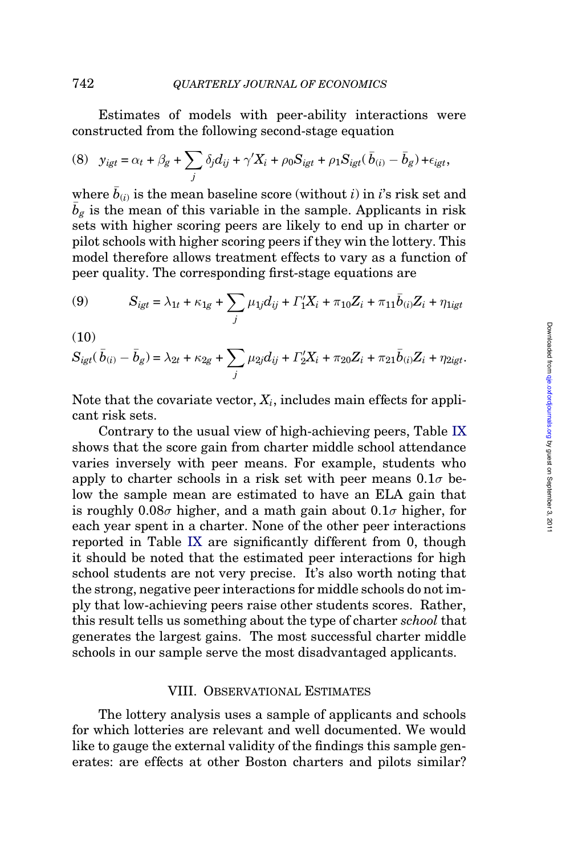Estimates of models with peer-ability interactions were constructed from the following second-stage equation

(8) 
$$
y_{igt} = \alpha_t + \beta_g + \sum_j \delta_j d_{ij} + \gamma' X_i + \rho_0 S_{igt} + \rho_1 S_{igt} (\bar{b}_{(i)} - \bar{b}_g) + \epsilon_{igt},
$$

where  $\bar{b}_{(i)}$  is the mean baseline score (without *i*) in *i*'s risk set and  $\bar{b}_c$  is the mean of this variable in the sample. Applicants in risk  $\bar{b}_g$  is the mean of this variable in the sample. Applicants in risk sets with higher scoring peers are likely to end up in charter or pilot schools with higher scoring peers if they win the lottery. This model therefore allows treatment effects to vary as a function of peer quality. The corresponding first-stage equations are

(9) 
$$
S_{igt} = \lambda_{1t} + \kappa_{1g} + \sum_{j} \mu_{1j} d_{ij} + \Gamma'_1 X_i + \pi_{10} Z_i + \pi_{11} \bar{b}_{(i)} Z_i + \eta_{1igt}
$$

(10)

$$
S_{igt}(\bar{b}_{(i)} - \bar{b}_g) = \lambda_{2t} + \kappa_{2g} + \sum_j \mu_{2j} d_{ij} + \Gamma'_2 X_i + \pi_{20} Z_i + \pi_{21} \bar{b}_{(i)} Z_i + \eta_{2igt}.
$$

Note that the covariate vector,  $X_i$ , includes main effects for applicant risk sets.

Contrary to the usual view of high-achieving peers, Table [IX](#page-42-0) shows that the score gain from charter middle school attendance varies inversely with peer means. For example, students who apply to charter schools in a risk set with peer means  $0.1\sigma$  below the sample mean are estimated to have an ELA gain that is roughly  $0.08\sigma$  higher, and a math gain about  $0.1\sigma$  higher, for each year spent in a charter. None of the other peer interactions reported in Table [IX](#page-42-0) are significantly different from 0, though it should be noted that the estimated peer interactions for high school students are not very precise. It's also worth noting that the strong, negative peer interactions for middle schools do not imply that low-achieving peers raise other students scores. Rather, this result tells us something about the type of charter *school* that generates the largest gains. The most successful charter middle schools in our sample serve the most disadvantaged applicants.

#### VIII. OBSERVATIONAL ESTIMATES

<span id="page-43-0"></span>The lottery analysis uses a sample of applicants and schools for which lotteries are relevant and well documented. We would like to gauge the external validity of the findings this sample generates: are effects at other Boston charters and pilots similar?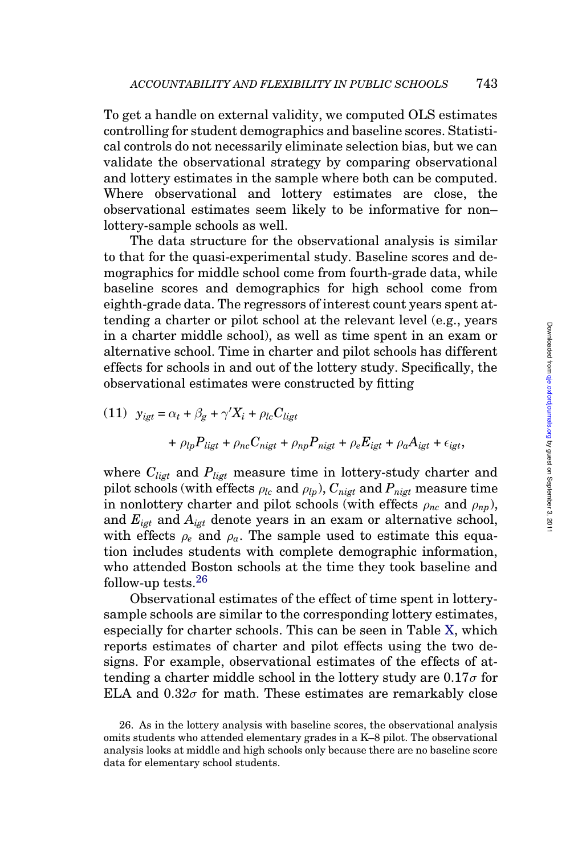To get a handle on external validity, we computed OLS estimates controlling for student demographics and baseline scores. Statistical controls do not necessarily eliminate selection bias, but we can validate the observational strategy by comparing observational and lottery estimates in the sample where both can be computed. Where observational and lottery estimates are close, the observational estimates seem likely to be informative for non– lottery-sample schools as well.

The data structure for the observational analysis is similar to that for the quasi-experimental study. Baseline scores and demographics for middle school come from fourth-grade data, while baseline scores and demographics for high school come from eighth-grade data. The regressors of interest count years spent attending a charter or pilot school at the relevant level (e.g., years in a charter middle school), as well as time spent in an exam or alternative school. Time in charter and pilot schools has different effects for schools in and out of the lottery study. Specifically, the observational estimates were constructed by fitting

(11) 
$$
y_{igt} = \alpha_t + \beta_g + \gamma' X_i + \rho_{lc} C_{ligt}
$$

$$
+ \rho_{lp} P_{ligt} + \rho_{nc} C_{night} + \rho_{np} P_{night} + \rho_e E_{igt} + \rho_a A_{igt} + \epsilon_{igt},
$$

where *Cligt* and *Pligt* measure time in lottery-study charter and pilot schools (with effects  $\rho_{lc}$  and  $\rho_{lp}$ ),  $C_{night}$  and  $P_{night}$  measure time in nonlottery charter and pilot schools (with effects  $\rho_{nc}$  and  $\rho_{np}$ ), and *Eigt* and *Aigt* denote years in an exam or alternative school, with effects  $\rho_e$  and  $\rho_a$ . The sample used to estimate this equation includes students with complete demographic information, who attended Boston schools at the time they took baseline and follow-up tests. $26$ 

Observational estimates of the effect of time spent in lotterysample schools are similar to the corresponding lottery estimates, especially for charter schools. This can be seen in Table [X](#page-45-0), which reports estimates of charter and pilot effects using the two designs. For example, observational estimates of the effects of attending a charter middle school in the lottery study are  $0.17\sigma$  for ELA and  $0.32\sigma$  for math. These estimates are remarkably close

<span id="page-44-0"></span><sup>26.</sup> As in the lottery analysis with baseline scores, the observational analysis omits students who attended elementary grades in a K–8 pilot. The observational analysis looks at middle and high schools only because there are no baseline score data for elementary school students.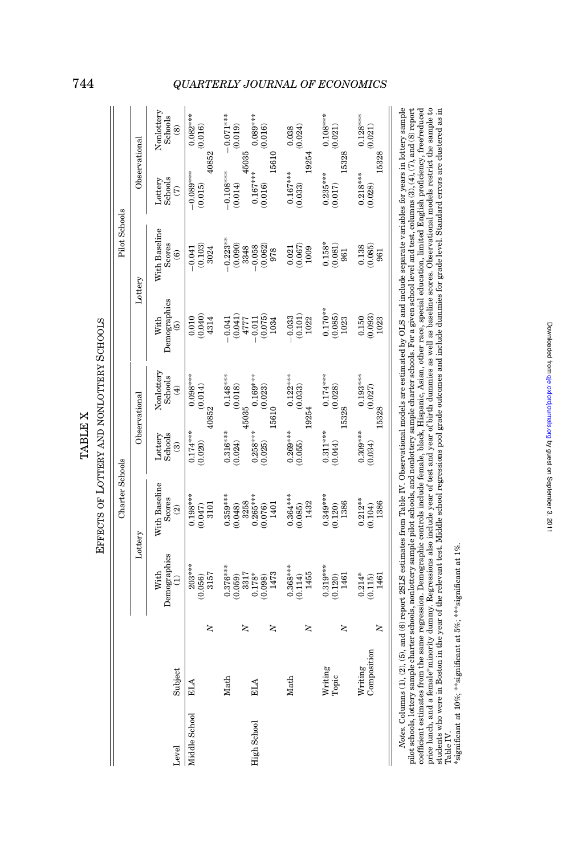| PFECTS OF LOTTERY AND NONLOTTERY SCHOOLS<br>Charter Schools |
|-------------------------------------------------------------|
|-------------------------------------------------------------|

<span id="page-45-0"></span>TABLE X

**TABLEX** 

|               |                        |        |                                                                                                                                                                                                                                                                                                                                    | EFFECTS OF LOTTERY AND NONLOTTERY SCHOOLS<br>Charter Schools |                                              |                                             |                                                            | Pilot Schools                                             |                                         |                                        |
|---------------|------------------------|--------|------------------------------------------------------------------------------------------------------------------------------------------------------------------------------------------------------------------------------------------------------------------------------------------------------------------------------------|--------------------------------------------------------------|----------------------------------------------|---------------------------------------------|------------------------------------------------------------|-----------------------------------------------------------|-----------------------------------------|----------------------------------------|
|               |                        |        |                                                                                                                                                                                                                                                                                                                                    | Lottery                                                      |                                              | Observational                               | Lottery                                                    |                                                           | Observational                           |                                        |
| Level         | Subject                |        | Demographics<br>With<br>$\widehat{c}$                                                                                                                                                                                                                                                                                              | With Baseline<br>Scores<br>$\widehat{2}$                     | Lottery<br>Schools<br>$\widehat{\mathbf{c}}$ | Nonlottery<br>Schools<br>$\widehat{\Theta}$ | Demographics<br>With<br>$\widehat{\mathbf{e}}$             | With Baseline<br>Scores<br>$\widehat{\mathbf{6}}$         | Lottery<br>Schools<br>$\epsilon$        | Nonlottery<br>Schools<br>$\circledast$ |
| Middle School | <b>ELA</b>             | z      | $203***$<br>3157<br>(0.056)                                                                                                                                                                                                                                                                                                        | $0.198***$<br>3101<br>(0.047)                                | $0.174***$<br>(0.020)                        | $0.098***$<br>(0.014)<br>40852              | (0.040)<br>0.010<br>4314                                   | $\frac{0.041}{0.103}$<br>3024                             | 40852<br>$-0.089***$<br>(0.015)         | $0.082***$<br>(0.016)                  |
|               | Math                   |        | $0.376***$<br>(0.059)                                                                                                                                                                                                                                                                                                              | $0.359***$<br>(0.048)                                        | $0.316***$<br>(0.024)                        | $0.148***$<br>(0.018)                       | $\frac{4777}{4777}$<br>$-0.041$                            | $0.223**$<br>$(0.090)$<br>$3348$                          | $-0.108***$<br>(0.014)                  | $-0.071***$<br>(0.019)                 |
| High School   | <b>ELA</b>             | z<br>z | 3317<br>1473<br>$0.178*$<br>(0.098)                                                                                                                                                                                                                                                                                                | $0.265***$<br>3258<br>(0.076)<br>1401                        | $0.258***$<br>(0.025)                        | $0.169***$<br>(0.023)<br>45035<br>15610     | (0.075)<br>$-0.011$<br>1034                                | (0.062)<br>0.058<br>978                                   | 15610<br>45035<br>$0.167***$<br>(0.016) | $0.089***$<br>(0.016)                  |
|               | Math                   | 2      | $0.368***$<br>1455<br>(0.114)                                                                                                                                                                                                                                                                                                      | $0.364***$<br>1432<br>(0.085)                                | $0.269***$<br>(0.055)                        | $0.122***$<br>(0.033)<br>19254              | $\begin{array}{c} (0.101) \\ 1022 \end{array}$<br>$-0.033$ | $\begin{array}{c} (0.067) \\ 1009 \end{array}$<br>0.021   | 19254<br>$0.167***$<br>(0.033)          | (0.024)<br>0.038                       |
|               | Writing<br>Topic       | z      | $0.319***$<br>1461<br>(0.120)                                                                                                                                                                                                                                                                                                      | $0.349***$<br>1386<br>(0.120)                                | $0.311***$<br>(0.044)                        | $0.174***$<br>(0.028)<br>15328              | $0.170***$<br>(0.085)<br>1023                              | $0.158*$<br>$\begin{array}{c} (0.081) \\ 961 \end{array}$ | 15328<br>$0.235***$<br>(0.017)          | $\frac{0.108***}{0.021}$               |
|               | Composition<br>Writing | z      | $0.214*$<br>1461<br>(0.115)                                                                                                                                                                                                                                                                                                        | $0.212***$<br>1386<br>(0.104)                                | $0.309***$<br>(0.034)                        | $0.193***$<br>(0.027)<br>15328              | (0.093)<br>0.150<br>1023                                   | $\begin{array}{c} 0.138 \\ 0.085 \end{array}$<br>961      | 15328<br>$\frac{0.218***}{0.028}$       | $0.128***$<br>(0.021)                  |
|               |                        |        | $\mathbf{X}_{i}$ , $\mathbf{X}_{i}$ , $\mathbf{X}_{i}$ , $\mathbf{X}_{i}$ , $\mathbf{X}_{i}$ , $\mathbf{X}_{i}$ , $\mathbf{X}_{i}$ , $\mathbf{X}_{i}$ , $\mathbf{X}_{i}$ , $\mathbf{X}_{i}$ , $\mathbf{X}_{i}$ , $\mathbf{X}_{i}$ , $\mathbf{X}_{i}$ , $\mathbf{X}_{i}$ , $\mathbf{X}_{i}$ , $\mathbf{X}_{i}$ , $\mathbf{X}_{i}$ , |                                                              |                                              |                                             |                                                            |                                                           |                                         |                                        |

coefficient estimates from the same regression. Demographic controls include female, black, Hispanic, Asian, other race, special education, limited English proficiency, free/reduced<br>price lunch, and a female<sup>s</sup>minority dum Aozes. Columns (1,1, 10, 201, to report 2010. Sestmates trom 1able 1V. Observational models are estimated by OLD and the separate variables for years in lottery sample<br>pilot schools, lottery sample charter schools, nonlott *Notes.* Columns (1), (2), (5), and (6) report 2SLS estimates from Table IV. Observational models are estimated by OLS and include separate variables for years in lottery sample pilot schools, lottery sample charter schools, nonlottery sample pilot schools, and nonlottery sample charter schools. For a given school level and test, columns (3), (4), (7), and (8) report coefficient estimates from the same regression. Demographic controls include female, black, Hispanic, Asian, other race, special education, limited English proficiency, free/reduced price lunch, and a female\*minority dummy. Regressions also include year of test and year of birth dummies as well as baseline scores. Observational models restrict the sample to students who were in Boston in the year of the relevant test. Middle school regressions pool grade outcomes and include dummies for grade level. Standard errors are clustered as in Table IV. Table IV.

\*significant at  $10\%$ ; \*\*significant at  $5\%$ ; \*\*\*significant at  $1\%$ . \*significant at 10%; \*\*significant at 5%; \*\*\*significant at 1%.

# 744 *QUARTERLY JOURNAL OF ECONOMICS*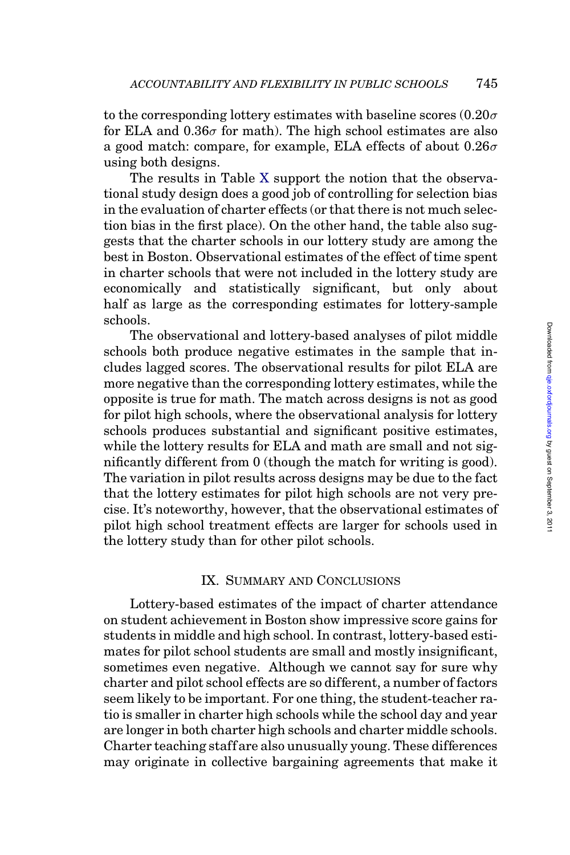to the corresponding lottery estimates with baseline scores  $(0.20\sigma)$ for ELA and  $0.36\sigma$  for math). The high school estimates are also a good match: compare, for example, ELA effects of about  $0.26\sigma$ using both designs.

The results in Table [X](#page-45-0) support the notion that the observational study design does a good job of controlling for selection bias in the evaluation of charter effects (or that there is not much selection bias in the first place). On the other hand, the table also suggests that the charter schools in our lottery study are among the best in Boston. Observational estimates of the effect of time spent in charter schools that were not included in the lottery study are economically and statistically significant, but only about half as large as the corresponding estimates for lottery-sample schools.

The observational and lottery-based analyses of pilot middle schools both produce negative estimates in the sample that includes lagged scores. The observational results for pilot ELA are more negative than the corresponding lottery estimates, while the opposite is true for math. The match across designs is not as good for pilot high schools, where the observational analysis for lottery schools produces substantial and significant positive estimates, while the lottery results for ELA and math are small and not significantly different from 0 (though the match for writing is good). The variation in pilot results across designs may be due to the fact that the lottery estimates for pilot high schools are not very precise. It's noteworthy, however, that the observational estimates of pilot high school treatment effects are larger for schools used in the lottery study than for other pilot schools.

## IX. SUMMARY AND CONCLUSIONS

<span id="page-46-0"></span>Lottery-based estimates of the impact of charter attendance on student achievement in Boston show impressive score gains for students in middle and high school. In contrast, lottery-based estimates for pilot school students are small and mostly insignificant, sometimes even negative. Although we cannot say for sure why charter and pilot school effects are so different, a number of factors seem likely to be important. For one thing, the student-teacher ratio is smaller in charter high schools while the school day and year are longer in both charter high schools and charter middle schools. Charter teaching staff are also unusually young. These differences may originate in collective bargaining agreements that make it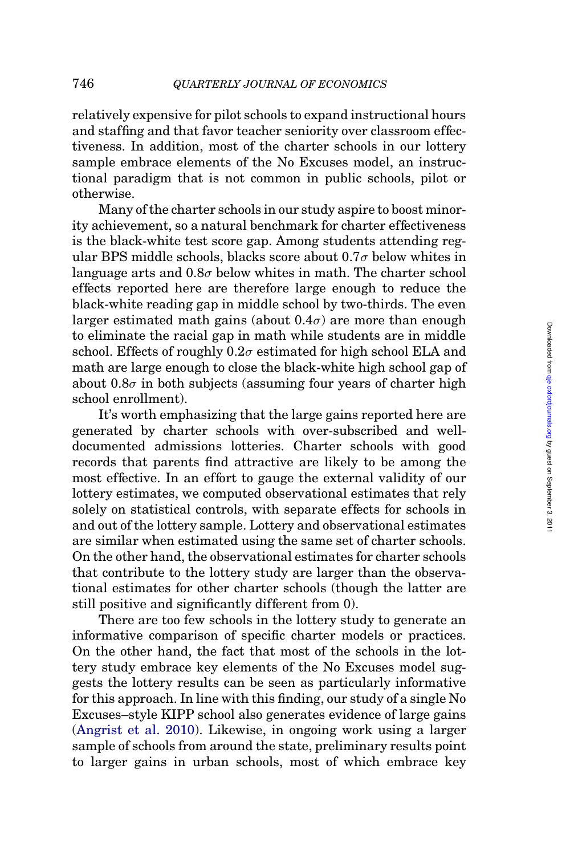relatively expensive for pilot schools to expand instructional hours and staffing and that favor teacher seniority over classroom effectiveness. In addition, most of the charter schools in our lottery sample embrace elements of the No Excuses model, an instructional paradigm that is not common in public schools, pilot or otherwise.

Many of the charter schools in our study aspire to boost minority achievement, so a natural benchmark for charter effectiveness is the black-white test score gap. Among students attending regular BPS middle schools, blacks score about  $0.7\sigma$  below whites in language arts and  $0.8\sigma$  below whites in math. The charter school effects reported here are therefore large enough to reduce the black-white reading gap in middle school by two-thirds. The even larger estimated math gains (about  $0.4\sigma$ ) are more than enough to eliminate the racial gap in math while students are in middle school. Effects of roughly  $0.2\sigma$  estimated for high school ELA and math are large enough to close the black-white high school gap of about  $0.8\sigma$  in both subjects (assuming four years of charter high school enrollment).

It's worth emphasizing that the large gains reported here are generated by charter schools with over-subscribed and welldocumented admissions lotteries. Charter schools with good records that parents find attractive are likely to be among the most effective. In an effort to gauge the external validity of our lottery estimates, we computed observational estimates that rely solely on statistical controls, with separate effects for schools in and out of the lottery sample. Lottery and observational estimates are similar when estimated using the same set of charter schools. On the other hand, the observational estimates for charter schools that contribute to the lottery study are larger than the observational estimates for other charter schools (though the latter are still positive and significantly different from 0).

There are too few schools in the lottery study to generate an informative comparison of specific charter models or practices. On the other hand, the fact that most of the schools in the lottery study embrace key elements of the No Excuses model suggests the lottery results can be seen as particularly informative for this approach. In line with this finding, our study of a single No Excuses–style KIPP school also generates evidence of large gains [\(Angrist et al. 2010\)](#page-48-0). Likewise, in ongoing work using a larger sample of schools from around the state, preliminary results point to larger gains in urban schools, most of which embrace key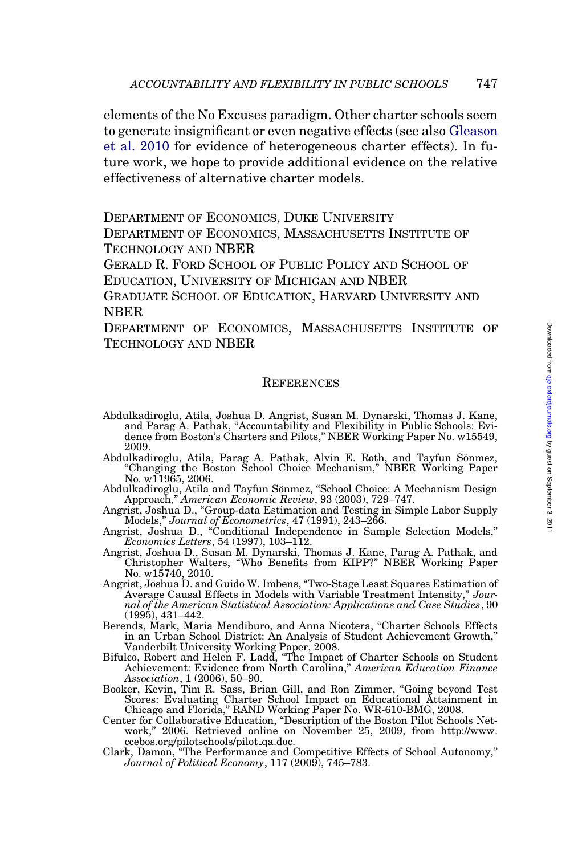elements of the No Excuses paradigm. Other charter schools seem to generate insignificant or even negative effects (see also [Gleason](#page-49-0) [et al. 2010](#page-49-0) for evidence of heterogeneous charter effects). In future work, we hope to provide additional evidence on the relative effectiveness of alternative charter models.

DEPARTMENT OF ECONOMICS, DUKE UNIVERSITY

DEPARTMENT OF ECONOMICS, MASSACHUSETTS INSTITUTE OF TECHNOLOGY AND NBER

GERALD R. FORD SCHOOL OF PUBLIC POLICY AND SCHOOL OF EDUCATION, UNIVERSITY OF MICHIGAN AND NBER

GRADUATE SCHOOL OF EDUCATION, HARVARD UNIVERSITY AND NBER

DEPARTMENT OF ECONOMICS, MASSACHUSETTS INSTITUTE OF TECHNOLOGY AND NBER

#### **REFERENCES**

- Abdulkadiroglu, Atila, Joshua D. Angrist, Susan M. Dynarski, Thomas J. Kane, and Parag A. Pathak, "Accountability and Flexibility in Public Schools: Evidence from Boston's Charters and Pilots," NBER Working Paper No. w15549, 2009.
- Abdulkadiroglu, Atila, Parag A. Pathak, Alvin E. Roth, and Tayfun Sönmez, "Changing the Boston School Choice Mechanism," NBER Working Paper No. w11965, 2006.
- Abdulkadiroglu, Atila and Tayfun Sönmez, "School Choice: A Mechanism Design Approach," *American Economic Review*, 93 (2003), 729–747.
- Angrist, Joshua D., "Group-data Estimation and Testing in Simple Labor Supply Models," *Journal of Econometrics*, 47 (1991), 243–266. Angrist, Joshua D., "Conditional Independence in Sample Selection Models,"
- *Economics Letters*, 54 (1997), 103–112.
- Angrist, Joshua D., Susan M. Dynarski, Thomas J. Kane, Parag A. Pathak, and Christopher Walters, "Who Benefits from KIPP?" NBER Working Paper No. w15740, 2010.
- Angrist, Joshua D. and Guido W. Imbens, "Two-Stage Least Squares Estimation of Average Causal Effects in Models with Variable Treatment Intensity," *Journal of the American Statistical Association: Applications and Case Studies*, 90 (1995), 431–442.
- Berends, Mark, Maria Mendiburo, and Anna Nicotera, "Charter Schools Effects in an Urban School District: An Analysis of Student Achievement Growth,"
- Vanderbilt University Working Paper, 2008. Bifulco, Robert and Helen F. Ladd, "The Impact of Charter Schools on Student Achievement: Evidence from North Carolina," *American Education Finance*
- Association, 1 (2006), 50–90.<br>Booker, Kevin, Tim R. Sass, Brian Gill, and Ron Zimmer, "Going beyond Test<br>Scores: Evaluating Charter School Impact on Educational Attainment in<br>Chicago and Florida," RAND Working Paper No. WR
- Center for Collaborative Education, "Description of the Boston Pilot Schools Network," 2006. Retrieved online on November 25, 2009, from http://www. ccebos.org/pilotschools/pilot qa.doc.
- <span id="page-48-0"></span>Clark, Damon, "The Performance and Competitive Effects of School Autonomy," *Journal of Political Economy*, 117 (2009), 745–783.